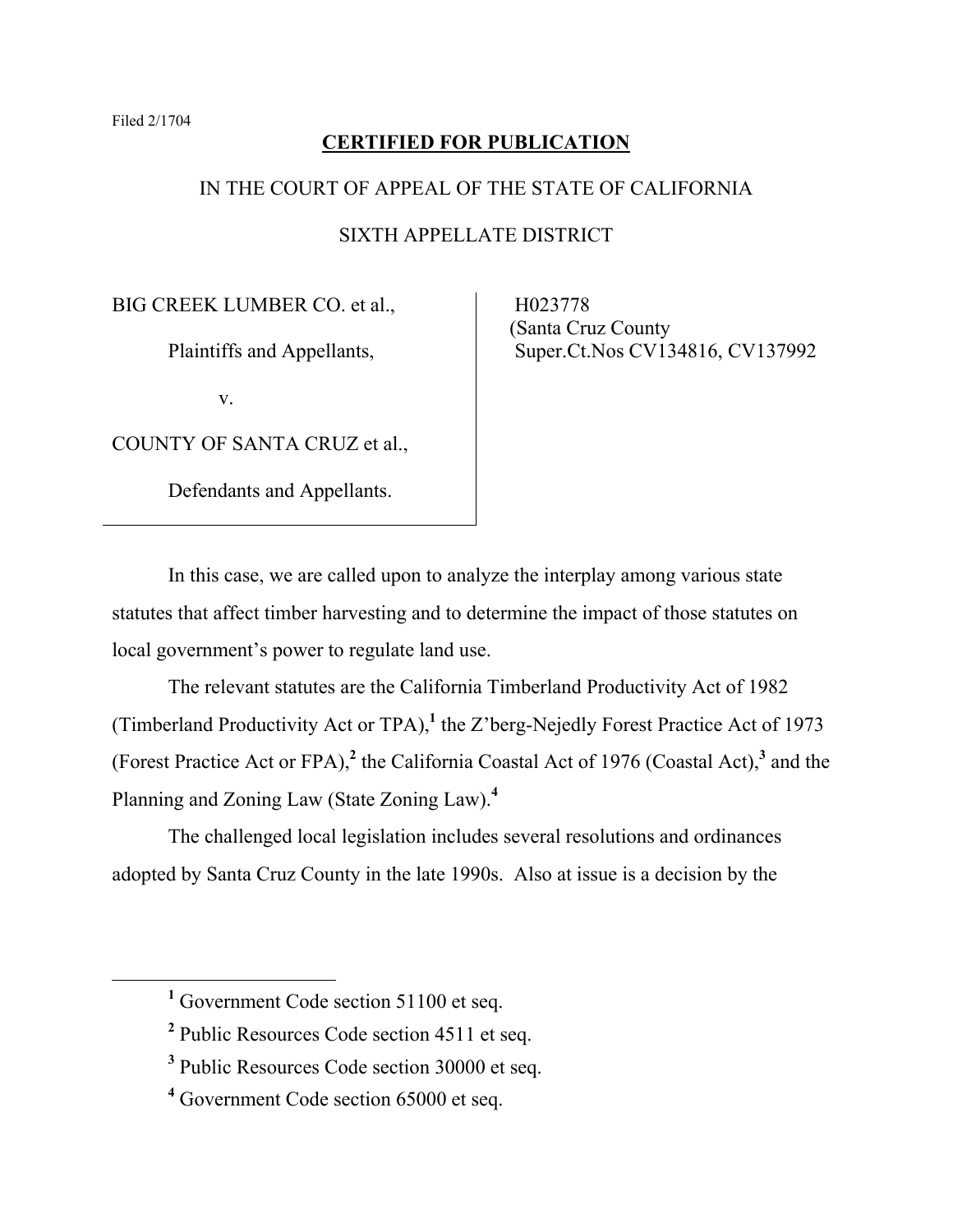# **CERTIFIED FOR PUBLICATION**

# IN THE COURT OF APPEAL OF THE STATE OF CALIFORNIA

# SIXTH APPELLATE DISTRICT

BIG CREEK LUMBER CO. et al.,

Plaintiffs and Appellants,

v.

COUNTY OF SANTA CRUZ et al.,

Defendants and Appellants.

 H023778 (Santa Cruz County Super.Ct.Nos CV134816, CV137992

In this case, we are called upon to analyze the interplay among various state statutes that affect timber harvesting and to determine the impact of those statutes on local government's power to regulate land use.

The relevant statutes are the California Timberland Productivity Act of 1982 (Timberland Productivity Act or TPA),**<sup>1</sup>** the Z'berg-Nejedly Forest Practice Act of 1973 (Forest Practice Act or FPA),**<sup>2</sup>** the California Coastal Act of 1976 (Coastal Act),**<sup>3</sup>** and the Planning and Zoning Law (State Zoning Law).**<sup>4</sup>**

The challenged local legislation includes several resolutions and ordinances adopted by Santa Cruz County in the late 1990s. Also at issue is a decision by the

<sup>&</sup>lt;u>1</u> <sup>1</sup> Government Code section 51100 et seq.

<sup>&</sup>lt;sup>2</sup> Public Resources Code section 4511 et seq.

**<sup>3</sup>** Public Resources Code section 30000 et seq.

**<sup>4</sup>** Government Code section 65000 et seq.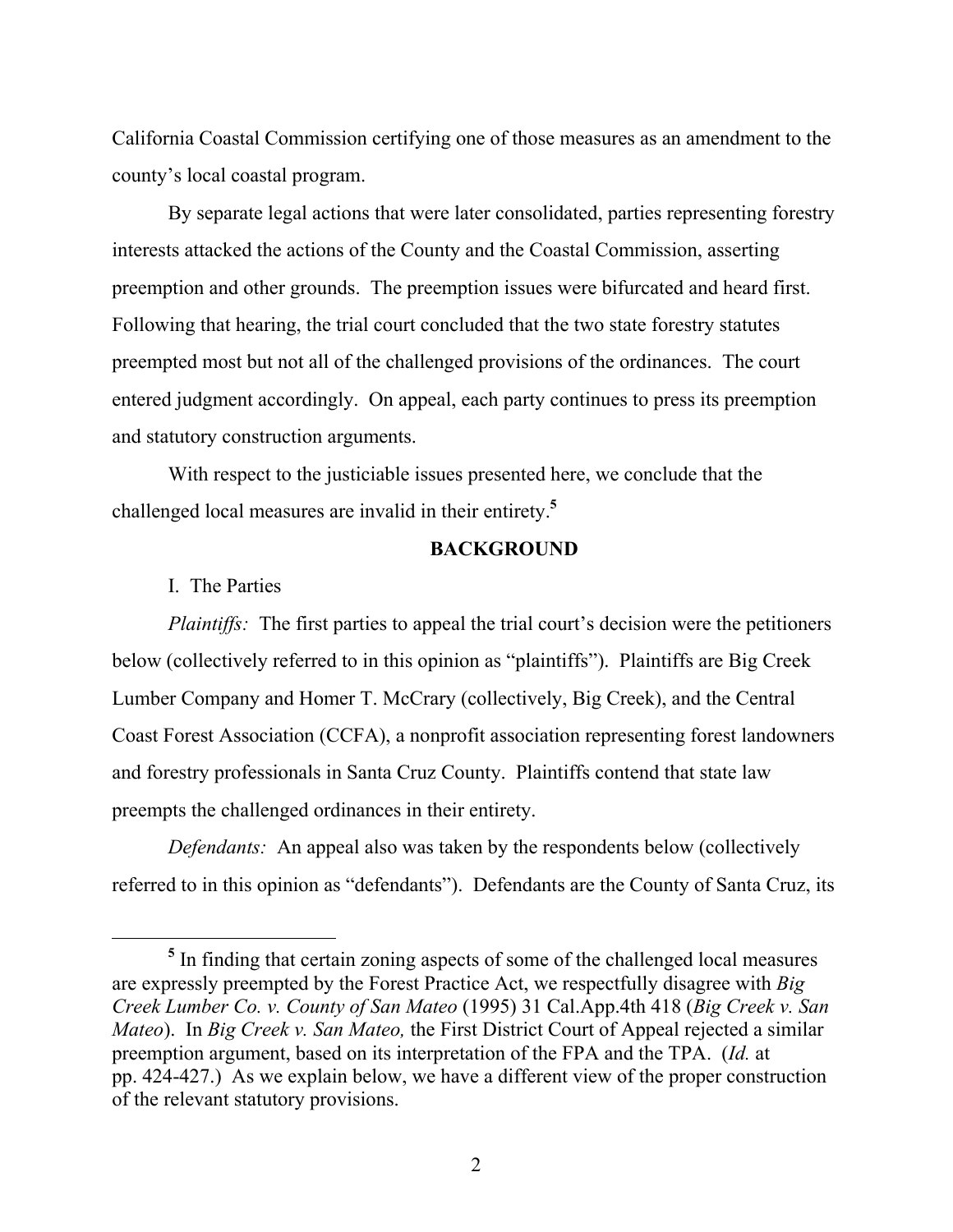California Coastal Commission certifying one of those measures as an amendment to the county's local coastal program.

By separate legal actions that were later consolidated, parties representing forestry interests attacked the actions of the County and the Coastal Commission, asserting preemption and other grounds. The preemption issues were bifurcated and heard first. Following that hearing, the trial court concluded that the two state forestry statutes preempted most but not all of the challenged provisions of the ordinances. The court entered judgment accordingly. On appeal, each party continues to press its preemption and statutory construction arguments.

With respect to the justiciable issues presented here, we conclude that the challenged local measures are invalid in their entirety.**<sup>5</sup>**

### **BACKGROUND**

I. The Parties

*Plaintiffs:* The first parties to appeal the trial court's decision were the petitioners below (collectively referred to in this opinion as "plaintiffs"). Plaintiffs are Big Creek Lumber Company and Homer T. McCrary (collectively, Big Creek), and the Central Coast Forest Association (CCFA), a nonprofit association representing forest landowners and forestry professionals in Santa Cruz County. Plaintiffs contend that state law preempts the challenged ordinances in their entirety.

*Defendants:* An appeal also was taken by the respondents below (collectively referred to in this opinion as "defendants"). Defendants are the County of Santa Cruz, its

**<sup>5</sup>** <sup>5</sup> In finding that certain zoning aspects of some of the challenged local measures are expressly preempted by the Forest Practice Act, we respectfully disagree with *Big Creek Lumber Co. v. County of San Mateo* (1995) 31 Cal.App.4th 418 (*Big Creek v. San Mateo*). In *Big Creek v. San Mateo,* the First District Court of Appeal rejected a similar preemption argument, based on its interpretation of the FPA and the TPA. (*Id.* at pp. 424-427.) As we explain below, we have a different view of the proper construction of the relevant statutory provisions.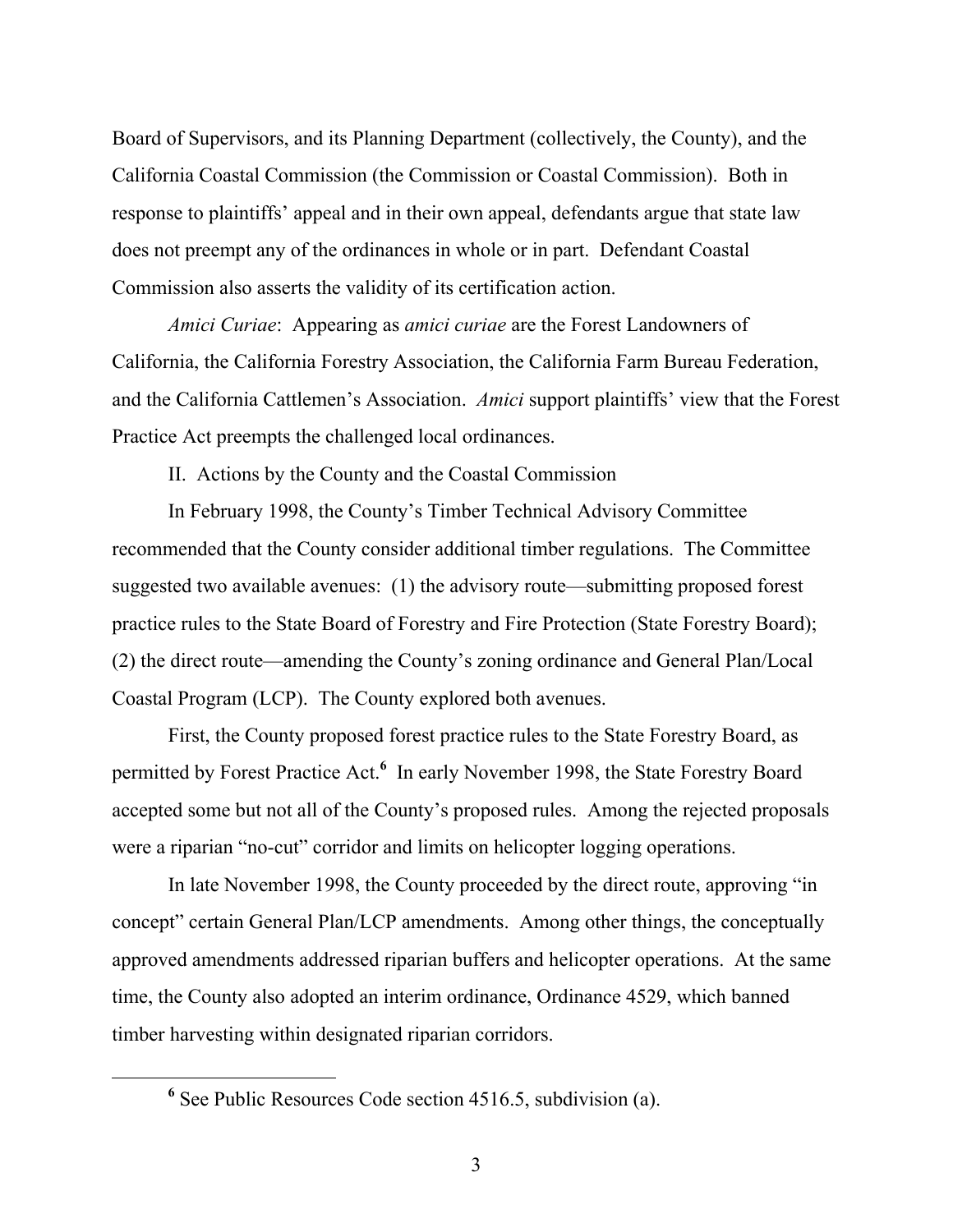Board of Supervisors, and its Planning Department (collectively, the County), and the California Coastal Commission (the Commission or Coastal Commission). Both in response to plaintiffs' appeal and in their own appeal, defendants argue that state law does not preempt any of the ordinances in whole or in part. Defendant Coastal Commission also asserts the validity of its certification action.

*Amici Curiae*: Appearing as *amici curiae* are the Forest Landowners of California, the California Forestry Association, the California Farm Bureau Federation, and the California Cattlemen's Association. *Amici* support plaintiffs' view that the Forest Practice Act preempts the challenged local ordinances.

II. Actions by the County and the Coastal Commission

In February 1998, the County's Timber Technical Advisory Committee recommended that the County consider additional timber regulations. The Committee suggested two available avenues: (1) the advisory route—submitting proposed forest practice rules to the State Board of Forestry and Fire Protection (State Forestry Board); (2) the direct route—amending the County's zoning ordinance and General Plan/Local Coastal Program (LCP). The County explored both avenues.

First, the County proposed forest practice rules to the State Forestry Board, as permitted by Forest Practice Act.<sup>6</sup> In early November 1998, the State Forestry Board accepted some but not all of the County's proposed rules. Among the rejected proposals were a riparian "no-cut" corridor and limits on helicopter logging operations.

In late November 1998, the County proceeded by the direct route, approving "in concept" certain General Plan/LCP amendments. Among other things, the conceptually approved amendments addressed riparian buffers and helicopter operations. At the same time, the County also adopted an interim ordinance, Ordinance 4529, which banned timber harvesting within designated riparian corridors.

**<sup>6</sup>**  $<sup>6</sup>$  See Public Resources Code section 4516.5, subdivision (a).</sup>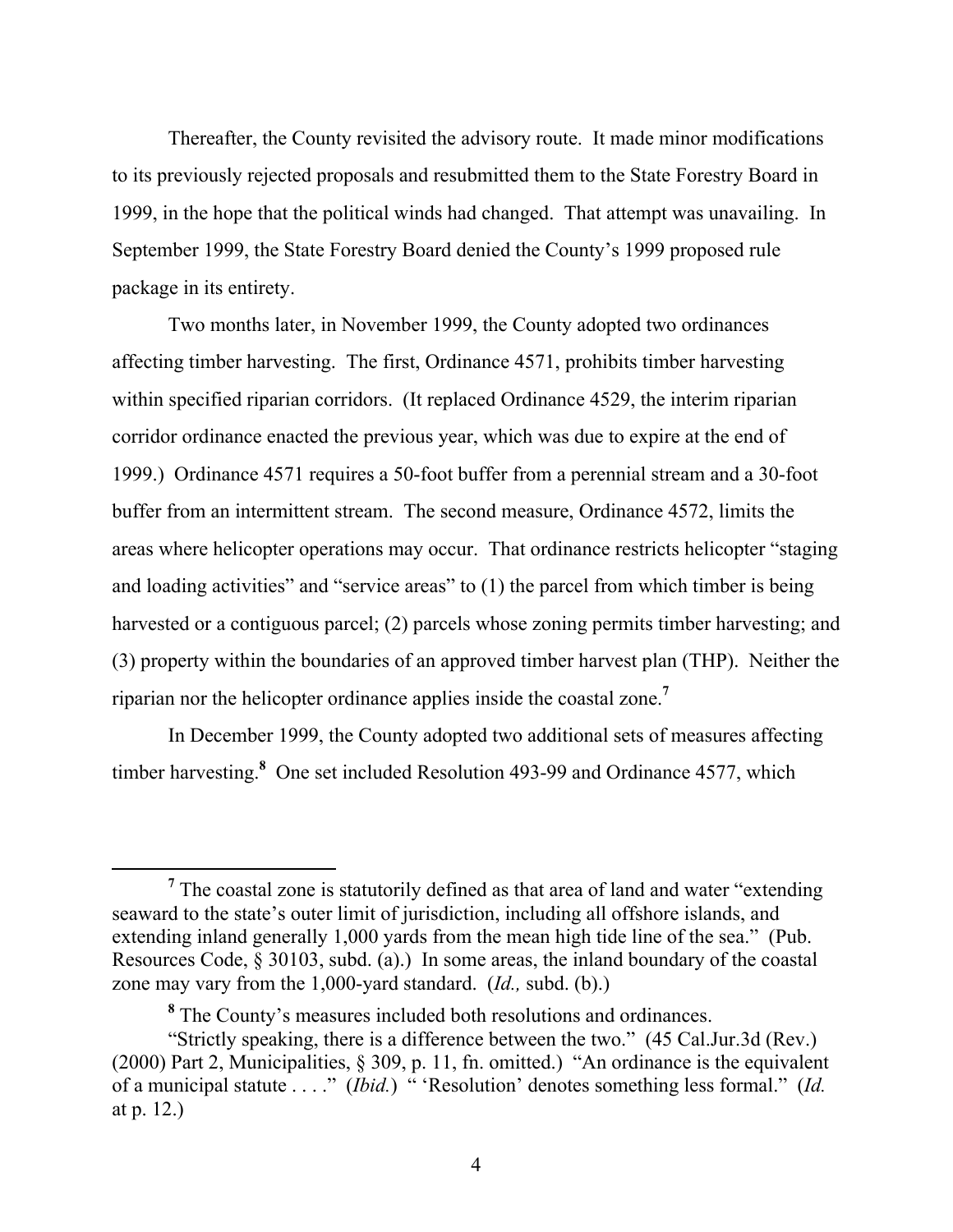Thereafter, the County revisited the advisory route. It made minor modifications to its previously rejected proposals and resubmitted them to the State Forestry Board in 1999, in the hope that the political winds had changed. That attempt was unavailing. In September 1999, the State Forestry Board denied the County's 1999 proposed rule package in its entirety.

Two months later, in November 1999, the County adopted two ordinances affecting timber harvesting. The first, Ordinance 4571, prohibits timber harvesting within specified riparian corridors. (It replaced Ordinance 4529, the interim riparian corridor ordinance enacted the previous year, which was due to expire at the end of 1999.) Ordinance 4571 requires a 50-foot buffer from a perennial stream and a 30-foot buffer from an intermittent stream. The second measure, Ordinance 4572, limits the areas where helicopter operations may occur. That ordinance restricts helicopter "staging and loading activities" and "service areas" to (1) the parcel from which timber is being harvested or a contiguous parcel; (2) parcels whose zoning permits timber harvesting; and (3) property within the boundaries of an approved timber harvest plan (THP). Neither the riparian nor the helicopter ordinance applies inside the coastal zone.**<sup>7</sup>**

In December 1999, the County adopted two additional sets of measures affecting timber harvesting.**<sup>8</sup>** One set included Resolution 493-99 and Ordinance 4577, which

**<sup>7</sup>** <sup>7</sup> The coastal zone is statutorily defined as that area of land and water "extending" seaward to the state's outer limit of jurisdiction, including all offshore islands, and extending inland generally 1,000 yards from the mean high tide line of the sea." (Pub. Resources Code, § 30103, subd. (a).) In some areas, the inland boundary of the coastal zone may vary from the 1,000-yard standard. (*Id.,* subd. (b).)

**<sup>8</sup>** The County's measures included both resolutions and ordinances.

<sup>&</sup>quot;Strictly speaking, there is a difference between the two." (45 Cal.Jur.3d (Rev.) (2000) Part 2, Municipalities, § 309, p. 11, fn. omitted.) "An ordinance is the equivalent of a municipal statute . . . ." (*Ibid.*) " 'Resolution' denotes something less formal." (*Id.*) at p. 12.)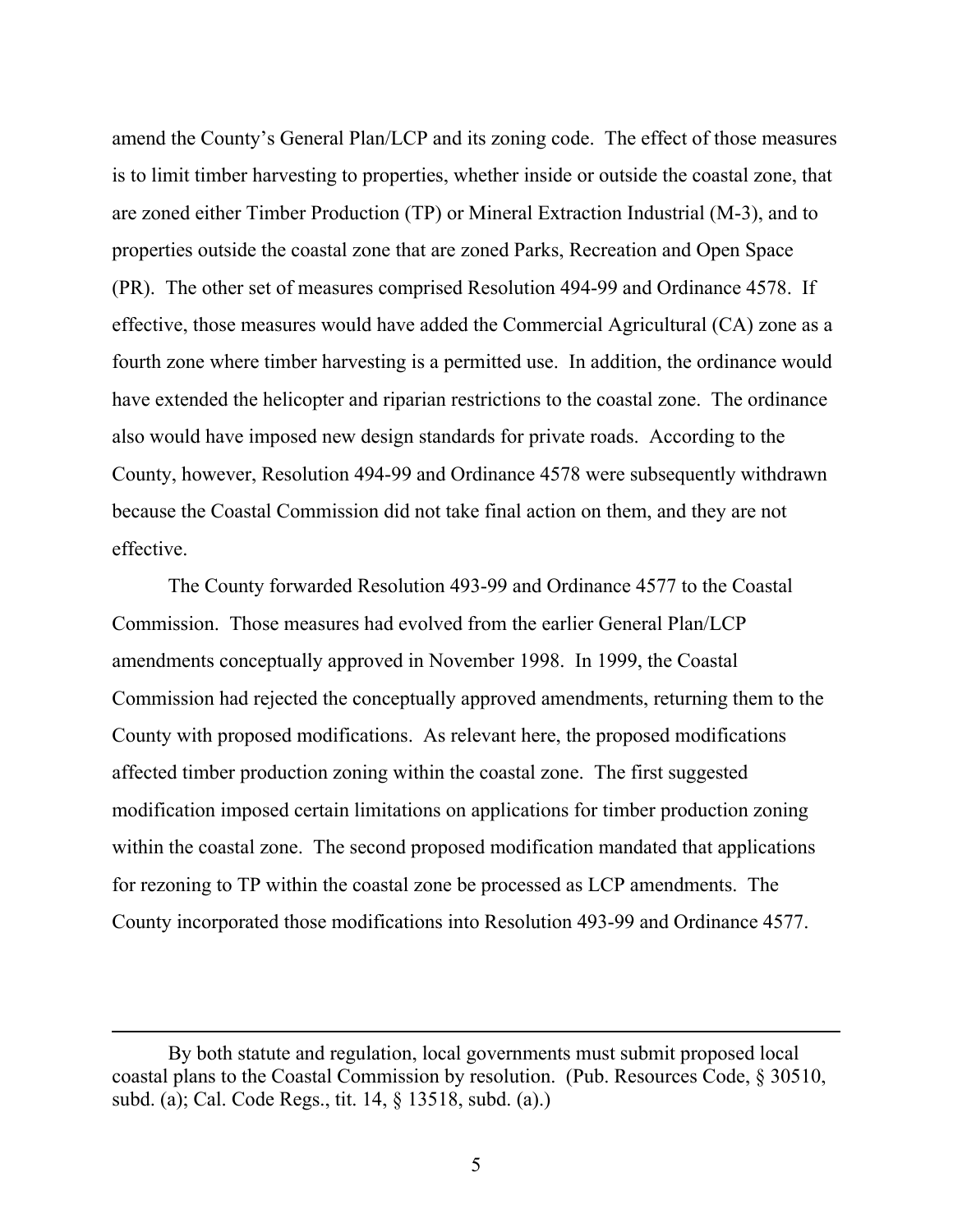amend the County's General Plan/LCP and its zoning code. The effect of those measures is to limit timber harvesting to properties, whether inside or outside the coastal zone, that are zoned either Timber Production (TP) or Mineral Extraction Industrial (M-3), and to properties outside the coastal zone that are zoned Parks, Recreation and Open Space (PR). The other set of measures comprised Resolution 494-99 and Ordinance 4578. If effective, those measures would have added the Commercial Agricultural (CA) zone as a fourth zone where timber harvesting is a permitted use. In addition, the ordinance would have extended the helicopter and riparian restrictions to the coastal zone. The ordinance also would have imposed new design standards for private roads. According to the County, however, Resolution 494-99 and Ordinance 4578 were subsequently withdrawn because the Coastal Commission did not take final action on them, and they are not effective.

The County forwarded Resolution 493-99 and Ordinance 4577 to the Coastal Commission. Those measures had evolved from the earlier General Plan/LCP amendments conceptually approved in November 1998. In 1999, the Coastal Commission had rejected the conceptually approved amendments, returning them to the County with proposed modifications. As relevant here, the proposed modifications affected timber production zoning within the coastal zone. The first suggested modification imposed certain limitations on applications for timber production zoning within the coastal zone. The second proposed modification mandated that applications for rezoning to TP within the coastal zone be processed as LCP amendments. The County incorporated those modifications into Resolution 493-99 and Ordinance 4577.

 $\overline{a}$ 

By both statute and regulation, local governments must submit proposed local coastal plans to the Coastal Commission by resolution. (Pub. Resources Code, § 30510, subd. (a); Cal. Code Regs., tit. 14, § 13518, subd. (a).)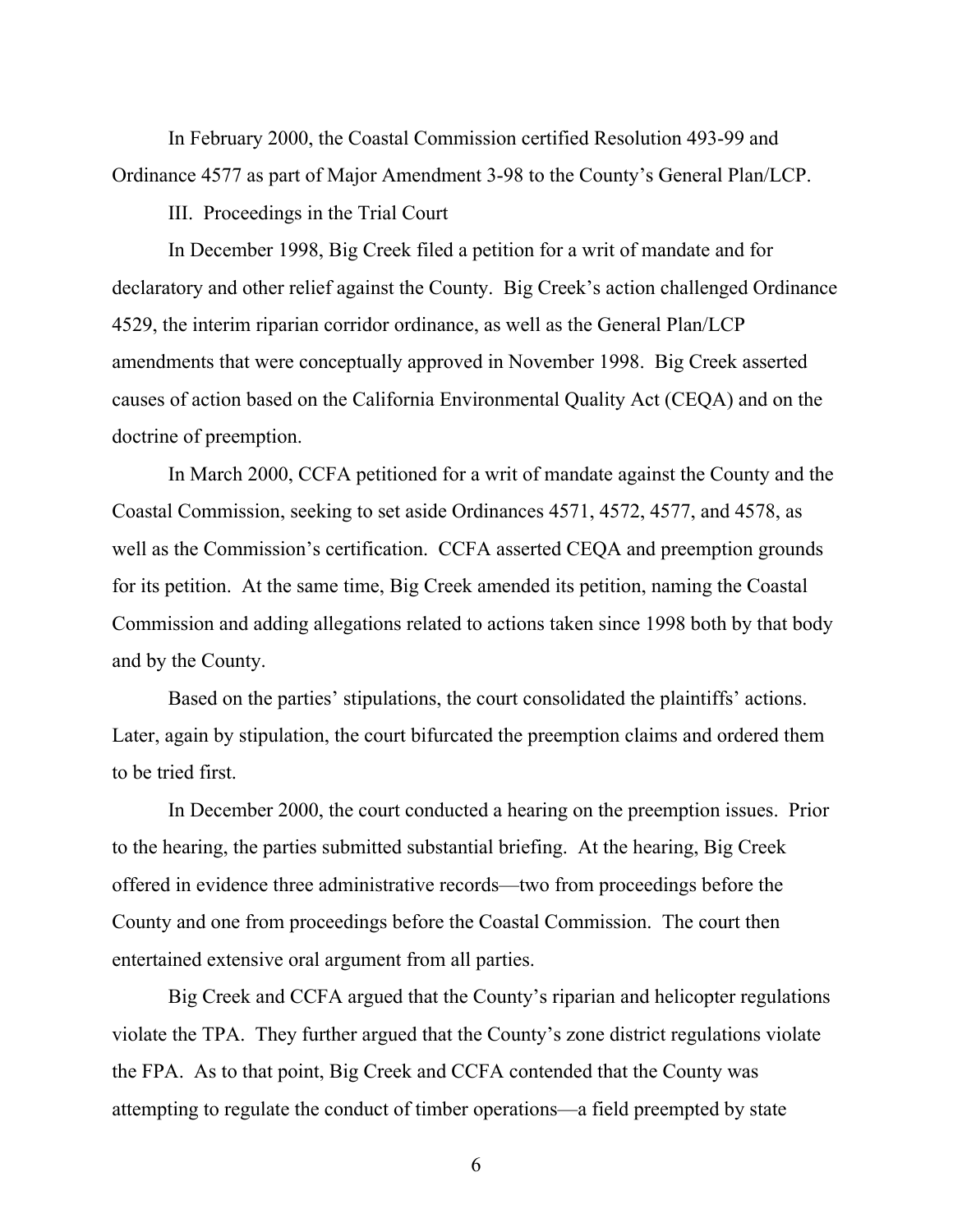In February 2000, the Coastal Commission certified Resolution 493-99 and Ordinance 4577 as part of Major Amendment 3-98 to the County's General Plan/LCP.

III. Proceedings in the Trial Court

In December 1998, Big Creek filed a petition for a writ of mandate and for declaratory and other relief against the County. Big Creek's action challenged Ordinance 4529, the interim riparian corridor ordinance, as well as the General Plan/LCP amendments that were conceptually approved in November 1998. Big Creek asserted causes of action based on the California Environmental Quality Act (CEQA) and on the doctrine of preemption.

In March 2000, CCFA petitioned for a writ of mandate against the County and the Coastal Commission, seeking to set aside Ordinances 4571, 4572, 4577, and 4578, as well as the Commission's certification. CCFA asserted CEQA and preemption grounds for its petition. At the same time, Big Creek amended its petition, naming the Coastal Commission and adding allegations related to actions taken since 1998 both by that body and by the County.

Based on the parties' stipulations, the court consolidated the plaintiffs' actions. Later, again by stipulation, the court bifurcated the preemption claims and ordered them to be tried first.

In December 2000, the court conducted a hearing on the preemption issues. Prior to the hearing, the parties submitted substantial briefing. At the hearing, Big Creek offered in evidence three administrative records—two from proceedings before the County and one from proceedings before the Coastal Commission. The court then entertained extensive oral argument from all parties.

Big Creek and CCFA argued that the County's riparian and helicopter regulations violate the TPA. They further argued that the County's zone district regulations violate the FPA. As to that point, Big Creek and CCFA contended that the County was attempting to regulate the conduct of timber operations—a field preempted by state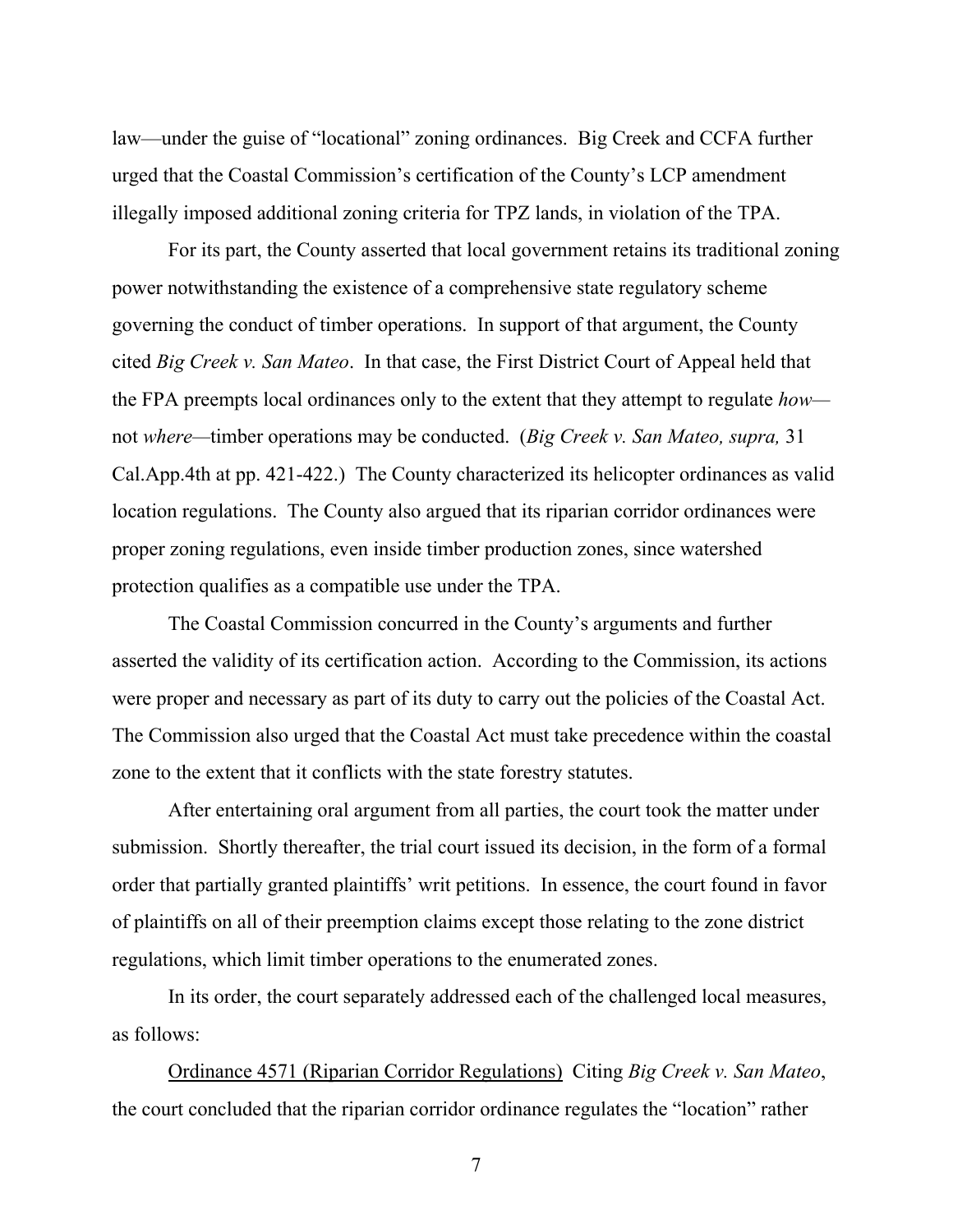law—under the guise of "locational" zoning ordinances. Big Creek and CCFA further urged that the Coastal Commission's certification of the County's LCP amendment illegally imposed additional zoning criteria for TPZ lands, in violation of the TPA.

For its part, the County asserted that local government retains its traditional zoning power notwithstanding the existence of a comprehensive state regulatory scheme governing the conduct of timber operations. In support of that argument, the County cited *Big Creek v. San Mateo*. In that case, the First District Court of Appeal held that the FPA preempts local ordinances only to the extent that they attempt to regulate *how* not *where—*timber operations may be conducted. (*Big Creek v. San Mateo, supra,* 31 Cal.App.4th at pp. 421-422.) The County characterized its helicopter ordinances as valid location regulations. The County also argued that its riparian corridor ordinances were proper zoning regulations, even inside timber production zones, since watershed protection qualifies as a compatible use under the TPA.

The Coastal Commission concurred in the County's arguments and further asserted the validity of its certification action. According to the Commission, its actions were proper and necessary as part of its duty to carry out the policies of the Coastal Act. The Commission also urged that the Coastal Act must take precedence within the coastal zone to the extent that it conflicts with the state forestry statutes.

After entertaining oral argument from all parties, the court took the matter under submission. Shortly thereafter, the trial court issued its decision, in the form of a formal order that partially granted plaintiffs' writ petitions. In essence, the court found in favor of plaintiffs on all of their preemption claims except those relating to the zone district regulations, which limit timber operations to the enumerated zones.

In its order, the court separately addressed each of the challenged local measures, as follows:

Ordinance 4571 (Riparian Corridor Regulations) Citing *Big Creek v. San Mateo*, the court concluded that the riparian corridor ordinance regulates the "location" rather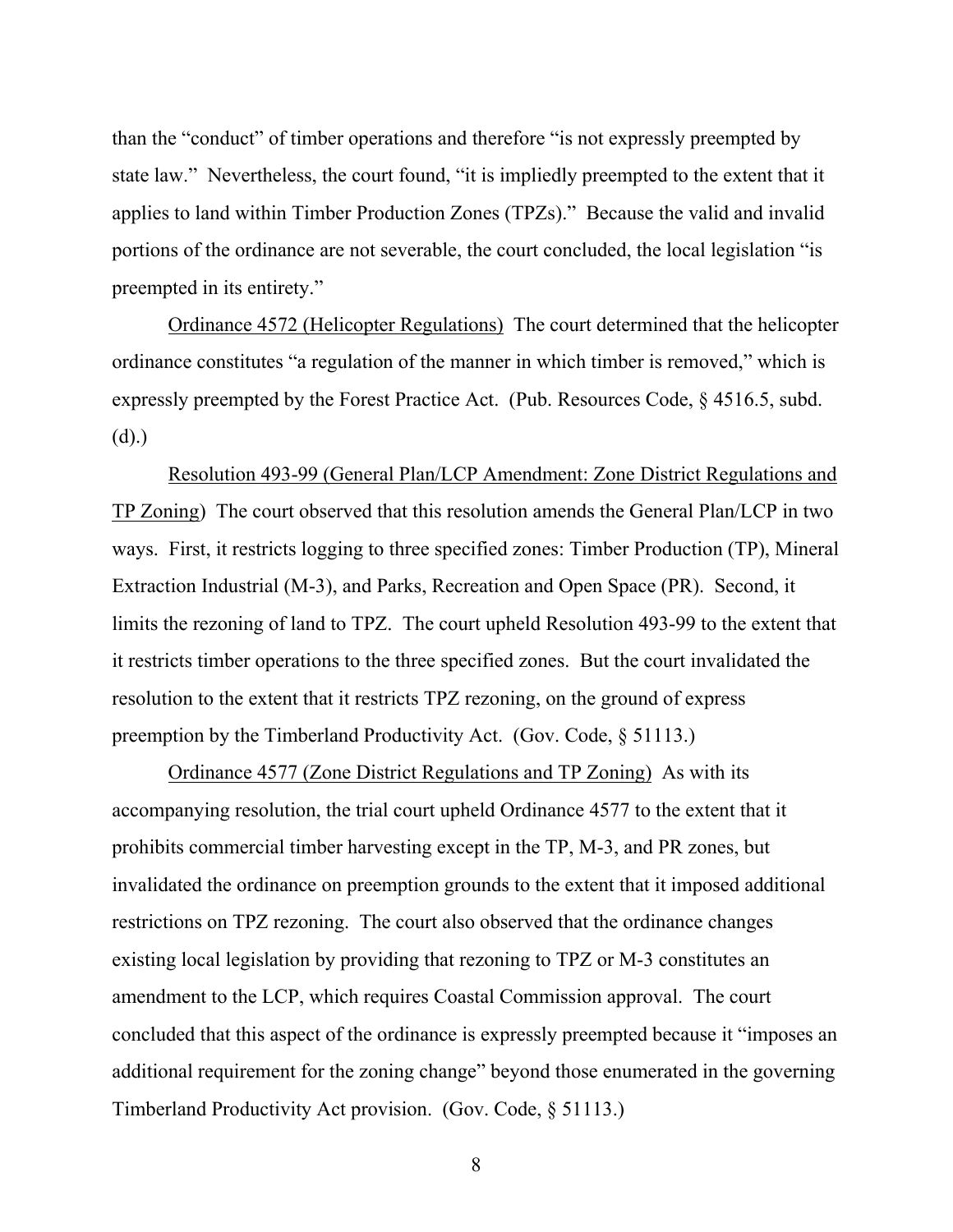than the "conduct" of timber operations and therefore "is not expressly preempted by state law." Nevertheless, the court found, "it is impliedly preempted to the extent that it applies to land within Timber Production Zones (TPZs)." Because the valid and invalid portions of the ordinance are not severable, the court concluded, the local legislation "is preempted in its entirety."

Ordinance 4572 (Helicopter Regulations) The court determined that the helicopter ordinance constitutes "a regulation of the manner in which timber is removed," which is expressly preempted by the Forest Practice Act. (Pub. Resources Code, § 4516.5, subd. (d).)

Resolution 493-99 (General Plan/LCP Amendment: Zone District Regulations and TP Zoning) The court observed that this resolution amends the General Plan/LCP in two ways. First, it restricts logging to three specified zones: Timber Production (TP), Mineral Extraction Industrial (M-3), and Parks, Recreation and Open Space (PR). Second, it limits the rezoning of land to TPZ. The court upheld Resolution 493-99 to the extent that it restricts timber operations to the three specified zones. But the court invalidated the resolution to the extent that it restricts TPZ rezoning, on the ground of express preemption by the Timberland Productivity Act. (Gov. Code, § 51113.)

Ordinance 4577 (Zone District Regulations and TP Zoning) As with its accompanying resolution, the trial court upheld Ordinance 4577 to the extent that it prohibits commercial timber harvesting except in the TP, M-3, and PR zones, but invalidated the ordinance on preemption grounds to the extent that it imposed additional restrictions on TPZ rezoning. The court also observed that the ordinance changes existing local legislation by providing that rezoning to TPZ or M-3 constitutes an amendment to the LCP, which requires Coastal Commission approval. The court concluded that this aspect of the ordinance is expressly preempted because it "imposes an additional requirement for the zoning change" beyond those enumerated in the governing Timberland Productivity Act provision. (Gov. Code, § 51113.)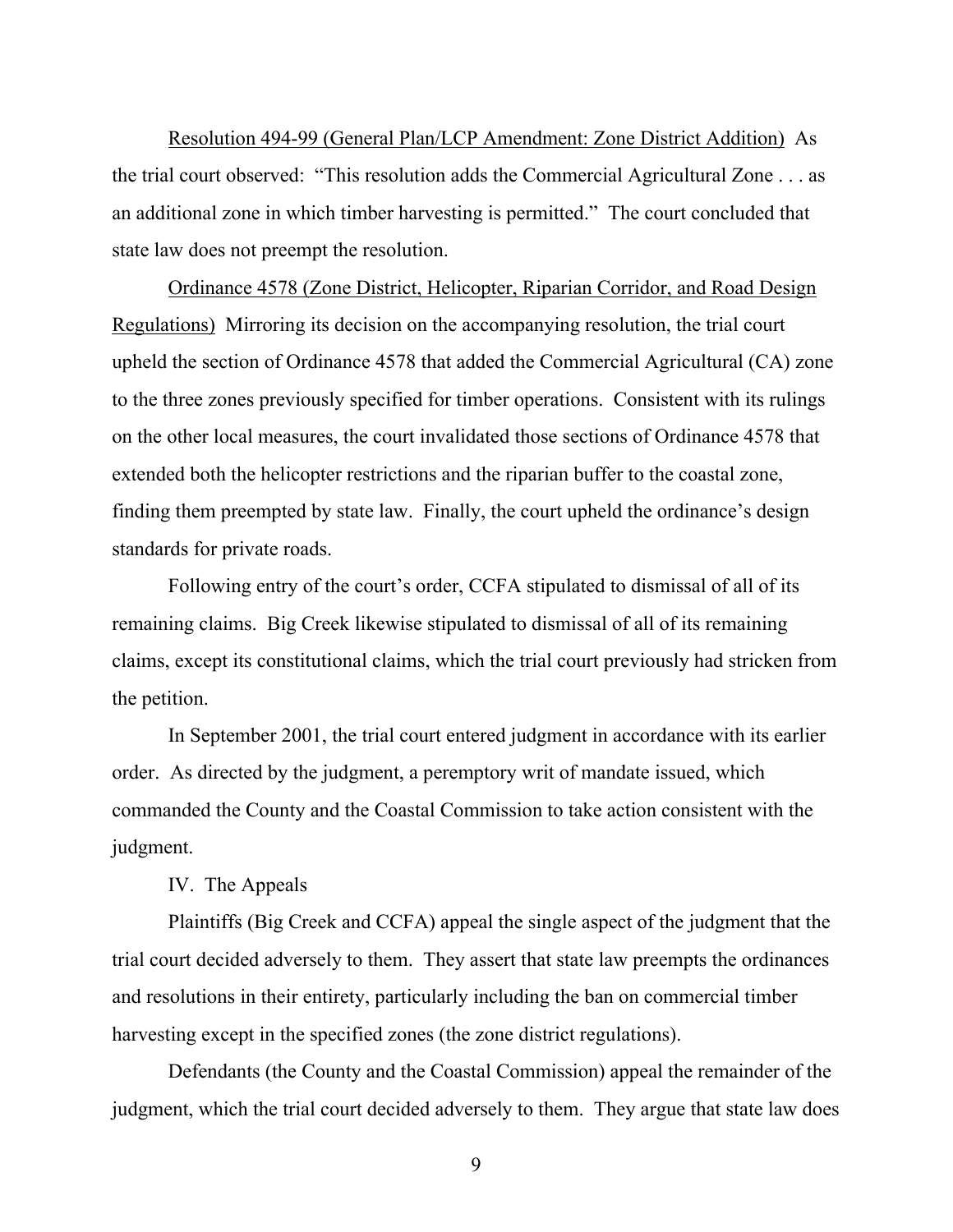Resolution 494-99 (General Plan/LCP Amendment: Zone District Addition) As the trial court observed: "This resolution adds the Commercial Agricultural Zone . . . as an additional zone in which timber harvesting is permitted." The court concluded that state law does not preempt the resolution.

Ordinance 4578 (Zone District, Helicopter, Riparian Corridor, and Road Design Regulations) Mirroring its decision on the accompanying resolution, the trial court upheld the section of Ordinance 4578 that added the Commercial Agricultural (CA) zone to the three zones previously specified for timber operations. Consistent with its rulings on the other local measures, the court invalidated those sections of Ordinance 4578 that extended both the helicopter restrictions and the riparian buffer to the coastal zone, finding them preempted by state law. Finally, the court upheld the ordinance's design standards for private roads.

Following entry of the court's order, CCFA stipulated to dismissal of all of its remaining claims. Big Creek likewise stipulated to dismissal of all of its remaining claims, except its constitutional claims, which the trial court previously had stricken from the petition.

In September 2001, the trial court entered judgment in accordance with its earlier order. As directed by the judgment, a peremptory writ of mandate issued, which commanded the County and the Coastal Commission to take action consistent with the judgment.

### IV. The Appeals

Plaintiffs (Big Creek and CCFA) appeal the single aspect of the judgment that the trial court decided adversely to them. They assert that state law preempts the ordinances and resolutions in their entirety, particularly including the ban on commercial timber harvesting except in the specified zones (the zone district regulations).

Defendants (the County and the Coastal Commission) appeal the remainder of the judgment, which the trial court decided adversely to them. They argue that state law does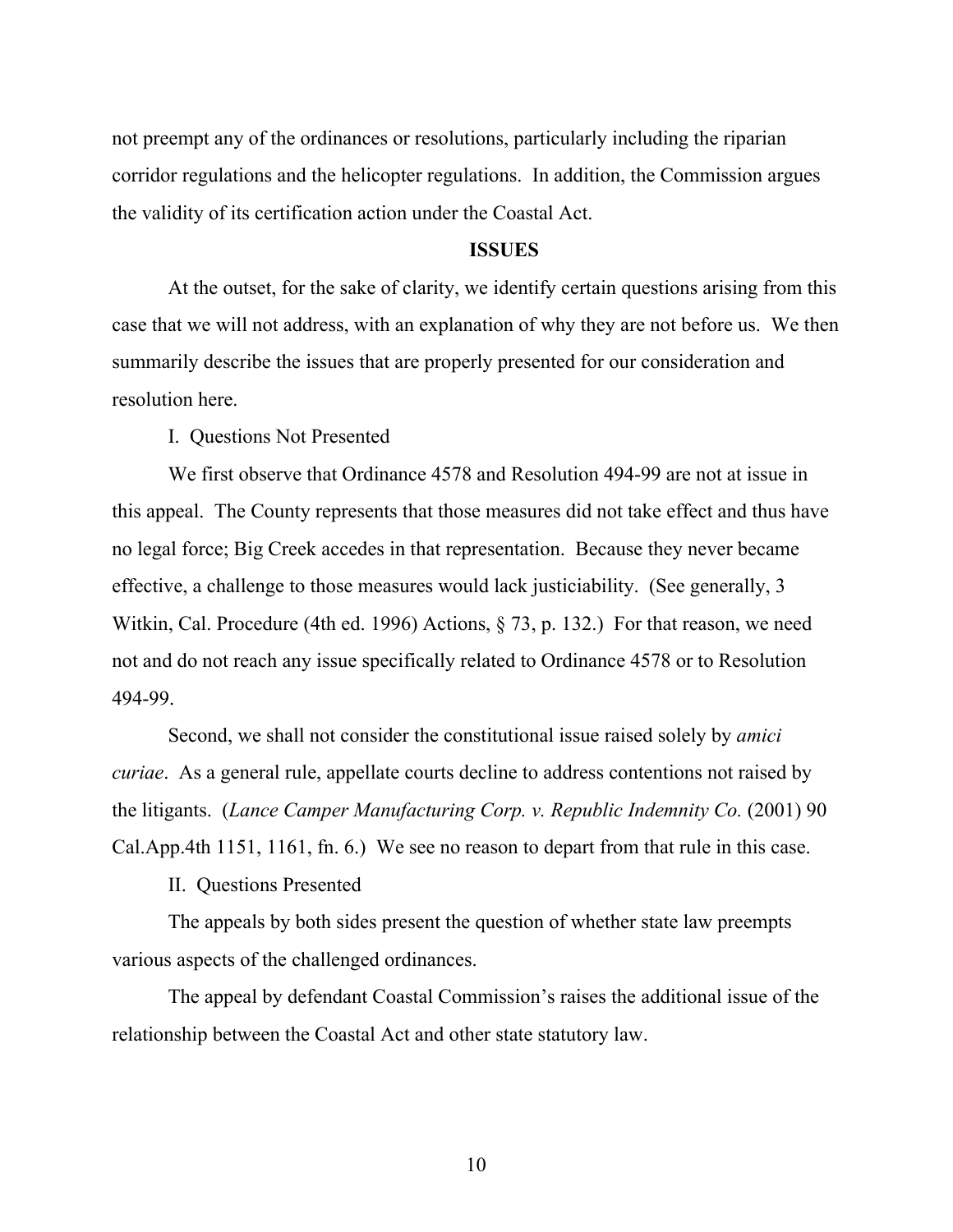not preempt any of the ordinances or resolutions, particularly including the riparian corridor regulations and the helicopter regulations. In addition, the Commission argues the validity of its certification action under the Coastal Act.

# **ISSUES**

At the outset, for the sake of clarity, we identify certain questions arising from this case that we will not address, with an explanation of why they are not before us. We then summarily describe the issues that are properly presented for our consideration and resolution here.

I. Questions Not Presented

We first observe that Ordinance 4578 and Resolution 494-99 are not at issue in this appeal. The County represents that those measures did not take effect and thus have no legal force; Big Creek accedes in that representation. Because they never became effective, a challenge to those measures would lack justiciability. (See generally, 3 Witkin, Cal. Procedure (4th ed. 1996) Actions, § 73, p. 132.) For that reason, we need not and do not reach any issue specifically related to Ordinance 4578 or to Resolution 494-99.

Second, we shall not consider the constitutional issue raised solely by *amici curiae*. As a general rule, appellate courts decline to address contentions not raised by the litigants. (*Lance Camper Manufacturing Corp. v. Republic Indemnity Co.* (2001) 90 Cal.App.4th 1151, 1161, fn. 6.) We see no reason to depart from that rule in this case.

II. Questions Presented

The appeals by both sides present the question of whether state law preempts various aspects of the challenged ordinances.

The appeal by defendant Coastal Commission's raises the additional issue of the relationship between the Coastal Act and other state statutory law.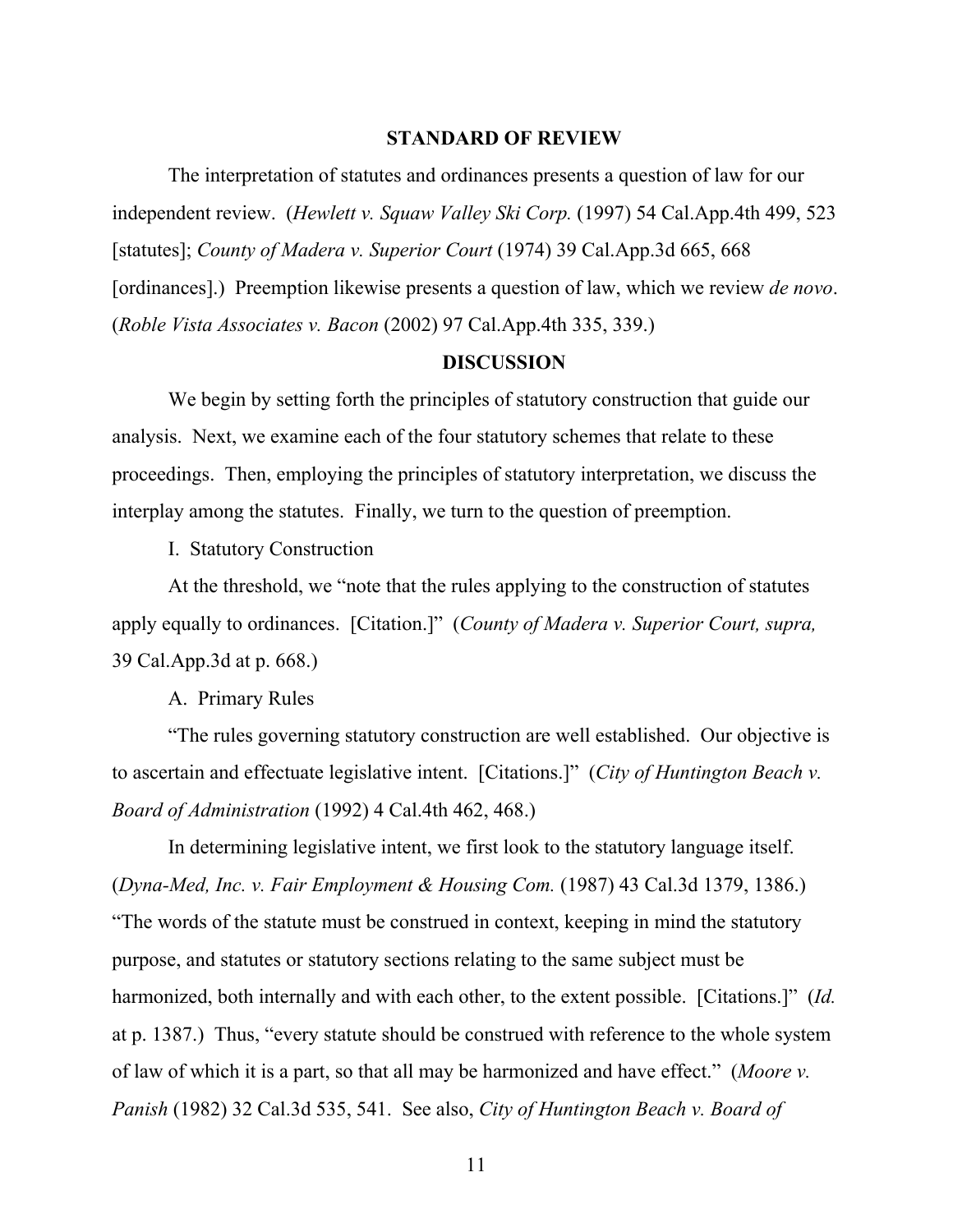#### **STANDARD OF REVIEW**

The interpretation of statutes and ordinances presents a question of law for our independent review. (*Hewlett v. Squaw Valley Ski Corp.* (1997) 54 Cal.App.4th 499, 523 [statutes]; *County of Madera v. Superior Court* (1974) 39 Cal.App.3d 665, 668 [ordinances].) Preemption likewise presents a question of law, which we review *de novo*. (*Roble Vista Associates v. Bacon* (2002) 97 Cal.App.4th 335, 339.)

### **DISCUSSION**

We begin by setting forth the principles of statutory construction that guide our analysis. Next, we examine each of the four statutory schemes that relate to these proceedings. Then, employing the principles of statutory interpretation, we discuss the interplay among the statutes. Finally, we turn to the question of preemption.

I. Statutory Construction

At the threshold, we "note that the rules applying to the construction of statutes apply equally to ordinances. [Citation.]" (*County of Madera v. Superior Court, supra,* 39 Cal.App.3d at p. 668.)

A. Primary Rules

"The rules governing statutory construction are well established. Our objective is to ascertain and effectuate legislative intent. [Citations.]" (*City of Huntington Beach v. Board of Administration* (1992) 4 Cal.4th 462, 468.)

In determining legislative intent, we first look to the statutory language itself. (*Dyna-Med, Inc. v. Fair Employment & Housing Com.* (1987) 43 Cal.3d 1379, 1386.) "The words of the statute must be construed in context, keeping in mind the statutory purpose, and statutes or statutory sections relating to the same subject must be harmonized, both internally and with each other, to the extent possible. [Citations.]" (*Id.* at p. 1387.) Thus, "every statute should be construed with reference to the whole system of law of which it is a part, so that all may be harmonized and have effect." (*Moore v. Panish* (1982) 32 Cal.3d 535, 541. See also, *City of Huntington Beach v. Board of*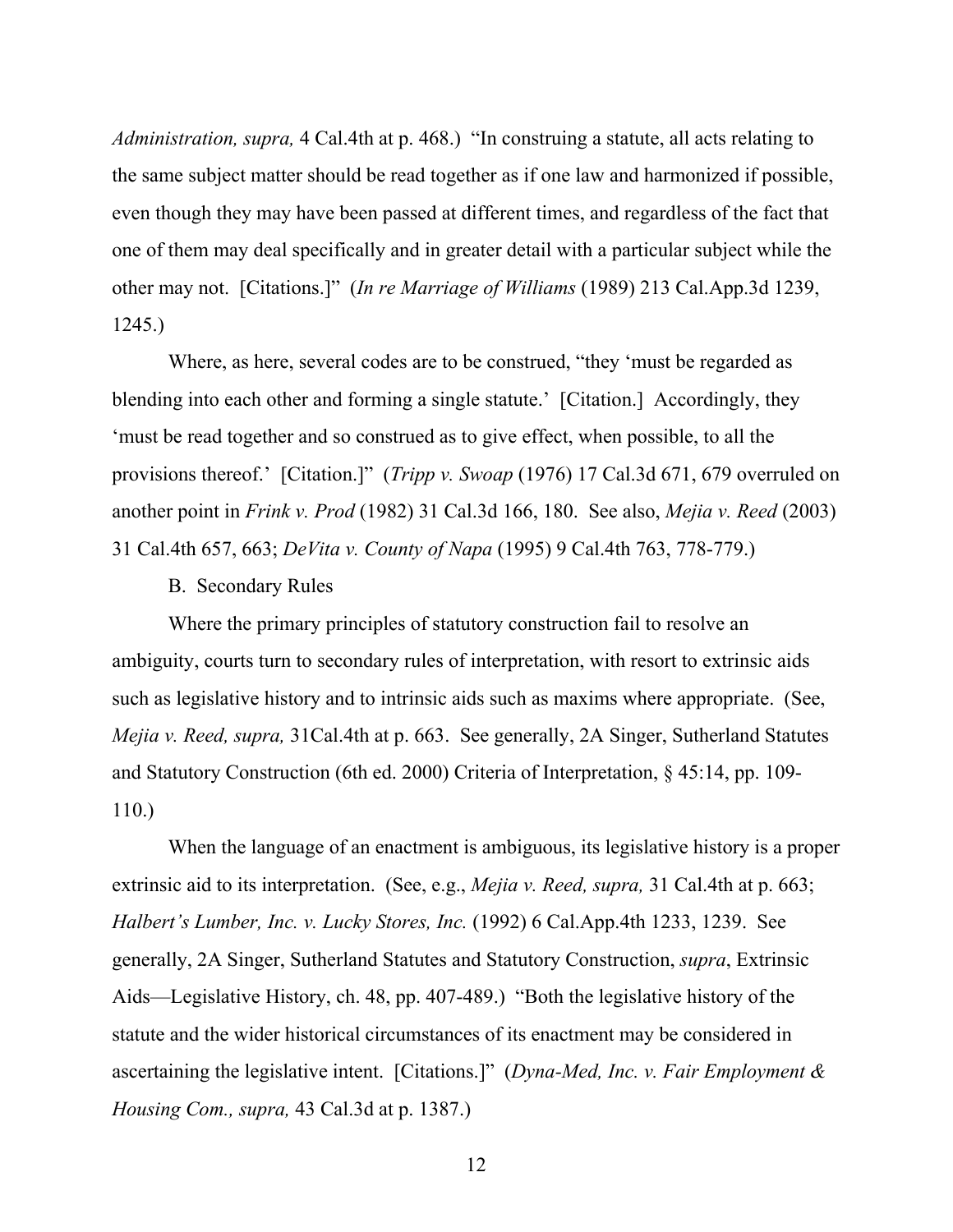*Administration, supra,* 4 Cal.4th at p. 468.) "In construing a statute, all acts relating to the same subject matter should be read together as if one law and harmonized if possible, even though they may have been passed at different times, and regardless of the fact that one of them may deal specifically and in greater detail with a particular subject while the other may not. [Citations.]" (*In re Marriage of Williams* (1989) 213 Cal.App.3d 1239, 1245.)

Where, as here, several codes are to be construed, "they 'must be regarded as blending into each other and forming a single statute.' [Citation.] Accordingly, they 'must be read together and so construed as to give effect, when possible, to all the provisions thereof.' [Citation.]" (*Tripp v. Swoap* (1976) 17 Cal.3d 671, 679 overruled on another point in *Frink v. Prod* (1982) 31 Cal.3d 166, 180. See also, *Mejia v. Reed* (2003) 31 Cal.4th 657, 663; *DeVita v. County of Napa* (1995) 9 Cal.4th 763, 778-779.)

B. Secondary Rules

Where the primary principles of statutory construction fail to resolve an ambiguity, courts turn to secondary rules of interpretation, with resort to extrinsic aids such as legislative history and to intrinsic aids such as maxims where appropriate. (See, *Mejia v. Reed, supra,* 31Cal.4th at p. 663. See generally, 2A Singer, Sutherland Statutes and Statutory Construction (6th ed. 2000) Criteria of Interpretation, § 45:14, pp. 109- 110.)

When the language of an enactment is ambiguous, its legislative history is a proper extrinsic aid to its interpretation. (See, e.g., *Mejia v. Reed, supra,* 31 Cal.4th at p. 663; *Halbert's Lumber, Inc. v. Lucky Stores, Inc.* (1992) 6 Cal.App.4th 1233, 1239. See generally, 2A Singer, Sutherland Statutes and Statutory Construction, *supra*, Extrinsic Aids—Legislative History, ch. 48, pp. 407-489.) "Both the legislative history of the statute and the wider historical circumstances of its enactment may be considered in ascertaining the legislative intent. [Citations.]" (*Dyna-Med, Inc. v. Fair Employment & Housing Com., supra,* 43 Cal.3d at p. 1387.)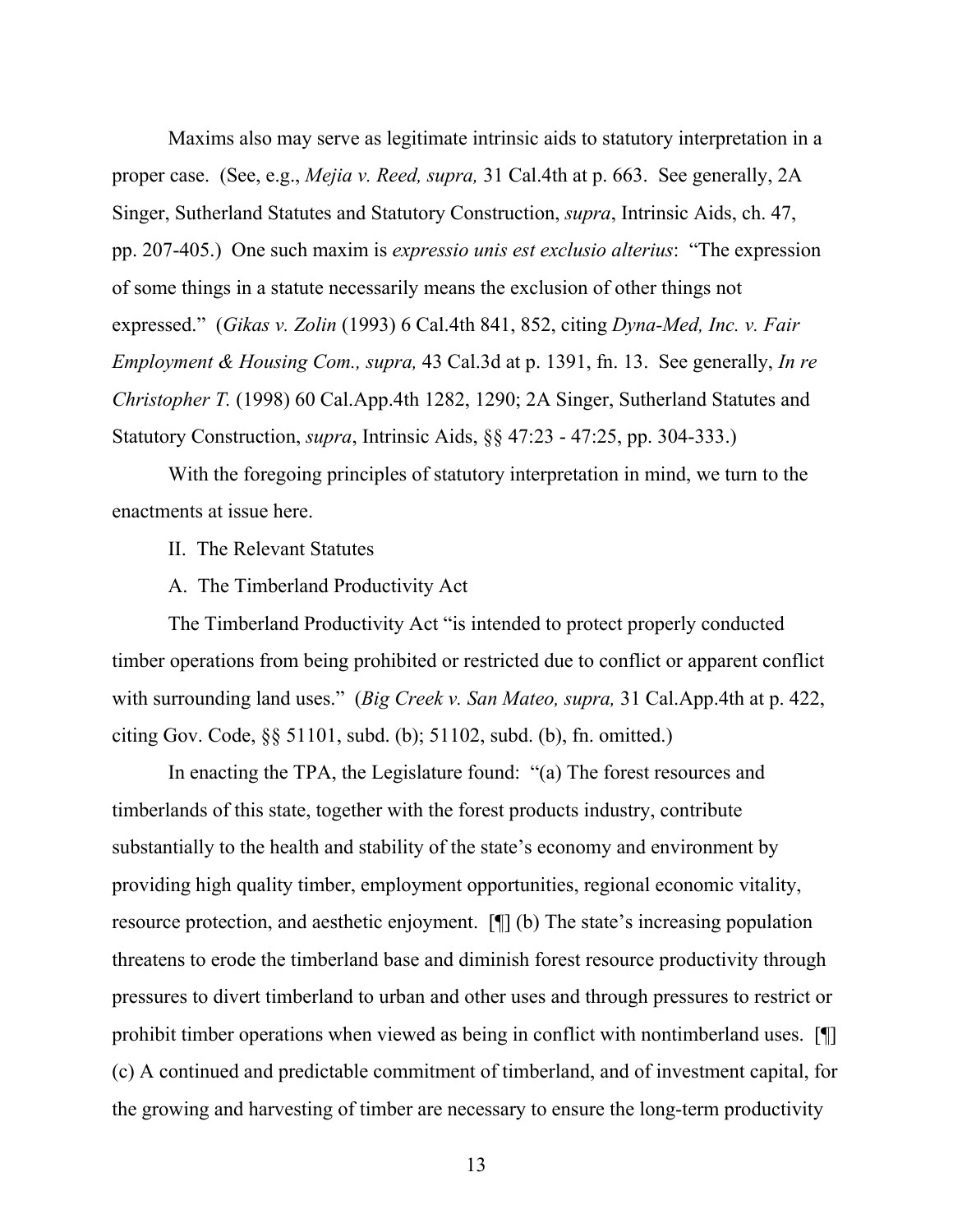Maxims also may serve as legitimate intrinsic aids to statutory interpretation in a proper case. (See, e.g., *Mejia v. Reed, supra,* 31 Cal.4th at p. 663. See generally, 2A Singer, Sutherland Statutes and Statutory Construction, *supra*, Intrinsic Aids, ch. 47, pp. 207-405.) One such maxim is *expressio unis est exclusio alterius*: "The expression of some things in a statute necessarily means the exclusion of other things not expressed." (*Gikas v. Zolin* (1993) 6 Cal.4th 841, 852, citing *Dyna-Med, Inc. v. Fair Employment & Housing Com., supra,* 43 Cal.3d at p. 1391, fn. 13. See generally, *In re Christopher T.* (1998) 60 Cal.App.4th 1282, 1290; 2A Singer, Sutherland Statutes and Statutory Construction, *supra*, Intrinsic Aids, §§ 47:23 - 47:25, pp. 304-333.)

With the foregoing principles of statutory interpretation in mind, we turn to the enactments at issue here.

II. The Relevant Statutes

A. The Timberland Productivity Act

The Timberland Productivity Act "is intended to protect properly conducted timber operations from being prohibited or restricted due to conflict or apparent conflict with surrounding land uses." (*Big Creek v. San Mateo, supra,* 31 Cal.App.4th at p. 422, citing Gov. Code, §§ 51101, subd. (b); 51102, subd. (b), fn. omitted.)

In enacting the TPA, the Legislature found: "(a) The forest resources and timberlands of this state, together with the forest products industry, contribute substantially to the health and stability of the state's economy and environment by providing high quality timber, employment opportunities, regional economic vitality, resource protection, and aesthetic enjoyment. [¶] (b) The state's increasing population threatens to erode the timberland base and diminish forest resource productivity through pressures to divert timberland to urban and other uses and through pressures to restrict or prohibit timber operations when viewed as being in conflict with nontimberland uses. [¶] (c) A continued and predictable commitment of timberland, and of investment capital, for the growing and harvesting of timber are necessary to ensure the long-term productivity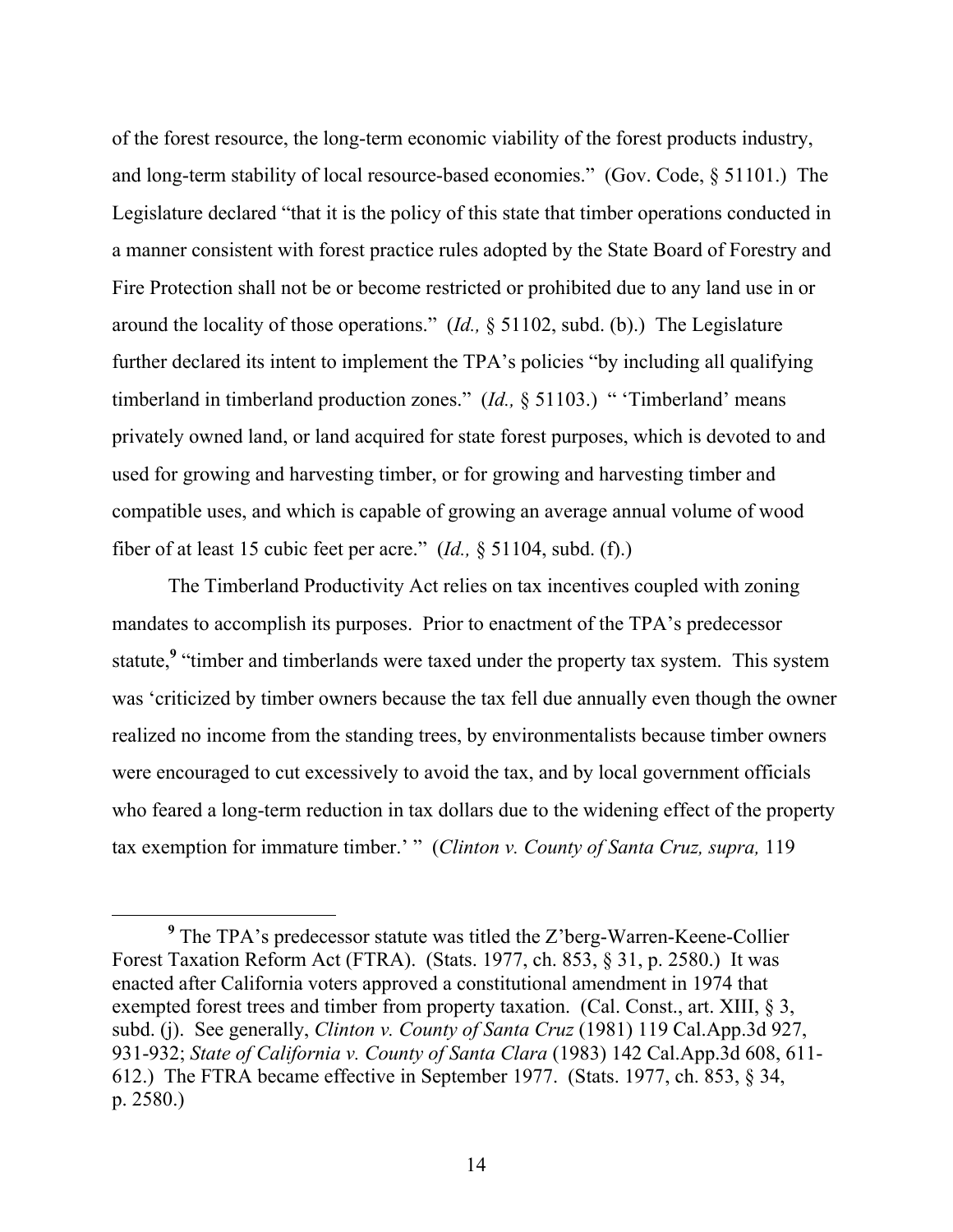of the forest resource, the long-term economic viability of the forest products industry, and long-term stability of local resource-based economies." (Gov. Code, § 51101.) The Legislature declared "that it is the policy of this state that timber operations conducted in a manner consistent with forest practice rules adopted by the State Board of Forestry and Fire Protection shall not be or become restricted or prohibited due to any land use in or around the locality of those operations." (*Id.,* § 51102, subd. (b).) The Legislature further declared its intent to implement the TPA's policies "by including all qualifying timberland in timberland production zones." (*Id.,* § 51103.) " 'Timberland' means privately owned land, or land acquired for state forest purposes, which is devoted to and used for growing and harvesting timber, or for growing and harvesting timber and compatible uses, and which is capable of growing an average annual volume of wood fiber of at least 15 cubic feet per acre." (*Id.,* § 51104, subd. (f).)

The Timberland Productivity Act relies on tax incentives coupled with zoning mandates to accomplish its purposes. Prior to enactment of the TPA's predecessor statute,<sup>9</sup> "timber and timberlands were taxed under the property tax system. This system was 'criticized by timber owners because the tax fell due annually even though the owner realized no income from the standing trees, by environmentalists because timber owners were encouraged to cut excessively to avoid the tax, and by local government officials who feared a long-term reduction in tax dollars due to the widening effect of the property tax exemption for immature timber.' " (*Clinton v. County of Santa Cruz, supra,* 119

**<sup>9</sup>** The TPA's predecessor statute was titled the Z'berg-Warren-Keene-Collier Forest Taxation Reform Act (FTRA). (Stats. 1977, ch. 853, § 31, p. 2580.) It was enacted after California voters approved a constitutional amendment in 1974 that exempted forest trees and timber from property taxation. (Cal. Const., art. XIII, § 3, subd. (j). See generally, *Clinton v. County of Santa Cruz* (1981) 119 Cal.App.3d 927, 931-932; *State of California v. County of Santa Clara* (1983) 142 Cal.App.3d 608, 611- 612.) The FTRA became effective in September 1977. (Stats. 1977, ch. 853, § 34, p. 2580.)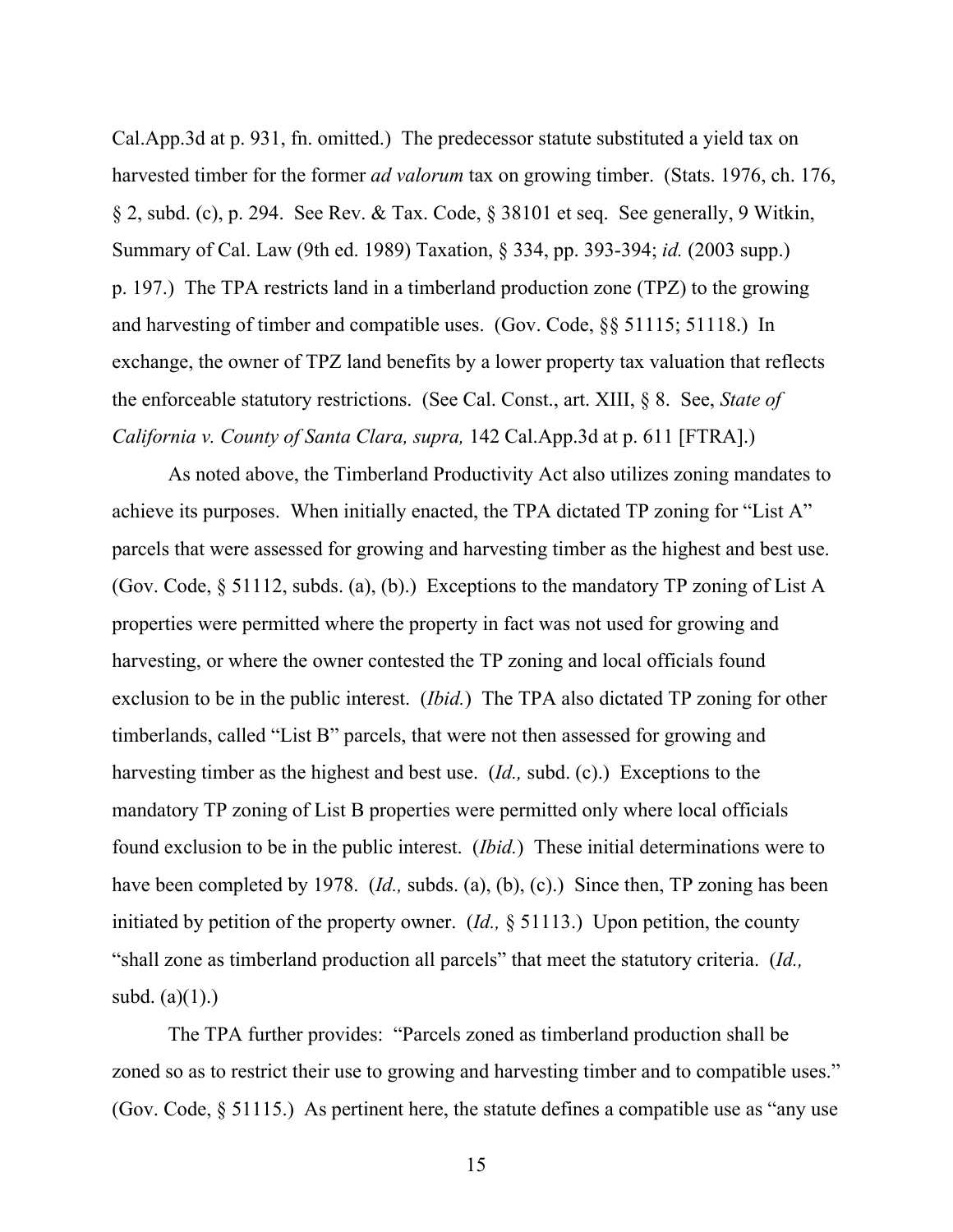Cal.App.3d at p. 931, fn. omitted.) The predecessor statute substituted a yield tax on harvested timber for the former *ad valorum* tax on growing timber. (Stats. 1976, ch. 176, § 2, subd. (c), p. 294. See Rev. & Tax. Code, § 38101 et seq. See generally, 9 Witkin, Summary of Cal. Law (9th ed. 1989) Taxation, § 334, pp. 393-394; *id.* (2003 supp.) p. 197.) The TPA restricts land in a timberland production zone (TPZ) to the growing and harvesting of timber and compatible uses. (Gov. Code, §§ 51115; 51118.) In exchange, the owner of TPZ land benefits by a lower property tax valuation that reflects the enforceable statutory restrictions. (See Cal. Const., art. XIII, § 8. See, *State of California v. County of Santa Clara, supra,* 142 Cal.App.3d at p. 611 [FTRA].)

As noted above, the Timberland Productivity Act also utilizes zoning mandates to achieve its purposes. When initially enacted, the TPA dictated TP zoning for "List A" parcels that were assessed for growing and harvesting timber as the highest and best use. (Gov. Code, § 51112, subds. (a), (b).) Exceptions to the mandatory TP zoning of List A properties were permitted where the property in fact was not used for growing and harvesting, or where the owner contested the TP zoning and local officials found exclusion to be in the public interest. (*Ibid.*) The TPA also dictated TP zoning for other timberlands, called "List B" parcels, that were not then assessed for growing and harvesting timber as the highest and best use. (*Id.,* subd. (c).) Exceptions to the mandatory TP zoning of List B properties were permitted only where local officials found exclusion to be in the public interest. (*Ibid.*) These initial determinations were to have been completed by 1978. (*Id.*, subds. (a), (b), (c).) Since then, TP zoning has been initiated by petition of the property owner. (*Id.,* § 51113.) Upon petition, the county "shall zone as timberland production all parcels" that meet the statutory criteria. (*Id.,* subd.  $(a)(1)$ .)

The TPA further provides: "Parcels zoned as timberland production shall be zoned so as to restrict their use to growing and harvesting timber and to compatible uses." (Gov. Code, § 51115.) As pertinent here, the statute defines a compatible use as "any use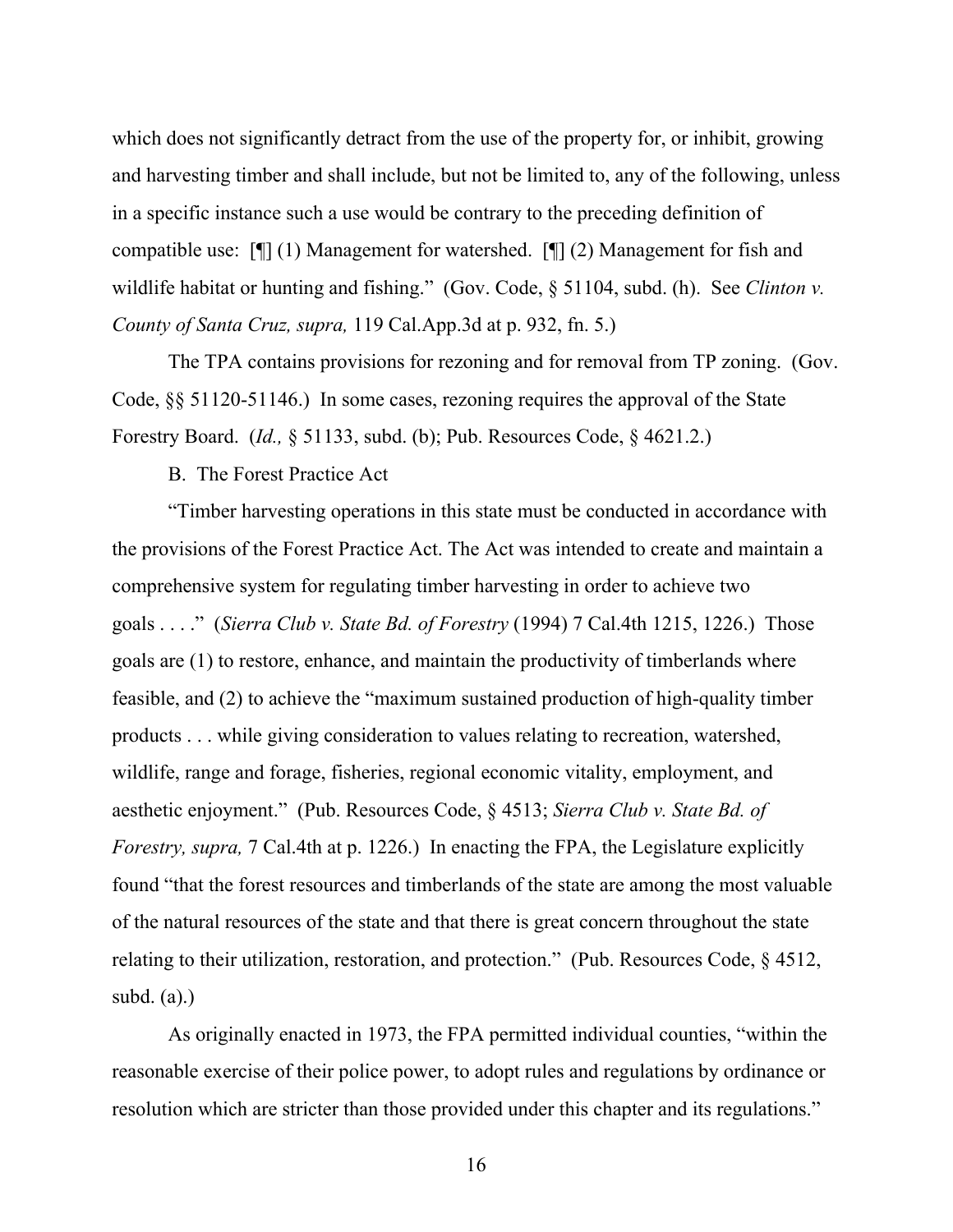which does not significantly detract from the use of the property for, or inhibit, growing and harvesting timber and shall include, but not be limited to, any of the following, unless in a specific instance such a use would be contrary to the preceding definition of compatible use: [¶] (1) Management for watershed. [¶] (2) Management for fish and wildlife habitat or hunting and fishing." (Gov. Code, § 51104, subd. (h). See *Clinton v. County of Santa Cruz, supra,* 119 Cal.App.3d at p. 932, fn. 5.)

The TPA contains provisions for rezoning and for removal from TP zoning. (Gov. Code, §§ 51120-51146.) In some cases, rezoning requires the approval of the State Forestry Board. (*Id.,* § 51133, subd. (b); Pub. Resources Code, § 4621.2.)

B. The Forest Practice Act

"Timber harvesting operations in this state must be conducted in accordance with the provisions of the Forest Practice Act. The Act was intended to create and maintain a comprehensive system for regulating timber harvesting in order to achieve two goals . . . ." (*Sierra Club v. State Bd. of Forestry* (1994) 7 Cal.4th 1215, 1226.) Those goals are (1) to restore, enhance, and maintain the productivity of timberlands where feasible, and (2) to achieve the "maximum sustained production of high-quality timber products . . . while giving consideration to values relating to recreation, watershed, wildlife, range and forage, fisheries, regional economic vitality, employment, and aesthetic enjoyment." (Pub. Resources Code, § 4513; *Sierra Club v. State Bd. of Forestry, supra,* 7 Cal.4th at p. 1226.) In enacting the FPA, the Legislature explicitly found "that the forest resources and timberlands of the state are among the most valuable of the natural resources of the state and that there is great concern throughout the state relating to their utilization, restoration, and protection." (Pub. Resources Code, § 4512, subd.  $(a)$ .)

As originally enacted in 1973, the FPA permitted individual counties, "within the reasonable exercise of their police power, to adopt rules and regulations by ordinance or resolution which are stricter than those provided under this chapter and its regulations."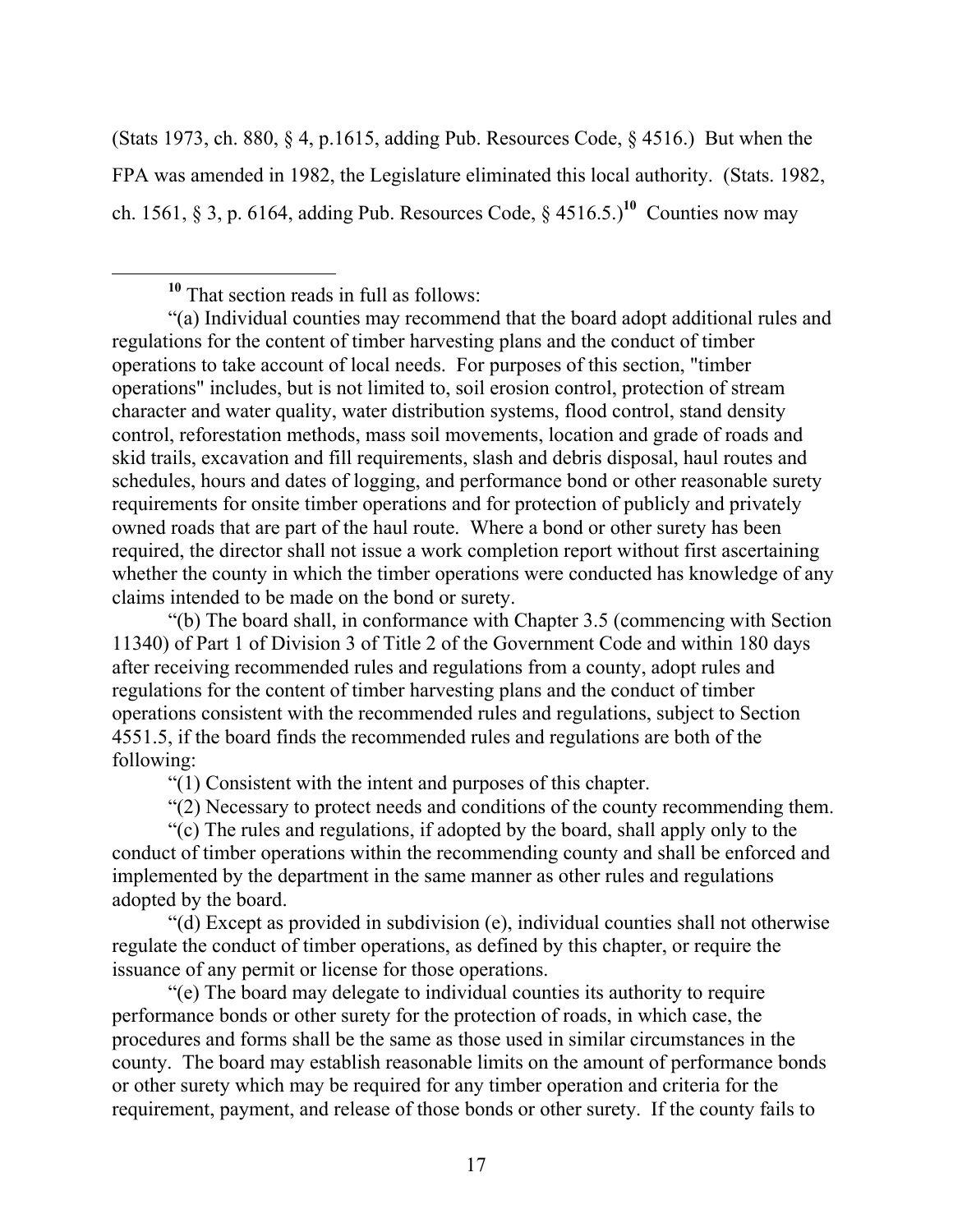(Stats 1973, ch. 880, § 4, p.1615, adding Pub. Resources Code, § 4516.) But when the FPA was amended in 1982, the Legislature eliminated this local authority. (Stats. 1982, ch. 1561, § 3, p. 6164, adding Pub. Resources Code, §  $4516.5$ .)<sup>10</sup> Counties now may

"(b) The board shall, in conformance with Chapter 3.5 (commencing with Section 11340) of Part 1 of Division 3 of Title 2 of the Government Code and within 180 days after receiving recommended rules and regulations from a county, adopt rules and regulations for the content of timber harvesting plans and the conduct of timber operations consistent with the recommended rules and regulations, subject to Section 4551.5, if the board finds the recommended rules and regulations are both of the following:

"(1) Consistent with the intent and purposes of this chapter.

"(2) Necessary to protect needs and conditions of the county recommending them.

"(c) The rules and regulations, if adopted by the board, shall apply only to the conduct of timber operations within the recommending county and shall be enforced and implemented by the department in the same manner as other rules and regulations adopted by the board.

"(d) Except as provided in subdivision (e), individual counties shall not otherwise regulate the conduct of timber operations, as defined by this chapter, or require the issuance of any permit or license for those operations.

"(e) The board may delegate to individual counties its authority to require performance bonds or other surety for the protection of roads, in which case, the procedures and forms shall be the same as those used in similar circumstances in the county. The board may establish reasonable limits on the amount of performance bonds or other surety which may be required for any timber operation and criteria for the requirement, payment, and release of those bonds or other surety. If the county fails to

**<sup>10</sup>** That section reads in full as follows:

<sup>&</sup>quot;(a) Individual counties may recommend that the board adopt additional rules and regulations for the content of timber harvesting plans and the conduct of timber operations to take account of local needs. For purposes of this section, "timber operations" includes, but is not limited to, soil erosion control, protection of stream character and water quality, water distribution systems, flood control, stand density control, reforestation methods, mass soil movements, location and grade of roads and skid trails, excavation and fill requirements, slash and debris disposal, haul routes and schedules, hours and dates of logging, and performance bond or other reasonable surety requirements for onsite timber operations and for protection of publicly and privately owned roads that are part of the haul route. Where a bond or other surety has been required, the director shall not issue a work completion report without first ascertaining whether the county in which the timber operations were conducted has knowledge of any claims intended to be made on the bond or surety.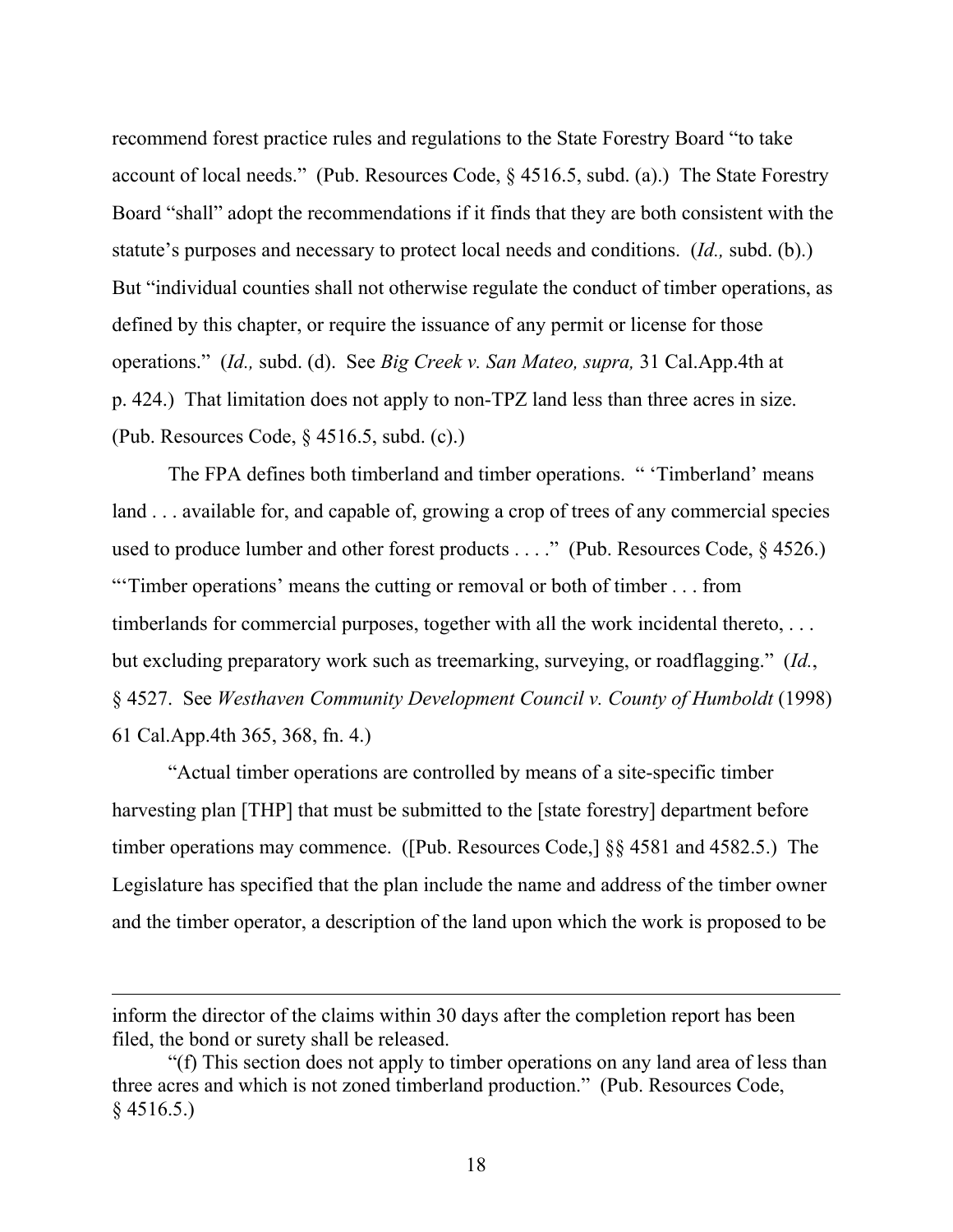recommend forest practice rules and regulations to the State Forestry Board "to take account of local needs." (Pub. Resources Code, § 4516.5, subd. (a).) The State Forestry Board "shall" adopt the recommendations if it finds that they are both consistent with the statute's purposes and necessary to protect local needs and conditions. (*Id.,* subd. (b).) But "individual counties shall not otherwise regulate the conduct of timber operations, as defined by this chapter, or require the issuance of any permit or license for those operations." (*Id.,* subd. (d). See *Big Creek v. San Mateo, supra,* 31 Cal.App.4th at p. 424.) That limitation does not apply to non-TPZ land less than three acres in size. (Pub. Resources Code, § 4516.5, subd. (c).)

The FPA defines both timberland and timber operations. " 'Timberland' means land . . . available for, and capable of, growing a crop of trees of any commercial species used to produce lumber and other forest products . . . ." (Pub. Resources Code, § 4526.) "'Timber operations' means the cutting or removal or both of timber . . . from timberlands for commercial purposes, together with all the work incidental thereto, . . . but excluding preparatory work such as treemarking, surveying, or roadflagging." (*Id.*, § 4527. See *Westhaven Community Development Council v. County of Humboldt* (1998) 61 Cal.App.4th 365, 368, fn. 4.)

"Actual timber operations are controlled by means of a site-specific timber harvesting plan [THP] that must be submitted to the [state forestry] department before timber operations may commence. ([Pub. Resources Code,] §§ 4581 and 4582.5.) The Legislature has specified that the plan include the name and address of the timber owner and the timber operator, a description of the land upon which the work is proposed to be

 $\overline{a}$ 

inform the director of the claims within 30 days after the completion report has been filed, the bond or surety shall be released.

<sup>&</sup>quot;(f) This section does not apply to timber operations on any land area of less than three acres and which is not zoned timberland production." (Pub. Resources Code,  $§$  4516.5.)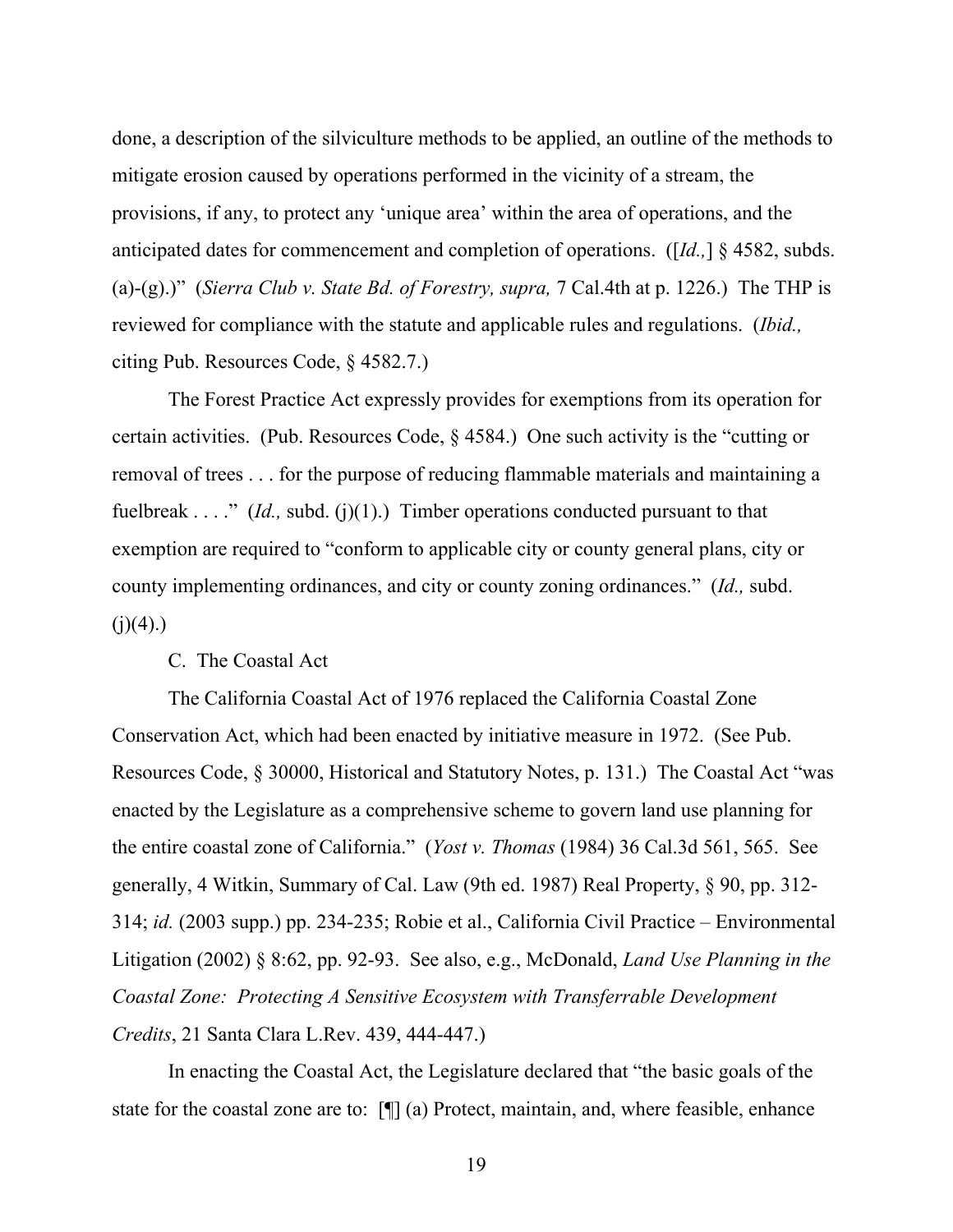done, a description of the silviculture methods to be applied, an outline of the methods to mitigate erosion caused by operations performed in the vicinity of a stream, the provisions, if any, to protect any 'unique area' within the area of operations, and the anticipated dates for commencement and completion of operations. ([*Id.,*] § 4582, subds. (a)-(g).)" (*Sierra Club v. State Bd. of Forestry, supra,* 7 Cal.4th at p. 1226.) The THP is reviewed for compliance with the statute and applicable rules and regulations. (*Ibid.,*  citing Pub. Resources Code, § 4582.7.)

The Forest Practice Act expressly provides for exemptions from its operation for certain activities. (Pub. Resources Code, § 4584.) One such activity is the "cutting or removal of trees . . . for the purpose of reducing flammable materials and maintaining a fuelbreak . . . ." *(Id., subd. (j)(1).)* Timber operations conducted pursuant to that exemption are required to "conform to applicable city or county general plans, city or county implementing ordinances, and city or county zoning ordinances." (*Id.,* subd.  $(i)(4)$ .)

#### C. The Coastal Act

The California Coastal Act of 1976 replaced the California Coastal Zone Conservation Act, which had been enacted by initiative measure in 1972. (See Pub. Resources Code, § 30000, Historical and Statutory Notes, p. 131.) The Coastal Act "was enacted by the Legislature as a comprehensive scheme to govern land use planning for the entire coastal zone of California." (*Yost v. Thomas* (1984) 36 Cal.3d 561, 565. See generally, 4 Witkin, Summary of Cal. Law (9th ed. 1987) Real Property, § 90, pp. 312- 314; *id.* (2003 supp.) pp. 234-235; Robie et al., California Civil Practice – Environmental Litigation (2002) § 8:62, pp. 92-93. See also, e.g., McDonald, *Land Use Planning in the Coastal Zone: Protecting A Sensitive Ecosystem with Transferrable Development Credits*, 21 Santa Clara L.Rev. 439, 444-447.)

In enacting the Coastal Act, the Legislature declared that "the basic goals of the state for the coastal zone are to: [¶] (a) Protect, maintain, and, where feasible, enhance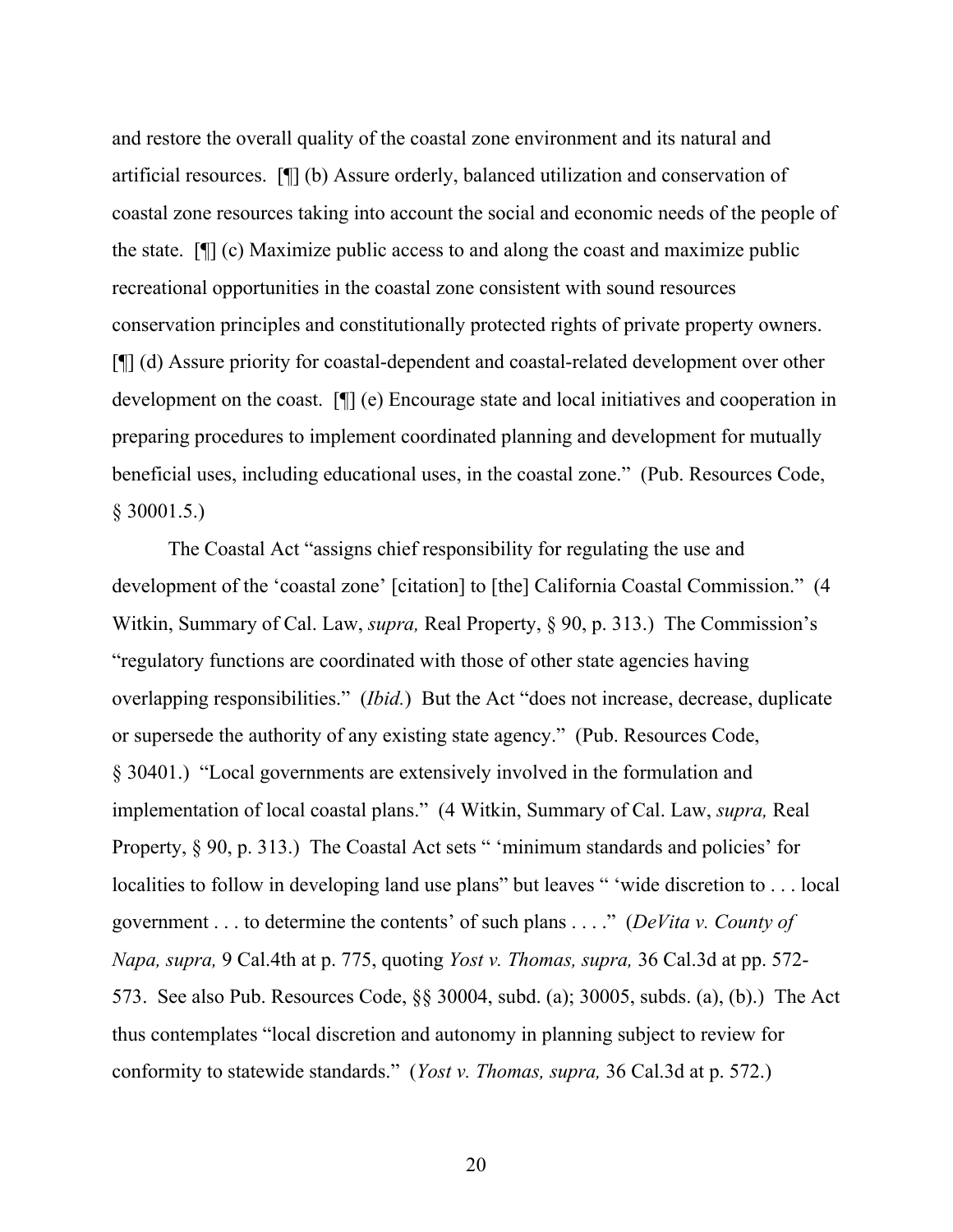and restore the overall quality of the coastal zone environment and its natural and artificial resources. [¶] (b) Assure orderly, balanced utilization and conservation of coastal zone resources taking into account the social and economic needs of the people of the state. [¶] (c) Maximize public access to and along the coast and maximize public recreational opportunities in the coastal zone consistent with sound resources conservation principles and constitutionally protected rights of private property owners. [¶] (d) Assure priority for coastal-dependent and coastal-related development over other development on the coast. [¶] (e) Encourage state and local initiatives and cooperation in preparing procedures to implement coordinated planning and development for mutually beneficial uses, including educational uses, in the coastal zone." (Pub. Resources Code, § 30001.5.)

The Coastal Act "assigns chief responsibility for regulating the use and development of the 'coastal zone' [citation] to [the] California Coastal Commission." (4 Witkin, Summary of Cal. Law, *supra,* Real Property, § 90, p. 313.) The Commission's "regulatory functions are coordinated with those of other state agencies having overlapping responsibilities." (*Ibid.*) But the Act "does not increase, decrease, duplicate or supersede the authority of any existing state agency." (Pub. Resources Code, § 30401.) "Local governments are extensively involved in the formulation and implementation of local coastal plans." (4 Witkin, Summary of Cal. Law, *supra,* Real Property, § 90, p. 313.) The Coastal Act sets " 'minimum standards and policies' for localities to follow in developing land use plans" but leaves " 'wide discretion to . . . local government . . . to determine the contents' of such plans . . . ." (*DeVita v. County of Napa, supra,* 9 Cal.4th at p. 775, quoting *Yost v. Thomas, supra,* 36 Cal.3d at pp. 572- 573. See also Pub. Resources Code, §§ 30004, subd. (a); 30005, subds. (a), (b).) The Act thus contemplates "local discretion and autonomy in planning subject to review for conformity to statewide standards." (*Yost v. Thomas, supra,* 36 Cal.3d at p. 572.)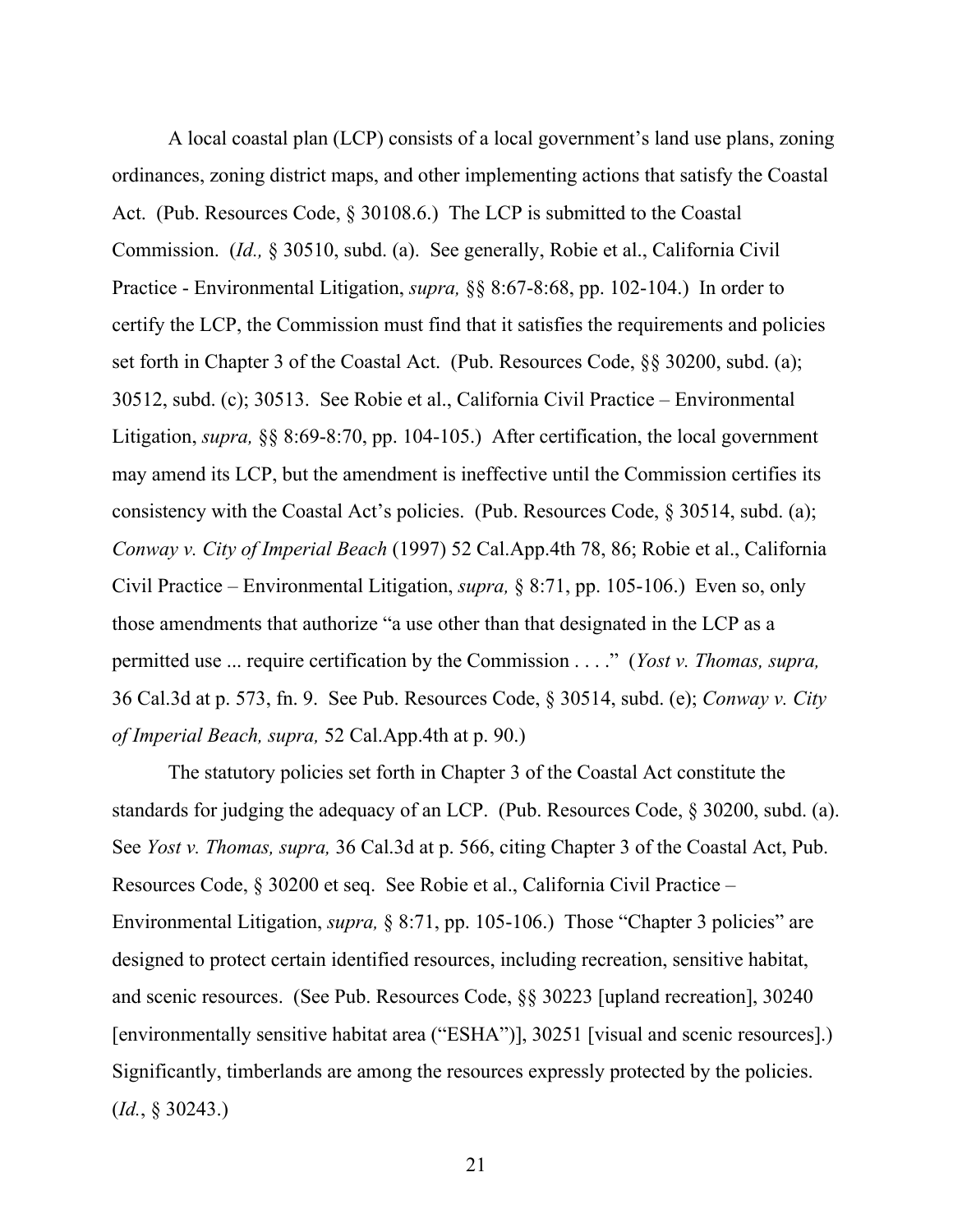A local coastal plan (LCP) consists of a local government's land use plans, zoning ordinances, zoning district maps, and other implementing actions that satisfy the Coastal Act. (Pub. Resources Code, § 30108.6.) The LCP is submitted to the Coastal Commission. (*Id.,* § 30510, subd. (a). See generally, Robie et al., California Civil Practice - Environmental Litigation, *supra,* §§ 8:67-8:68, pp. 102-104.) In order to certify the LCP, the Commission must find that it satisfies the requirements and policies set forth in Chapter 3 of the Coastal Act. (Pub. Resources Code, §§ 30200, subd. (a); 30512, subd. (c); 30513. See Robie et al., California Civil Practice – Environmental Litigation, *supra,* §§ 8:69-8:70, pp. 104-105.) After certification, the local government may amend its LCP, but the amendment is ineffective until the Commission certifies its consistency with the Coastal Act's policies. (Pub. Resources Code, § 30514, subd. (a); *Conway v. City of Imperial Beach* (1997) 52 Cal.App.4th 78, 86; Robie et al., California Civil Practice – Environmental Litigation, *supra,* § 8:71, pp. 105-106.) Even so, only those amendments that authorize "a use other than that designated in the LCP as a permitted use ... require certification by the Commission . . . ." (*Yost v. Thomas, supra,* 36 Cal.3d at p. 573, fn. 9. See Pub. Resources Code, § 30514, subd. (e); *Conway v. City of Imperial Beach, supra,* 52 Cal.App.4th at p. 90.)

The statutory policies set forth in Chapter 3 of the Coastal Act constitute the standards for judging the adequacy of an LCP. (Pub. Resources Code, § 30200, subd. (a). See *Yost v. Thomas, supra,* 36 Cal.3d at p. 566, citing Chapter 3 of the Coastal Act, Pub. Resources Code, § 30200 et seq. See Robie et al., California Civil Practice – Environmental Litigation, *supra,* § 8:71, pp. 105-106.) Those "Chapter 3 policies" are designed to protect certain identified resources, including recreation, sensitive habitat, and scenic resources. (See Pub. Resources Code, §§ 30223 [upland recreation], 30240 [environmentally sensitive habitat area ("ESHA")], 30251 [visual and scenic resources].) Significantly, timberlands are among the resources expressly protected by the policies. (*Id.*, § 30243.)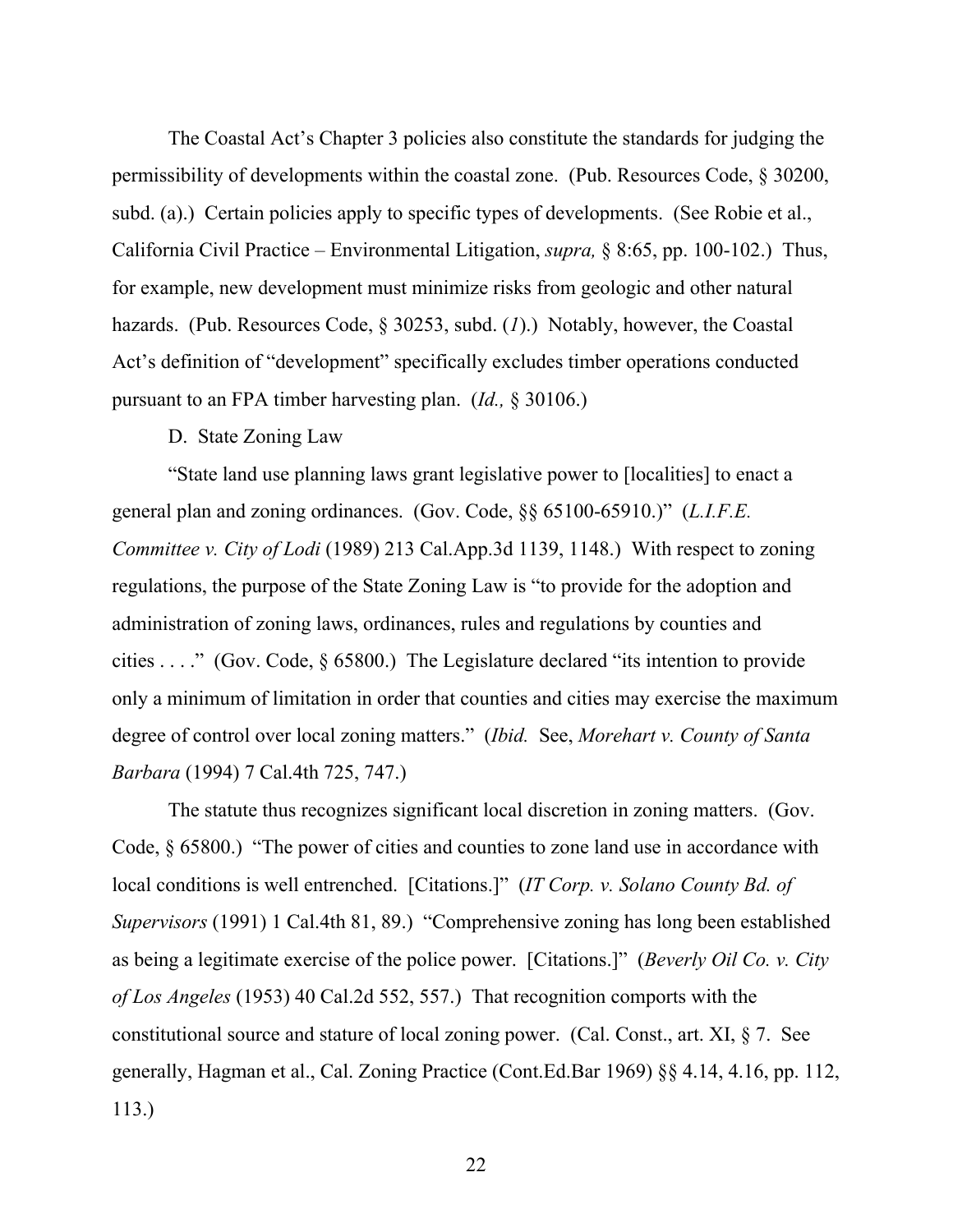The Coastal Act's Chapter 3 policies also constitute the standards for judging the permissibility of developments within the coastal zone. (Pub. Resources Code, § 30200, subd. (a).) Certain policies apply to specific types of developments. (See Robie et al., California Civil Practice – Environmental Litigation, *supra,* § 8:65, pp. 100-102.) Thus, for example, new development must minimize risks from geologic and other natural hazards. (Pub. Resources Code, § 30253, subd. (*1*).) Notably, however, the Coastal Act's definition of "development" specifically excludes timber operations conducted pursuant to an FPA timber harvesting plan. (*Id.,* § 30106.)

### D. State Zoning Law

"State land use planning laws grant legislative power to [localities] to enact a general plan and zoning ordinances. (Gov. Code, §§ 65100-65910.)" (*L.I.F.E. Committee v. City of Lodi* (1989) 213 Cal.App.3d 1139, 1148.) With respect to zoning regulations, the purpose of the State Zoning Law is "to provide for the adoption and administration of zoning laws, ordinances, rules and regulations by counties and cities . . . ." (Gov. Code, § 65800.) The Legislature declared "its intention to provide only a minimum of limitation in order that counties and cities may exercise the maximum degree of control over local zoning matters." (*Ibid.* See, *Morehart v. County of Santa Barbara* (1994) 7 Cal.4th 725, 747.)

The statute thus recognizes significant local discretion in zoning matters. (Gov. Code, § 65800.) "The power of cities and counties to zone land use in accordance with local conditions is well entrenched. [Citations.]" (*IT Corp. v. Solano County Bd. of Supervisors* (1991) 1 Cal.4th 81, 89.) "Comprehensive zoning has long been established as being a legitimate exercise of the police power. [Citations.]" (*Beverly Oil Co. v. City of Los Angeles* (1953) 40 Cal.2d 552, 557.) That recognition comports with the constitutional source and stature of local zoning power. (Cal. Const., art. XI, § 7. See generally, Hagman et al., Cal. Zoning Practice (Cont.Ed.Bar 1969) §§ 4.14, 4.16, pp. 112, 113.)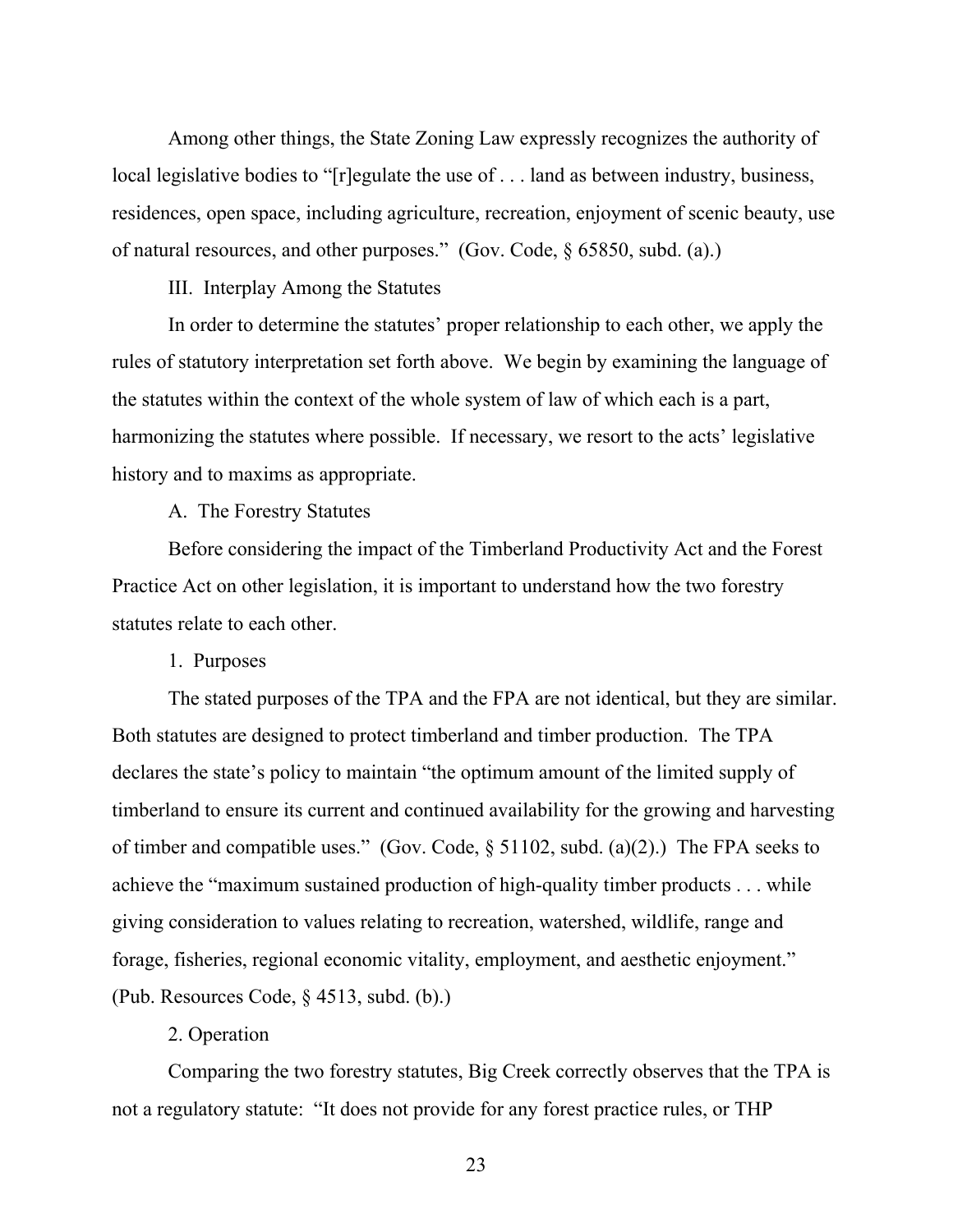Among other things, the State Zoning Law expressly recognizes the authority of local legislative bodies to "[r]egulate the use of . . . land as between industry, business, residences, open space, including agriculture, recreation, enjoyment of scenic beauty, use of natural resources, and other purposes." (Gov. Code, § 65850, subd. (a).)

III. Interplay Among the Statutes

In order to determine the statutes' proper relationship to each other, we apply the rules of statutory interpretation set forth above. We begin by examining the language of the statutes within the context of the whole system of law of which each is a part, harmonizing the statutes where possible. If necessary, we resort to the acts' legislative history and to maxims as appropriate.

A. The Forestry Statutes

Before considering the impact of the Timberland Productivity Act and the Forest Practice Act on other legislation, it is important to understand how the two forestry statutes relate to each other.

1. Purposes

The stated purposes of the TPA and the FPA are not identical, but they are similar. Both statutes are designed to protect timberland and timber production. The TPA declares the state's policy to maintain "the optimum amount of the limited supply of timberland to ensure its current and continued availability for the growing and harvesting of timber and compatible uses." (Gov. Code, § 51102, subd. (a)(2).) The FPA seeks to achieve the "maximum sustained production of high-quality timber products . . . while giving consideration to values relating to recreation, watershed, wildlife, range and forage, fisheries, regional economic vitality, employment, and aesthetic enjoyment." (Pub. Resources Code, § 4513, subd. (b).)

#### 2. Operation

Comparing the two forestry statutes, Big Creek correctly observes that the TPA is not a regulatory statute: "It does not provide for any forest practice rules, or THP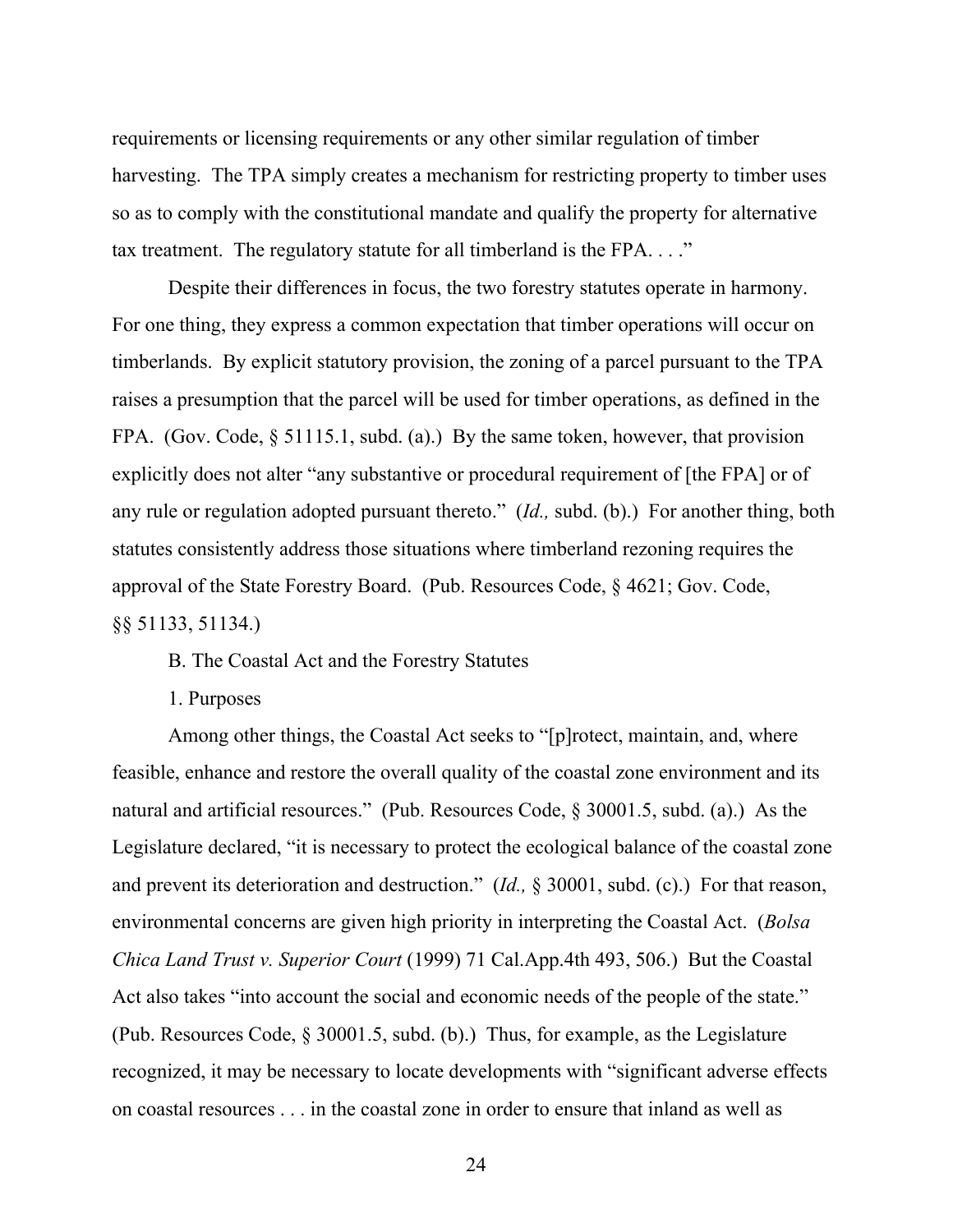requirements or licensing requirements or any other similar regulation of timber harvesting. The TPA simply creates a mechanism for restricting property to timber uses so as to comply with the constitutional mandate and qualify the property for alternative tax treatment. The regulatory statute for all timberland is the FPA...."

Despite their differences in focus, the two forestry statutes operate in harmony. For one thing, they express a common expectation that timber operations will occur on timberlands. By explicit statutory provision, the zoning of a parcel pursuant to the TPA raises a presumption that the parcel will be used for timber operations, as defined in the FPA. (Gov. Code, § 51115.1, subd. (a).) By the same token, however, that provision explicitly does not alter "any substantive or procedural requirement of [the FPA] or of any rule or regulation adopted pursuant thereto." (*Id.,* subd. (b).) For another thing, both statutes consistently address those situations where timberland rezoning requires the approval of the State Forestry Board. (Pub. Resources Code, § 4621; Gov. Code, §§ 51133, 51134.)

B. The Coastal Act and the Forestry Statutes

1. Purposes

Among other things, the Coastal Act seeks to "[p]rotect, maintain, and, where feasible, enhance and restore the overall quality of the coastal zone environment and its natural and artificial resources." (Pub. Resources Code, § 30001.5, subd. (a).) As the Legislature declared, "it is necessary to protect the ecological balance of the coastal zone and prevent its deterioration and destruction." (*Id.,* § 30001, subd. (c).) For that reason, environmental concerns are given high priority in interpreting the Coastal Act. (*Bolsa Chica Land Trust v. Superior Court* (1999) 71 Cal.App.4th 493, 506.) But the Coastal Act also takes "into account the social and economic needs of the people of the state." (Pub. Resources Code, § 30001.5, subd. (b).) Thus, for example, as the Legislature recognized, it may be necessary to locate developments with "significant adverse effects on coastal resources . . . in the coastal zone in order to ensure that inland as well as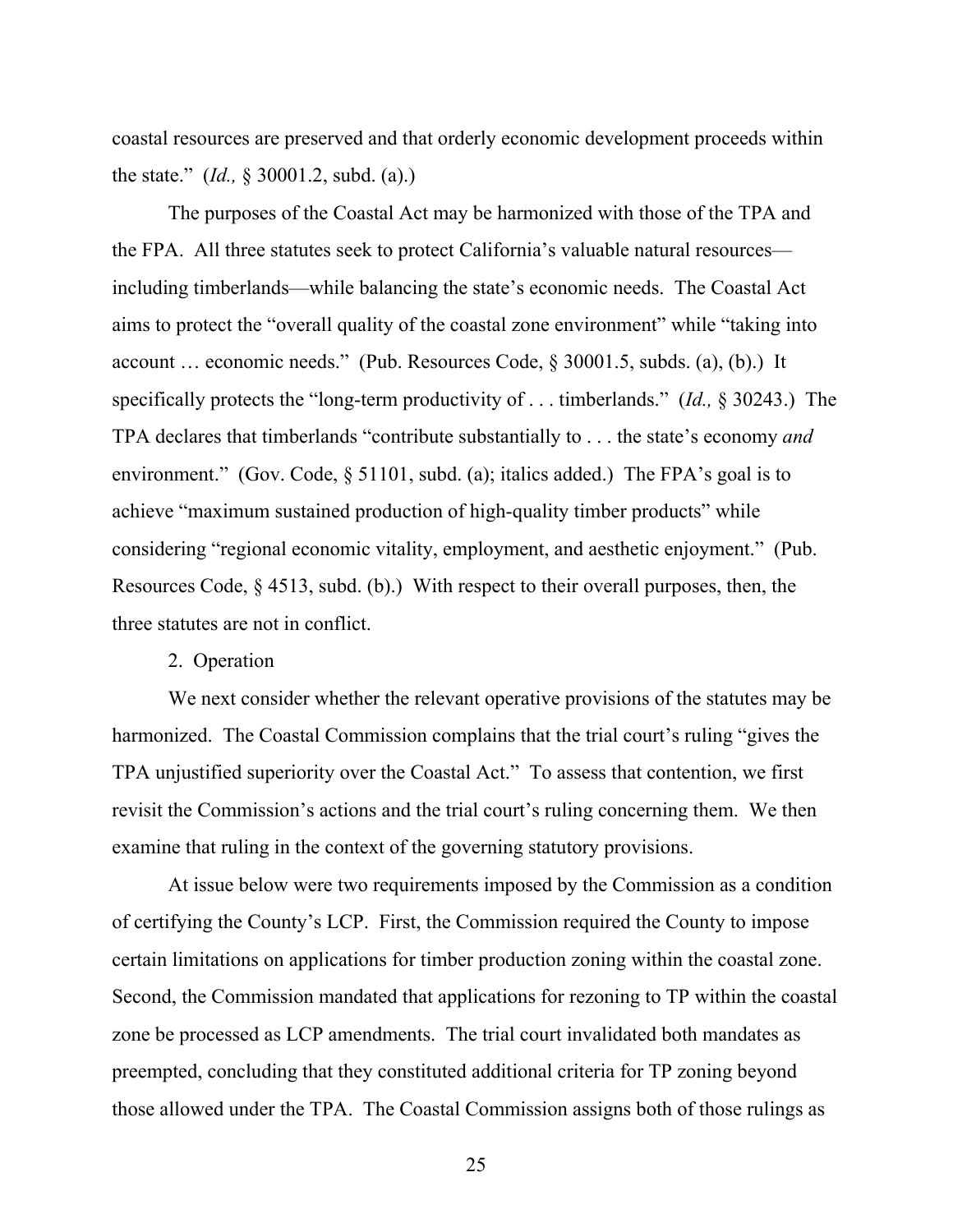coastal resources are preserved and that orderly economic development proceeds within the state." (*Id.,* § 30001.2, subd. (a).)

The purposes of the Coastal Act may be harmonized with those of the TPA and the FPA. All three statutes seek to protect California's valuable natural resources including timberlands—while balancing the state's economic needs. The Coastal Act aims to protect the "overall quality of the coastal zone environment" while "taking into account … economic needs." (Pub. Resources Code, § 30001.5, subds. (a), (b).) It specifically protects the "long-term productivity of . . . timberlands." (*Id.,* § 30243.) The TPA declares that timberlands "contribute substantially to . . . the state's economy *and* environment." (Gov. Code, § 51101, subd. (a); italics added.) The FPA's goal is to achieve "maximum sustained production of high-quality timber products" while considering "regional economic vitality, employment, and aesthetic enjoyment." (Pub. Resources Code, § 4513, subd. (b).) With respect to their overall purposes, then, the three statutes are not in conflict.

#### 2. Operation

We next consider whether the relevant operative provisions of the statutes may be harmonized. The Coastal Commission complains that the trial court's ruling "gives the TPA unjustified superiority over the Coastal Act." To assess that contention, we first revisit the Commission's actions and the trial court's ruling concerning them. We then examine that ruling in the context of the governing statutory provisions.

At issue below were two requirements imposed by the Commission as a condition of certifying the County's LCP. First, the Commission required the County to impose certain limitations on applications for timber production zoning within the coastal zone. Second, the Commission mandated that applications for rezoning to TP within the coastal zone be processed as LCP amendments. The trial court invalidated both mandates as preempted, concluding that they constituted additional criteria for TP zoning beyond those allowed under the TPA. The Coastal Commission assigns both of those rulings as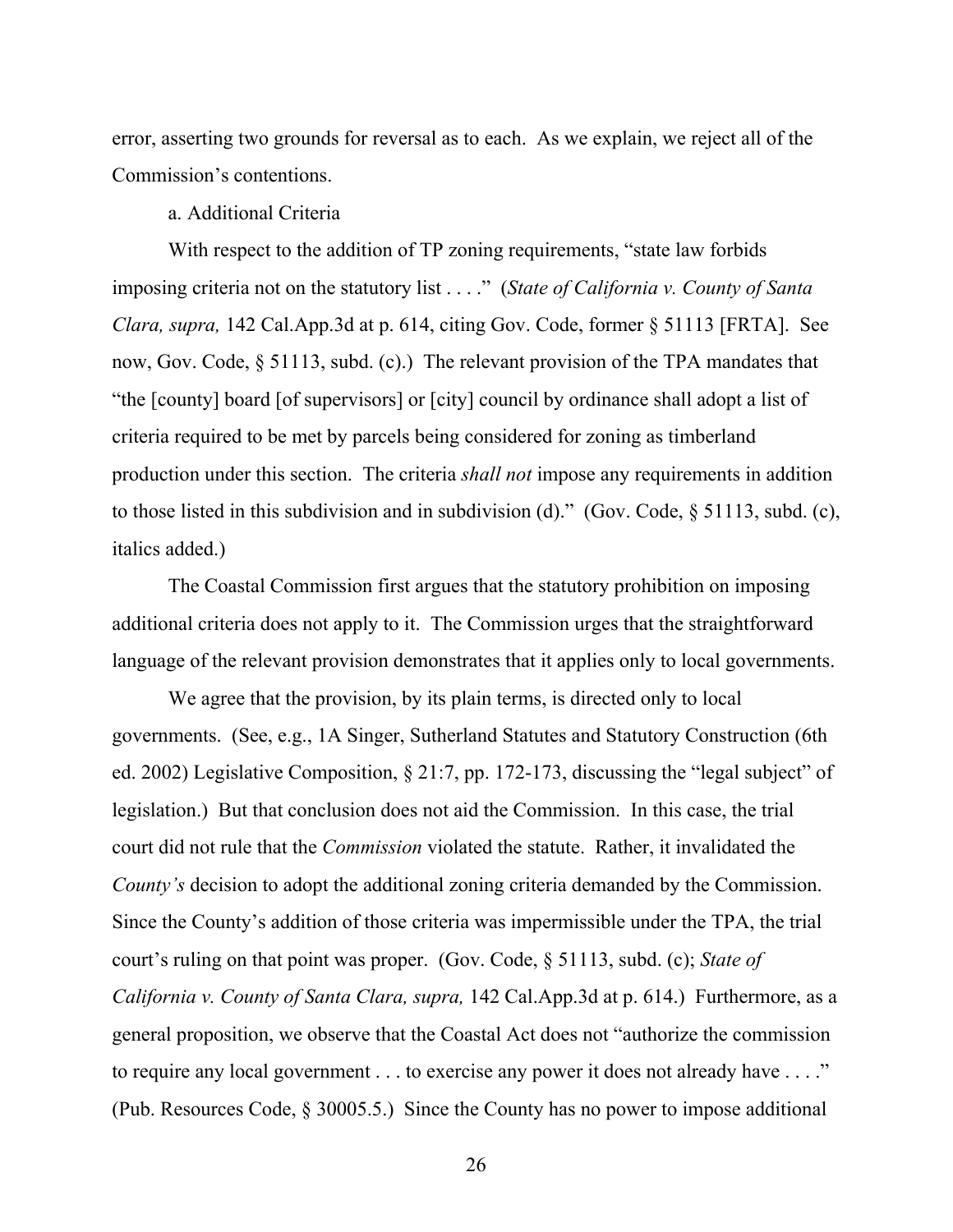error, asserting two grounds for reversal as to each. As we explain, we reject all of the Commission's contentions.

#### a. Additional Criteria

With respect to the addition of TP zoning requirements, "state law forbids imposing criteria not on the statutory list . . . ." (*State of California v. County of Santa Clara, supra,* 142 Cal.App.3d at p. 614, citing Gov. Code, former § 51113 [FRTA]. See now, Gov. Code, § 51113, subd. (c).) The relevant provision of the TPA mandates that "the [county] board [of supervisors] or [city] council by ordinance shall adopt a list of criteria required to be met by parcels being considered for zoning as timberland production under this section. The criteria *shall not* impose any requirements in addition to those listed in this subdivision and in subdivision (d)." (Gov. Code, § 51113, subd. (c), italics added.)

The Coastal Commission first argues that the statutory prohibition on imposing additional criteria does not apply to it. The Commission urges that the straightforward language of the relevant provision demonstrates that it applies only to local governments.

We agree that the provision, by its plain terms, is directed only to local governments. (See, e.g., 1A Singer, Sutherland Statutes and Statutory Construction (6th ed. 2002) Legislative Composition, § 21:7, pp. 172-173, discussing the "legal subject" of legislation.) But that conclusion does not aid the Commission. In this case, the trial court did not rule that the *Commission* violated the statute. Rather, it invalidated the *County's* decision to adopt the additional zoning criteria demanded by the Commission. Since the County's addition of those criteria was impermissible under the TPA, the trial court's ruling on that point was proper. (Gov. Code, § 51113, subd. (c); *State of California v. County of Santa Clara, supra,* 142 Cal.App.3d at p. 614.) Furthermore, as a general proposition, we observe that the Coastal Act does not "authorize the commission to require any local government . . . to exercise any power it does not already have . . . ." (Pub. Resources Code, § 30005.5.) Since the County has no power to impose additional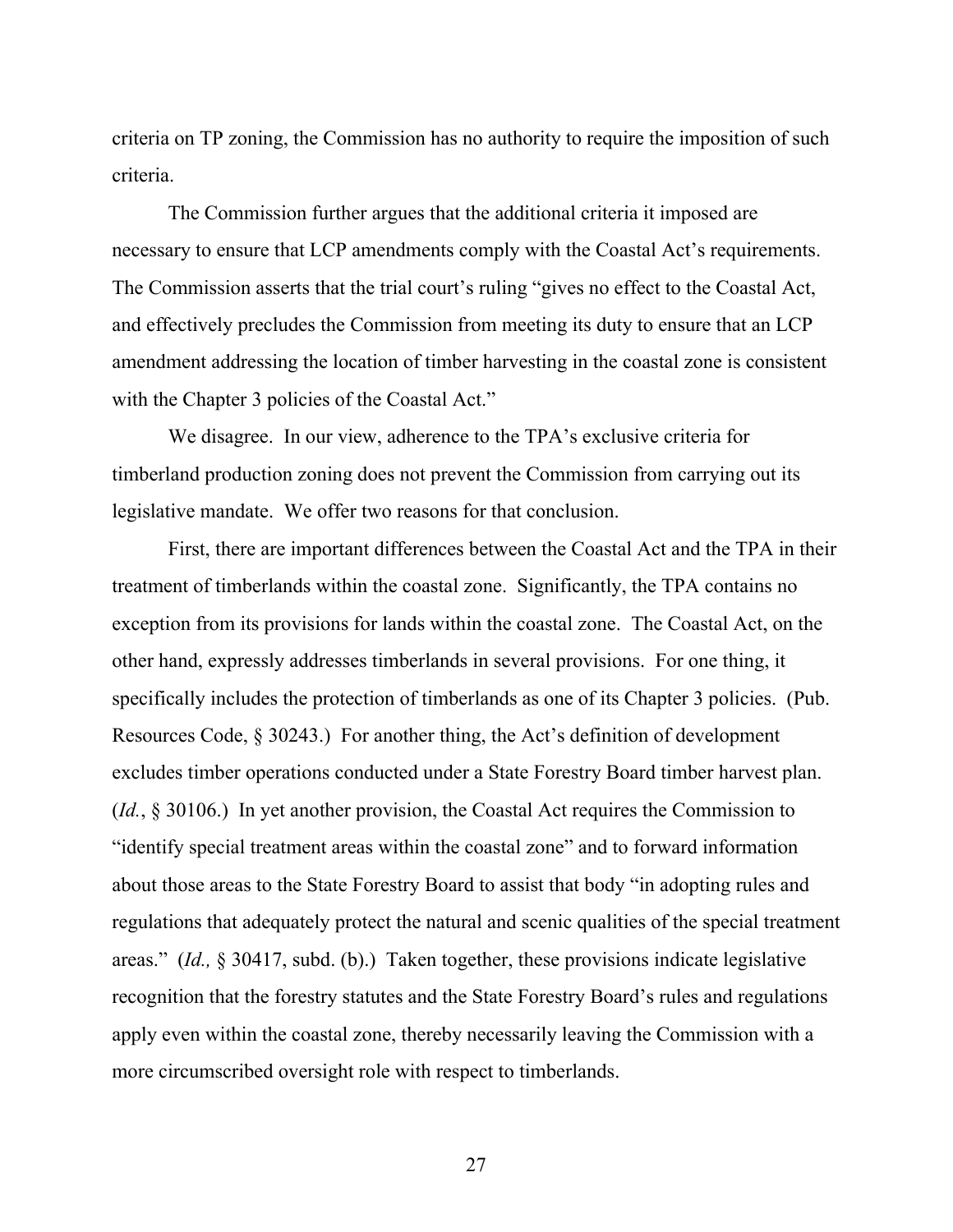criteria on TP zoning, the Commission has no authority to require the imposition of such criteria.

The Commission further argues that the additional criteria it imposed are necessary to ensure that LCP amendments comply with the Coastal Act's requirements. The Commission asserts that the trial court's ruling "gives no effect to the Coastal Act, and effectively precludes the Commission from meeting its duty to ensure that an LCP amendment addressing the location of timber harvesting in the coastal zone is consistent with the Chapter 3 policies of the Coastal Act."

We disagree. In our view, adherence to the TPA's exclusive criteria for timberland production zoning does not prevent the Commission from carrying out its legislative mandate. We offer two reasons for that conclusion.

First, there are important differences between the Coastal Act and the TPA in their treatment of timberlands within the coastal zone. Significantly, the TPA contains no exception from its provisions for lands within the coastal zone. The Coastal Act, on the other hand, expressly addresses timberlands in several provisions. For one thing, it specifically includes the protection of timberlands as one of its Chapter 3 policies. (Pub. Resources Code, § 30243.) For another thing, the Act's definition of development excludes timber operations conducted under a State Forestry Board timber harvest plan. (*Id.*, § 30106.) In yet another provision, the Coastal Act requires the Commission to "identify special treatment areas within the coastal zone" and to forward information about those areas to the State Forestry Board to assist that body "in adopting rules and regulations that adequately protect the natural and scenic qualities of the special treatment areas." (*Id.,* § 30417, subd. (b).) Taken together, these provisions indicate legislative recognition that the forestry statutes and the State Forestry Board's rules and regulations apply even within the coastal zone, thereby necessarily leaving the Commission with a more circumscribed oversight role with respect to timberlands.

<u>27</u>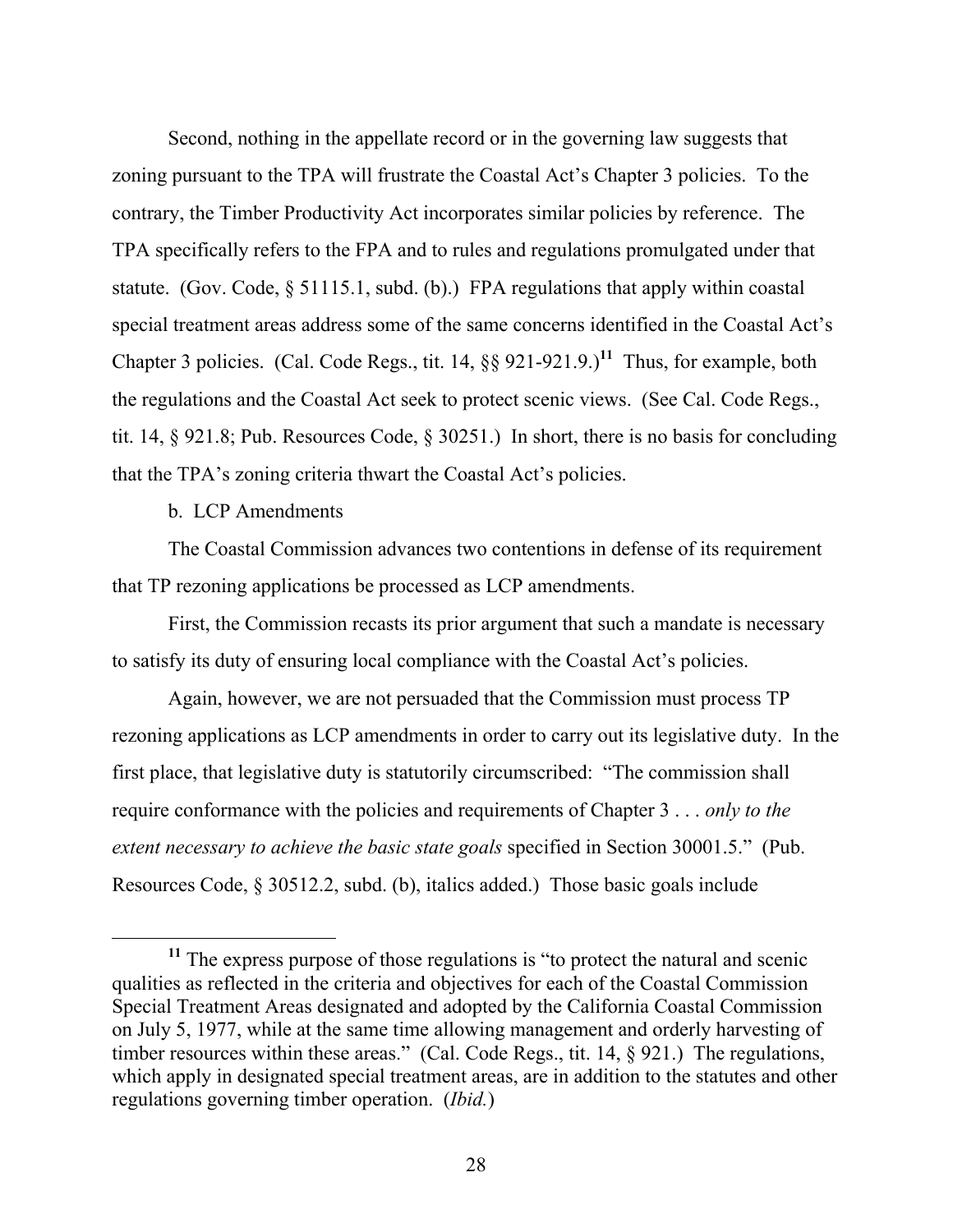Second, nothing in the appellate record or in the governing law suggests that zoning pursuant to the TPA will frustrate the Coastal Act's Chapter 3 policies. To the contrary, the Timber Productivity Act incorporates similar policies by reference. The TPA specifically refers to the FPA and to rules and regulations promulgated under that statute. (Gov. Code, § 51115.1, subd. (b).) FPA regulations that apply within coastal special treatment areas address some of the same concerns identified in the Coastal Act's Chapter 3 policies. (Cal. Code Regs., tit.  $14$ ,  $\S$  921-921.9.)<sup>11</sup> Thus, for example, both the regulations and the Coastal Act seek to protect scenic views. (See Cal. Code Regs., tit. 14, § 921.8; Pub. Resources Code, § 30251.) In short, there is no basis for concluding that the TPA's zoning criteria thwart the Coastal Act's policies.

b. LCP Amendments

The Coastal Commission advances two contentions in defense of its requirement that TP rezoning applications be processed as LCP amendments.

First, the Commission recasts its prior argument that such a mandate is necessary to satisfy its duty of ensuring local compliance with the Coastal Act's policies.

Again, however, we are not persuaded that the Commission must process TP rezoning applications as LCP amendments in order to carry out its legislative duty. In the first place, that legislative duty is statutorily circumscribed: "The commission shall require conformance with the policies and requirements of Chapter 3 . . . *only to the extent necessary to achieve the basic state goals* specified in Section 30001.5." (Pub. Resources Code, § 30512.2, subd. (b), italics added.) Those basic goals include

**<sup>11</sup>** The express purpose of those regulations is "to protect the natural and scenic qualities as reflected in the criteria and objectives for each of the Coastal Commission Special Treatment Areas designated and adopted by the California Coastal Commission on July 5, 1977, while at the same time allowing management and orderly harvesting of timber resources within these areas." (Cal. Code Regs., tit. 14, § 921.) The regulations, which apply in designated special treatment areas, are in addition to the statutes and other regulations governing timber operation. (*Ibid.*)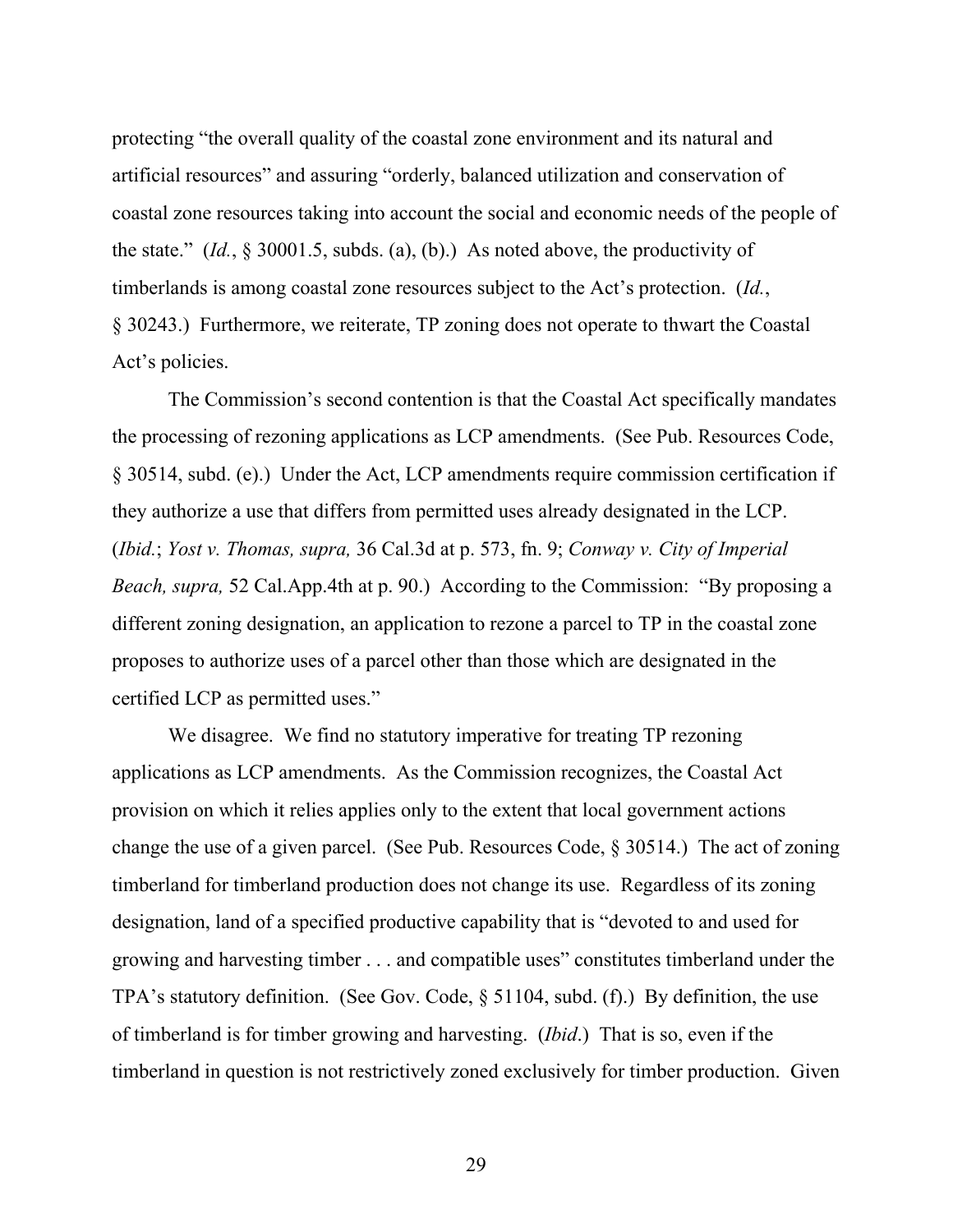protecting "the overall quality of the coastal zone environment and its natural and artificial resources" and assuring "orderly, balanced utilization and conservation of coastal zone resources taking into account the social and economic needs of the people of the state." (*Id.*, § 30001.5, subds. (a), (b).) As noted above, the productivity of timberlands is among coastal zone resources subject to the Act's protection. (*Id.*, § 30243.) Furthermore, we reiterate, TP zoning does not operate to thwart the Coastal Act's policies.

The Commission's second contention is that the Coastal Act specifically mandates the processing of rezoning applications as LCP amendments. (See Pub. Resources Code, § 30514, subd. (e).) Under the Act, LCP amendments require commission certification if they authorize a use that differs from permitted uses already designated in the LCP. (*Ibid.*; *Yost v. Thomas, supra,* 36 Cal.3d at p. 573, fn. 9; *Conway v. City of Imperial Beach, supra,* 52 Cal.App.4th at p. 90.) According to the Commission: "By proposing a different zoning designation, an application to rezone a parcel to TP in the coastal zone proposes to authorize uses of a parcel other than those which are designated in the certified LCP as permitted uses."

We disagree. We find no statutory imperative for treating TP rezoning applications as LCP amendments. As the Commission recognizes, the Coastal Act provision on which it relies applies only to the extent that local government actions change the use of a given parcel. (See Pub. Resources Code, § 30514.) The act of zoning timberland for timberland production does not change its use. Regardless of its zoning designation, land of a specified productive capability that is "devoted to and used for growing and harvesting timber . . . and compatible uses" constitutes timberland under the TPA's statutory definition. (See Gov. Code, § 51104, subd. (f).) By definition, the use of timberland is for timber growing and harvesting. (*Ibid*.) That is so, even if the timberland in question is not restrictively zoned exclusively for timber production. Given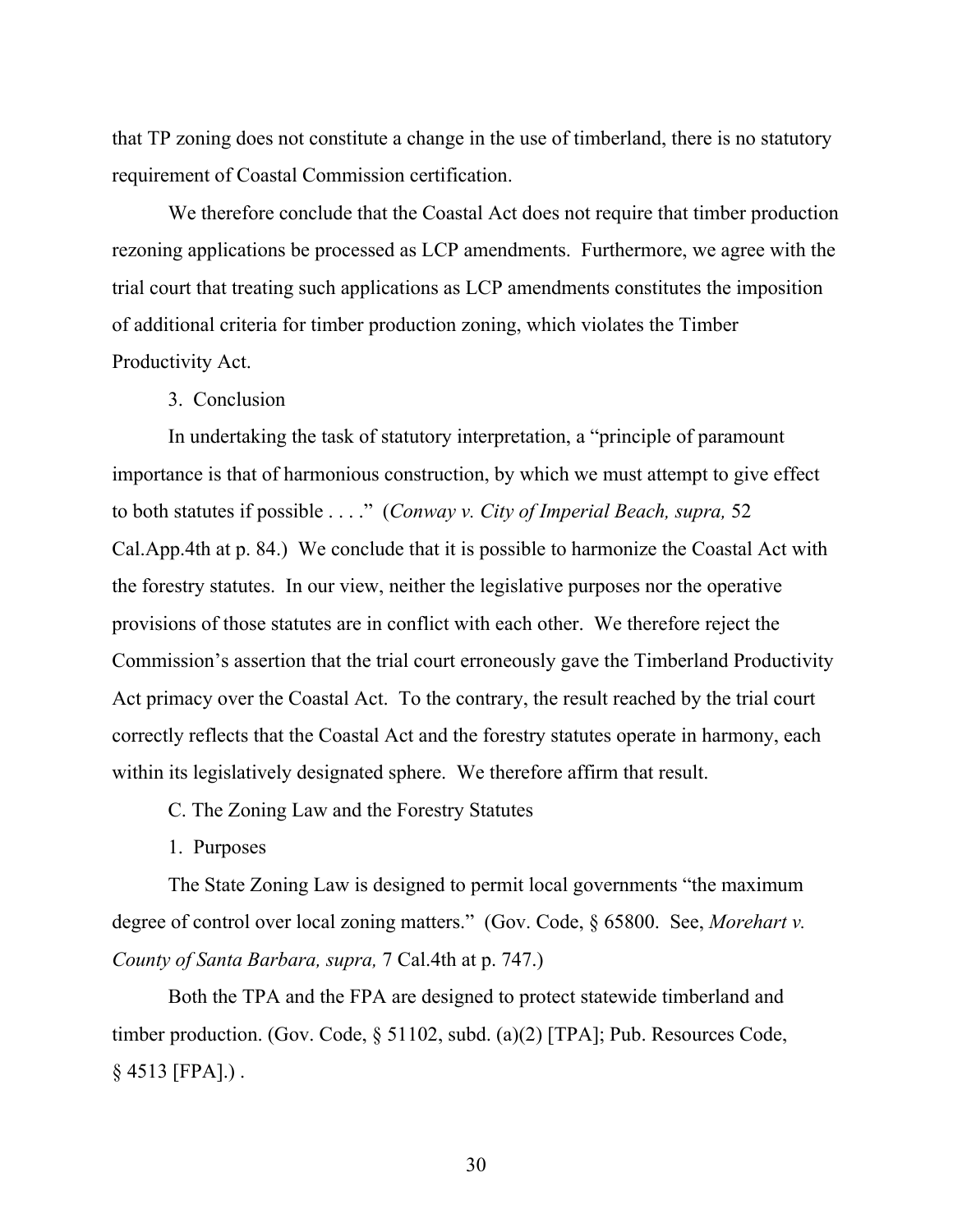that TP zoning does not constitute a change in the use of timberland, there is no statutory requirement of Coastal Commission certification.

We therefore conclude that the Coastal Act does not require that timber production rezoning applications be processed as LCP amendments. Furthermore, we agree with the trial court that treating such applications as LCP amendments constitutes the imposition of additional criteria for timber production zoning, which violates the Timber Productivity Act.

#### 3. Conclusion

In undertaking the task of statutory interpretation, a "principle of paramount importance is that of harmonious construction, by which we must attempt to give effect to both statutes if possible . . . ." (*Conway v. City of Imperial Beach, supra,* 52 Cal.App.4th at p. 84.) We conclude that it is possible to harmonize the Coastal Act with the forestry statutes. In our view, neither the legislative purposes nor the operative provisions of those statutes are in conflict with each other. We therefore reject the Commission's assertion that the trial court erroneously gave the Timberland Productivity Act primacy over the Coastal Act. To the contrary, the result reached by the trial court correctly reflects that the Coastal Act and the forestry statutes operate in harmony, each within its legislatively designated sphere. We therefore affirm that result.

C. The Zoning Law and the Forestry Statutes

1. Purposes

The State Zoning Law is designed to permit local governments "the maximum degree of control over local zoning matters." (Gov. Code, § 65800. See, *Morehart v. County of Santa Barbara, supra,* 7 Cal.4th at p. 747.)

Both the TPA and the FPA are designed to protect statewide timberland and timber production. (Gov. Code, § 51102, subd. (a)(2) [TPA]; Pub. Resources Code,  $§ 4513$  [FPA].).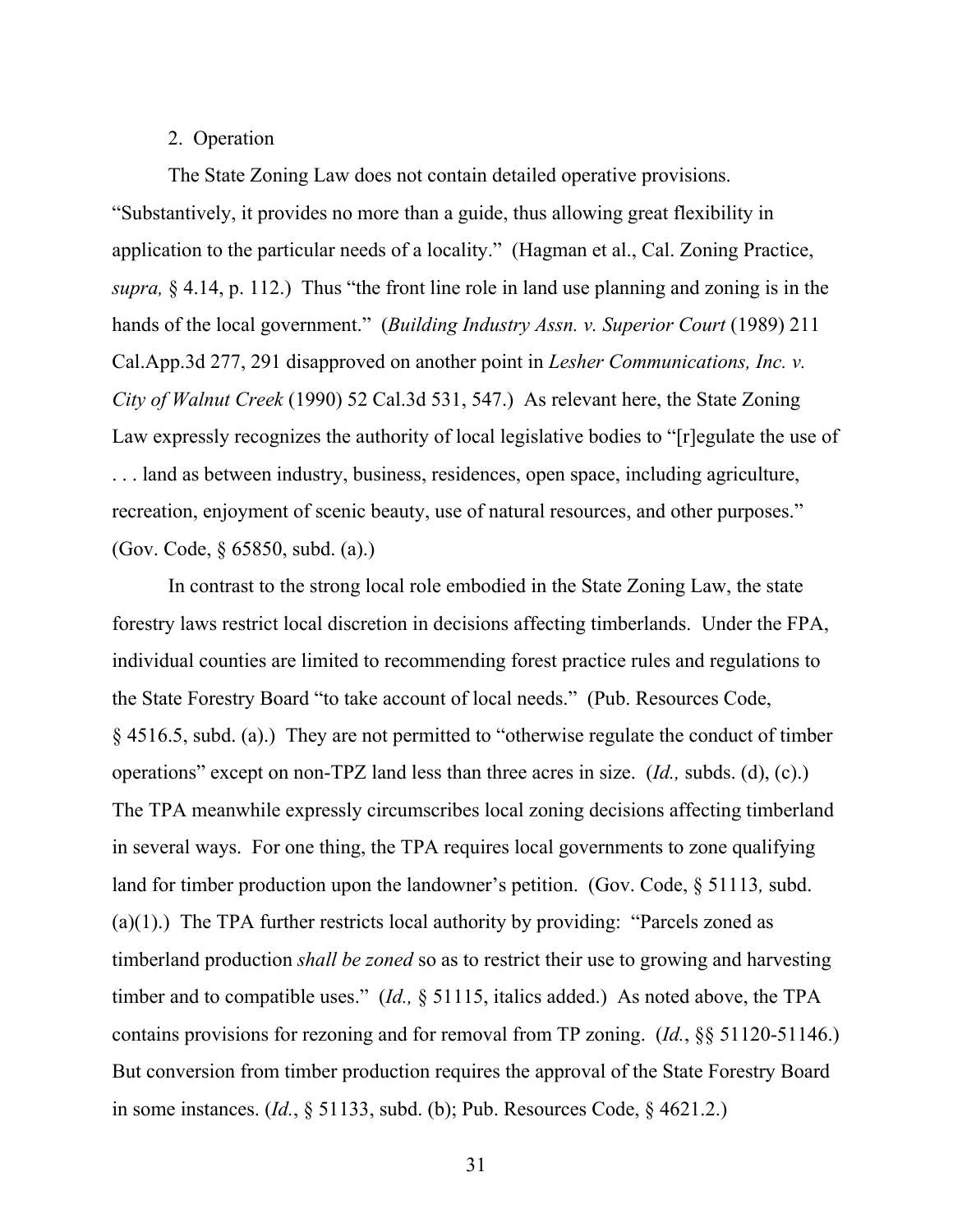# 2. Operation

The State Zoning Law does not contain detailed operative provisions. "Substantively, it provides no more than a guide, thus allowing great flexibility in application to the particular needs of a locality." (Hagman et al., Cal. Zoning Practice, *supra,* § 4.14, p. 112.) Thus "the front line role in land use planning and zoning is in the hands of the local government." (*Building Industry Assn. v. Superior Court* (1989) 211 Cal.App.3d 277, 291 disapproved on another point in *Lesher Communications, Inc. v. City of Walnut Creek* (1990) 52 Cal.3d 531, 547.) As relevant here, the State Zoning Law expressly recognizes the authority of local legislative bodies to "[r]egulate the use of . . . land as between industry, business, residences, open space, including agriculture, recreation, enjoyment of scenic beauty, use of natural resources, and other purposes." (Gov. Code, § 65850, subd. (a).)

In contrast to the strong local role embodied in the State Zoning Law, the state forestry laws restrict local discretion in decisions affecting timberlands. Under the FPA, individual counties are limited to recommending forest practice rules and regulations to the State Forestry Board "to take account of local needs." (Pub. Resources Code, § 4516.5, subd. (a).) They are not permitted to "otherwise regulate the conduct of timber operations" except on non-TPZ land less than three acres in size. (*Id.,* subds. (d), (c).) The TPA meanwhile expressly circumscribes local zoning decisions affecting timberland in several ways. For one thing, the TPA requires local governments to zone qualifying land for timber production upon the landowner's petition. (Gov. Code, § 51113*,* subd. (a)(1).) The TPA further restricts local authority by providing: "Parcels zoned as timberland production *shall be zoned* so as to restrict their use to growing and harvesting timber and to compatible uses." (*Id.,* § 51115, italics added.) As noted above, the TPA contains provisions for rezoning and for removal from TP zoning. (*Id.*, §§ 51120-51146.) But conversion from timber production requires the approval of the State Forestry Board in some instances. (*Id.*, § 51133, subd. (b); Pub. Resources Code, § 4621.2.)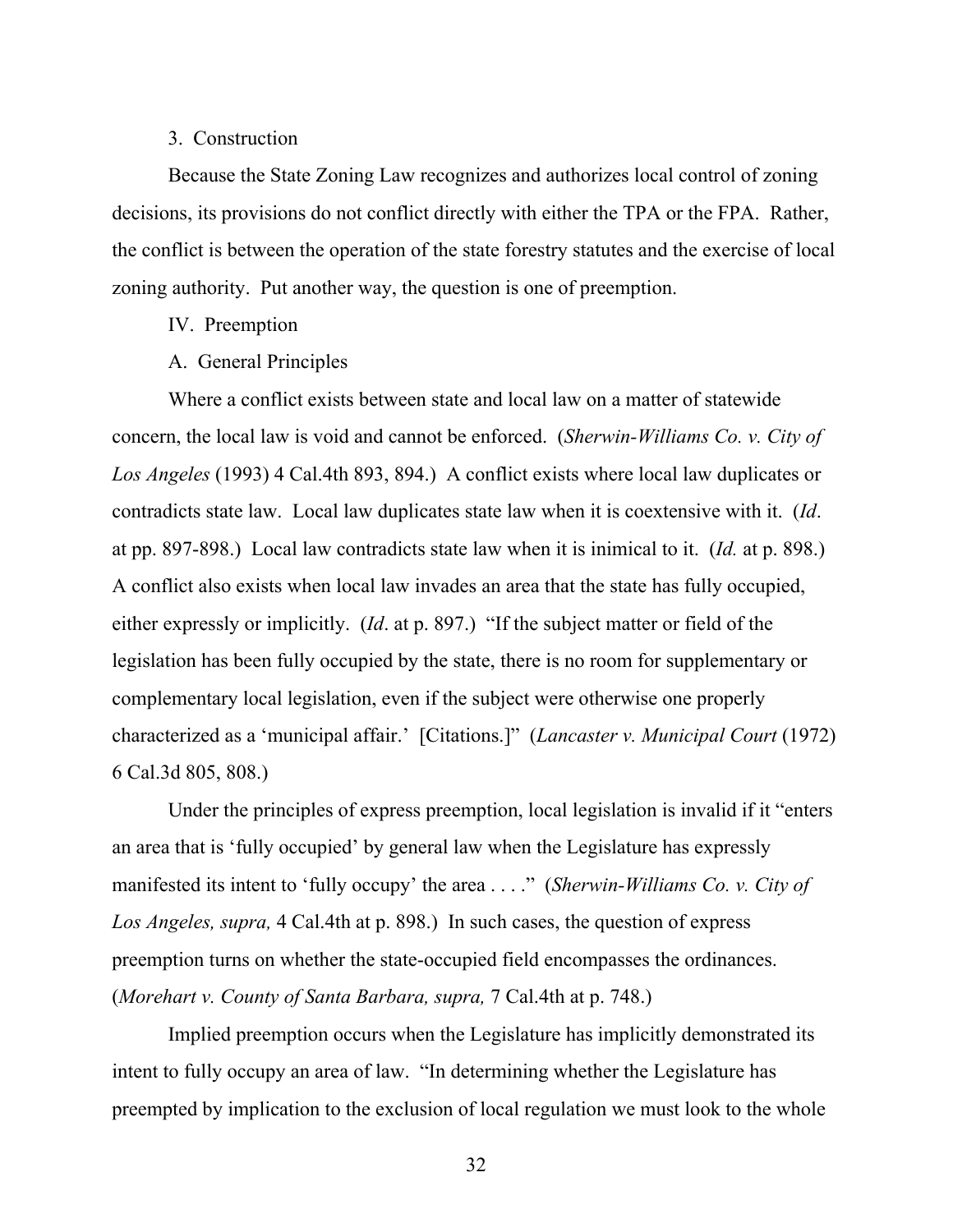# 3. Construction

Because the State Zoning Law recognizes and authorizes local control of zoning decisions, its provisions do not conflict directly with either the TPA or the FPA. Rather, the conflict is between the operation of the state forestry statutes and the exercise of local zoning authority. Put another way, the question is one of preemption.

# IV. Preemption

# A. General Principles

Where a conflict exists between state and local law on a matter of statewide concern, the local law is void and cannot be enforced. (*Sherwin-Williams Co. v. City of Los Angeles* (1993) 4 Cal.4th 893, 894.) A conflict exists where local law duplicates or contradicts state law. Local law duplicates state law when it is coextensive with it. (*Id*. at pp. 897-898.) Local law contradicts state law when it is inimical to it. (*Id.* at p. 898.) A conflict also exists when local law invades an area that the state has fully occupied, either expressly or implicitly. (*Id*. at p. 897.) "If the subject matter or field of the legislation has been fully occupied by the state, there is no room for supplementary or complementary local legislation, even if the subject were otherwise one properly characterized as a 'municipal affair.' [Citations.]" (*Lancaster v. Municipal Court* (1972) 6 Cal.3d 805, 808.)

Under the principles of express preemption, local legislation is invalid if it "enters an area that is 'fully occupied' by general law when the Legislature has expressly manifested its intent to 'fully occupy' the area . . . ." (*Sherwin-Williams Co. v. City of Los Angeles, supra,* 4 Cal.4th at p. 898.) In such cases, the question of express preemption turns on whether the state-occupied field encompasses the ordinances. (*Morehart v. County of Santa Barbara, supra,* 7 Cal.4th at p. 748.)

Implied preemption occurs when the Legislature has implicitly demonstrated its intent to fully occupy an area of law. "In determining whether the Legislature has preempted by implication to the exclusion of local regulation we must look to the whole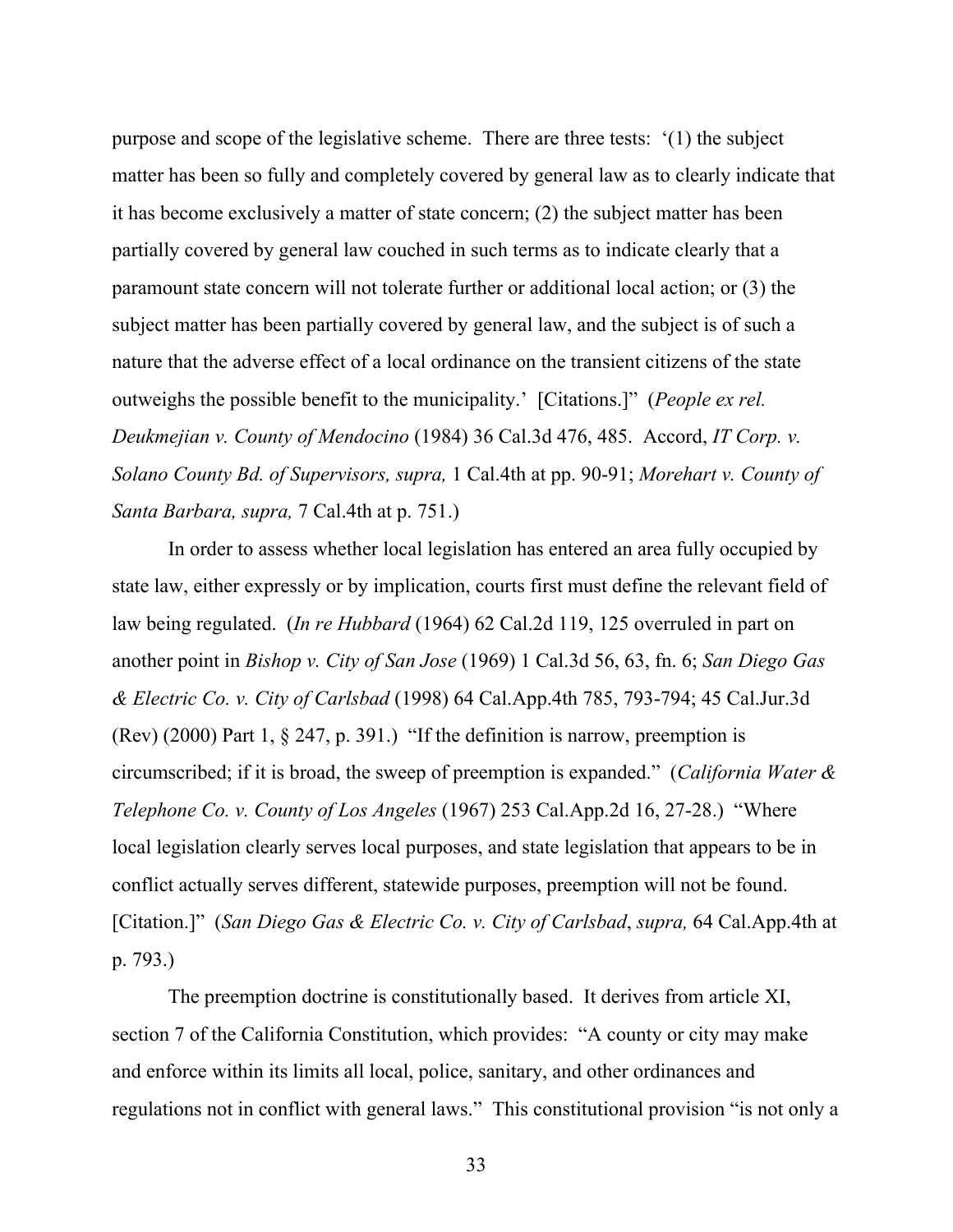purpose and scope of the legislative scheme. There are three tests: '(1) the subject matter has been so fully and completely covered by general law as to clearly indicate that it has become exclusively a matter of state concern; (2) the subject matter has been partially covered by general law couched in such terms as to indicate clearly that a paramount state concern will not tolerate further or additional local action; or (3) the subject matter has been partially covered by general law, and the subject is of such a nature that the adverse effect of a local ordinance on the transient citizens of the state outweighs the possible benefit to the municipality.' [Citations.]" (*People ex rel. Deukmejian v. County of Mendocino* (1984) 36 Cal.3d 476, 485. Accord, *IT Corp. v. Solano County Bd. of Supervisors, supra,* 1 Cal.4th at pp. 90-91; *Morehart v. County of Santa Barbara, supra,* 7 Cal.4th at p. 751.)

In order to assess whether local legislation has entered an area fully occupied by state law, either expressly or by implication, courts first must define the relevant field of law being regulated. (*In re Hubbard* (1964) 62 Cal.2d 119, 125 overruled in part on another point in *Bishop v. City of San Jose* (1969) 1 Cal.3d 56, 63, fn. 6; *San Diego Gas & Electric Co. v. City of Carlsbad* (1998) 64 Cal.App.4th 785, 793-794; 45 Cal.Jur.3d (Rev) (2000) Part 1,  $\S$  247, p. 391.) "If the definition is narrow, preemption is circumscribed; if it is broad, the sweep of preemption is expanded." (*California Water & Telephone Co. v. County of Los Angeles* (1967) 253 Cal.App.2d 16, 27-28.) "Where local legislation clearly serves local purposes, and state legislation that appears to be in conflict actually serves different, statewide purposes, preemption will not be found. [Citation.]" (*San Diego Gas & Electric Co. v. City of Carlsbad*, *supra,* 64 Cal.App.4th at p. 793.)

The preemption doctrine is constitutionally based. It derives from article XI, section 7 of the California Constitution, which provides: "A county or city may make and enforce within its limits all local, police, sanitary, and other ordinances and regulations not in conflict with general laws." This constitutional provision "is not only a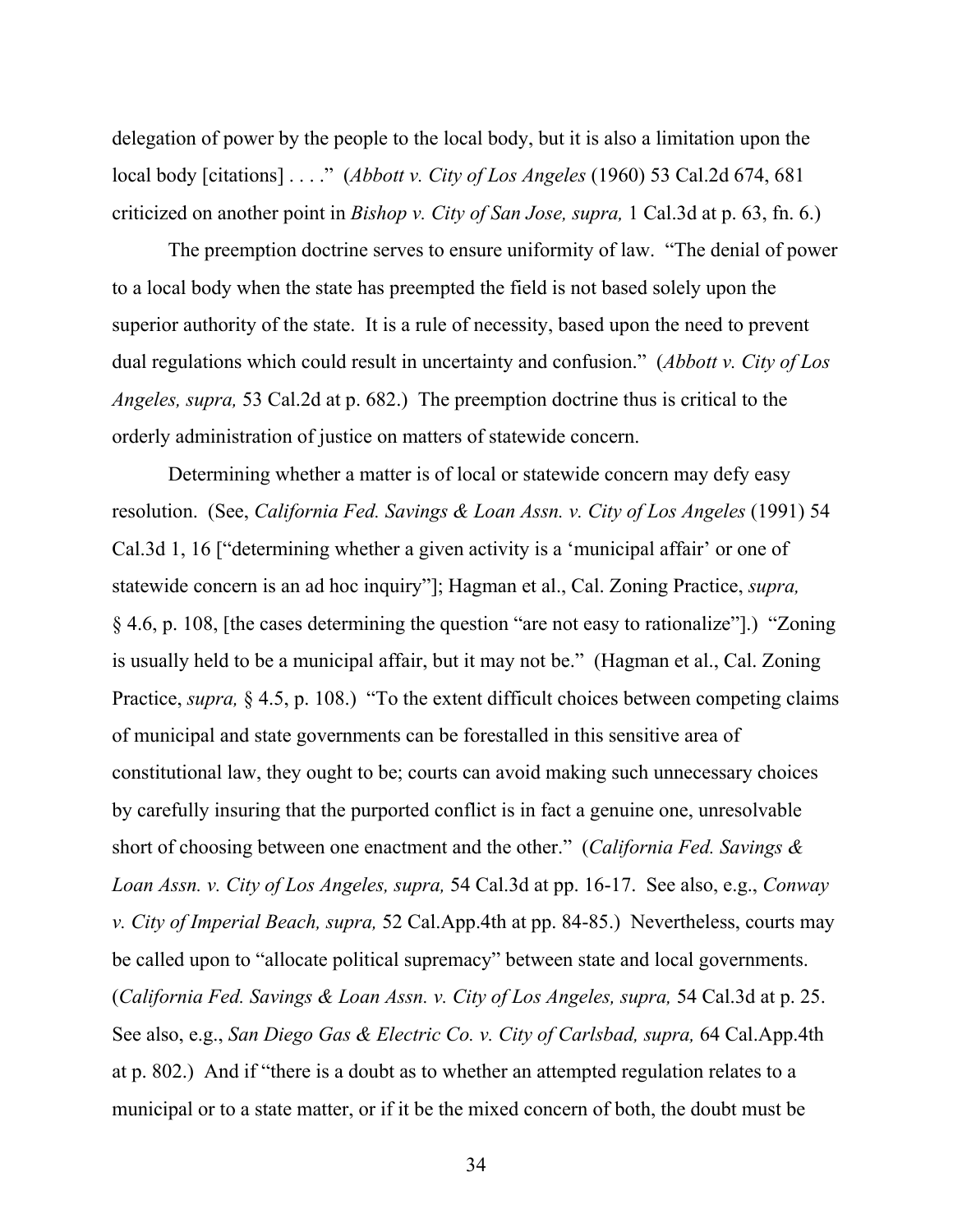delegation of power by the people to the local body, but it is also a limitation upon the local body [citations] . . . ." (*Abbott v. City of Los Angeles* (1960) 53 Cal.2d 674, 681 criticized on another point in *Bishop v. City of San Jose, supra,* 1 Cal.3d at p. 63, fn. 6.)

The preemption doctrine serves to ensure uniformity of law. "The denial of power to a local body when the state has preempted the field is not based solely upon the superior authority of the state. It is a rule of necessity, based upon the need to prevent dual regulations which could result in uncertainty and confusion." (*Abbott v. City of Los Angeles, supra,* 53 Cal.2d at p. 682.) The preemption doctrine thus is critical to the orderly administration of justice on matters of statewide concern.

Determining whether a matter is of local or statewide concern may defy easy resolution. (See, *California Fed. Savings & Loan Assn. v. City of Los Angeles* (1991) 54 Cal.3d 1, 16 ["determining whether a given activity is a 'municipal affair' or one of statewide concern is an ad hoc inquiry"]; Hagman et al., Cal. Zoning Practice, *supra,* § 4.6, p. 108, [the cases determining the question "are not easy to rationalize"].) "Zoning is usually held to be a municipal affair, but it may not be." (Hagman et al., Cal. Zoning Practice, *supra,* § 4.5, p. 108.) "To the extent difficult choices between competing claims of municipal and state governments can be forestalled in this sensitive area of constitutional law, they ought to be; courts can avoid making such unnecessary choices by carefully insuring that the purported conflict is in fact a genuine one, unresolvable short of choosing between one enactment and the other." (*California Fed. Savings & Loan Assn. v. City of Los Angeles, supra,* 54 Cal.3d at pp. 16-17. See also, e.g., *Conway v. City of Imperial Beach, supra,* 52 Cal.App.4th at pp. 84-85.) Nevertheless, courts may be called upon to "allocate political supremacy" between state and local governments. (*California Fed. Savings & Loan Assn. v. City of Los Angeles, supra,* 54 Cal.3d at p. 25. See also, e.g., *San Diego Gas & Electric Co. v. City of Carlsbad, supra,* 64 Cal.App.4th at p. 802.) And if "there is a doubt as to whether an attempted regulation relates to a municipal or to a state matter, or if it be the mixed concern of both, the doubt must be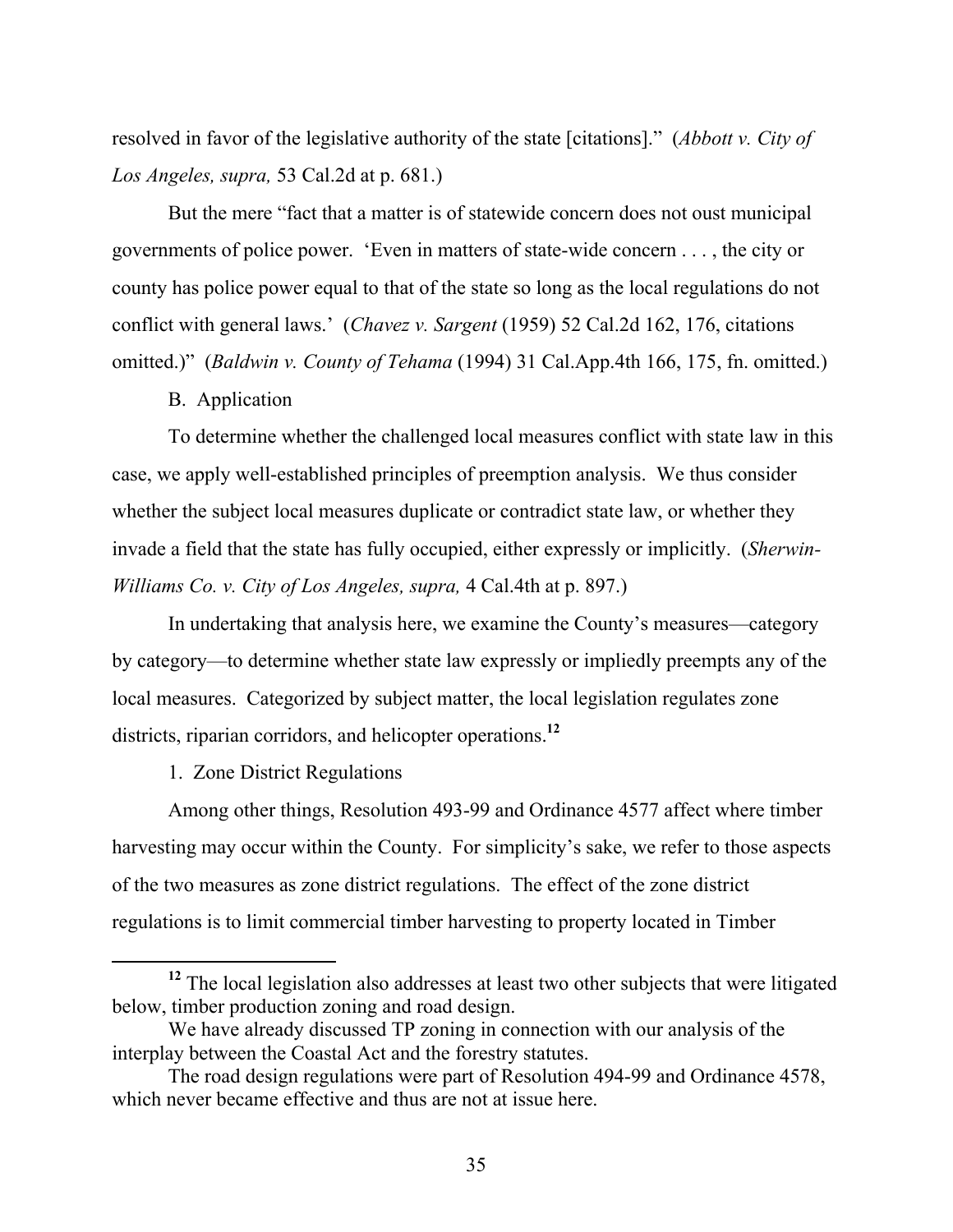resolved in favor of the legislative authority of the state [citations]." (*Abbott v. City of Los Angeles, supra,* 53 Cal.2d at p. 681.)

But the mere "fact that a matter is of statewide concern does not oust municipal governments of police power. 'Even in matters of state-wide concern . . . , the city or county has police power equal to that of the state so long as the local regulations do not conflict with general laws.' (*Chavez v. Sargent* (1959) 52 Cal.2d 162, 176, citations omitted.)" (*Baldwin v. County of Tehama* (1994) 31 Cal.App.4th 166, 175, fn. omitted.)

# B. Application

To determine whether the challenged local measures conflict with state law in this case, we apply well-established principles of preemption analysis. We thus consider whether the subject local measures duplicate or contradict state law, or whether they invade a field that the state has fully occupied, either expressly or implicitly. (*Sherwin-Williams Co. v. City of Los Angeles, supra,* 4 Cal.4th at p. 897.)

In undertaking that analysis here, we examine the County's measures—category by category—to determine whether state law expressly or impliedly preempts any of the local measures. Categorized by subject matter, the local legislation regulates zone districts, riparian corridors, and helicopter operations.**<sup>12</sup>**

1. Zone District Regulations

Among other things, Resolution 493-99 and Ordinance 4577 affect where timber harvesting may occur within the County. For simplicity's sake, we refer to those aspects of the two measures as zone district regulations. The effect of the zone district regulations is to limit commercial timber harvesting to property located in Timber

**<sup>12</sup>** The local legislation also addresses at least two other subjects that were litigated below, timber production zoning and road design.

We have already discussed TP zoning in connection with our analysis of the interplay between the Coastal Act and the forestry statutes.

The road design regulations were part of Resolution 494-99 and Ordinance 4578, which never became effective and thus are not at issue here.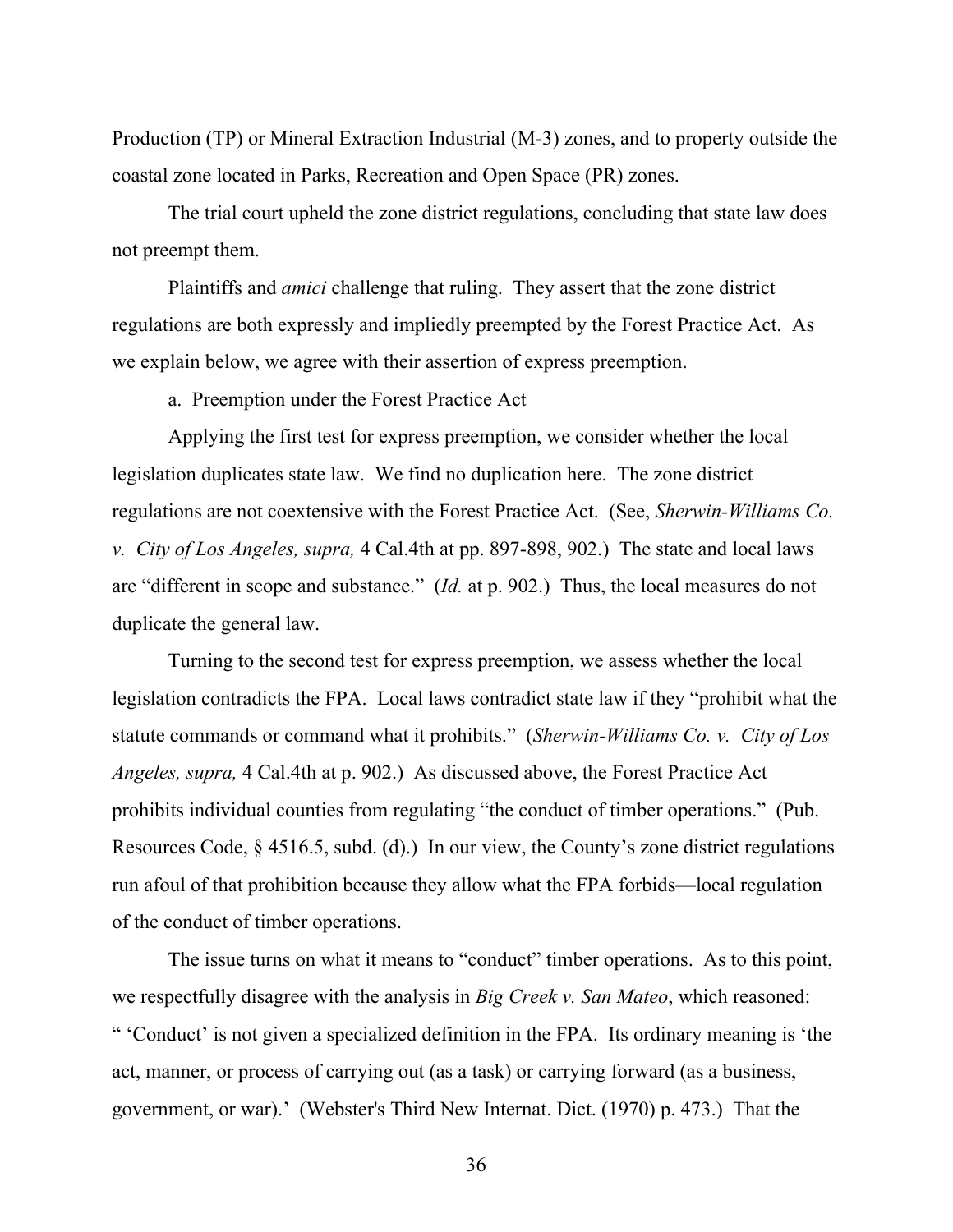Production (TP) or Mineral Extraction Industrial (M-3) zones, and to property outside the coastal zone located in Parks, Recreation and Open Space (PR) zones.

The trial court upheld the zone district regulations, concluding that state law does not preempt them.

Plaintiffs and *amici* challenge that ruling. They assert that the zone district regulations are both expressly and impliedly preempted by the Forest Practice Act. As we explain below, we agree with their assertion of express preemption.

a. Preemption under the Forest Practice Act

Applying the first test for express preemption, we consider whether the local legislation duplicates state law. We find no duplication here. The zone district regulations are not coextensive with the Forest Practice Act. (See, *Sherwin-Williams Co. v. City of Los Angeles, supra,* 4 Cal.4th at pp. 897-898, 902.) The state and local laws are "different in scope and substance." (*Id.* at p. 902.) Thus, the local measures do not duplicate the general law.

Turning to the second test for express preemption, we assess whether the local legislation contradicts the FPA. Local laws contradict state law if they "prohibit what the statute commands or command what it prohibits." (*Sherwin-Williams Co. v. City of Los Angeles, supra,* 4 Cal.4th at p. 902.) As discussed above, the Forest Practice Act prohibits individual counties from regulating "the conduct of timber operations." (Pub. Resources Code, § 4516.5, subd. (d).) In our view, the County's zone district regulations run afoul of that prohibition because they allow what the FPA forbids—local regulation of the conduct of timber operations.

The issue turns on what it means to "conduct" timber operations. As to this point, we respectfully disagree with the analysis in *Big Creek v. San Mateo*, which reasoned: " 'Conduct' is not given a specialized definition in the FPA. Its ordinary meaning is 'the act, manner, or process of carrying out (as a task) or carrying forward (as a business, government, or war).' (Webster's Third New Internat. Dict. (1970) p. 473.) That the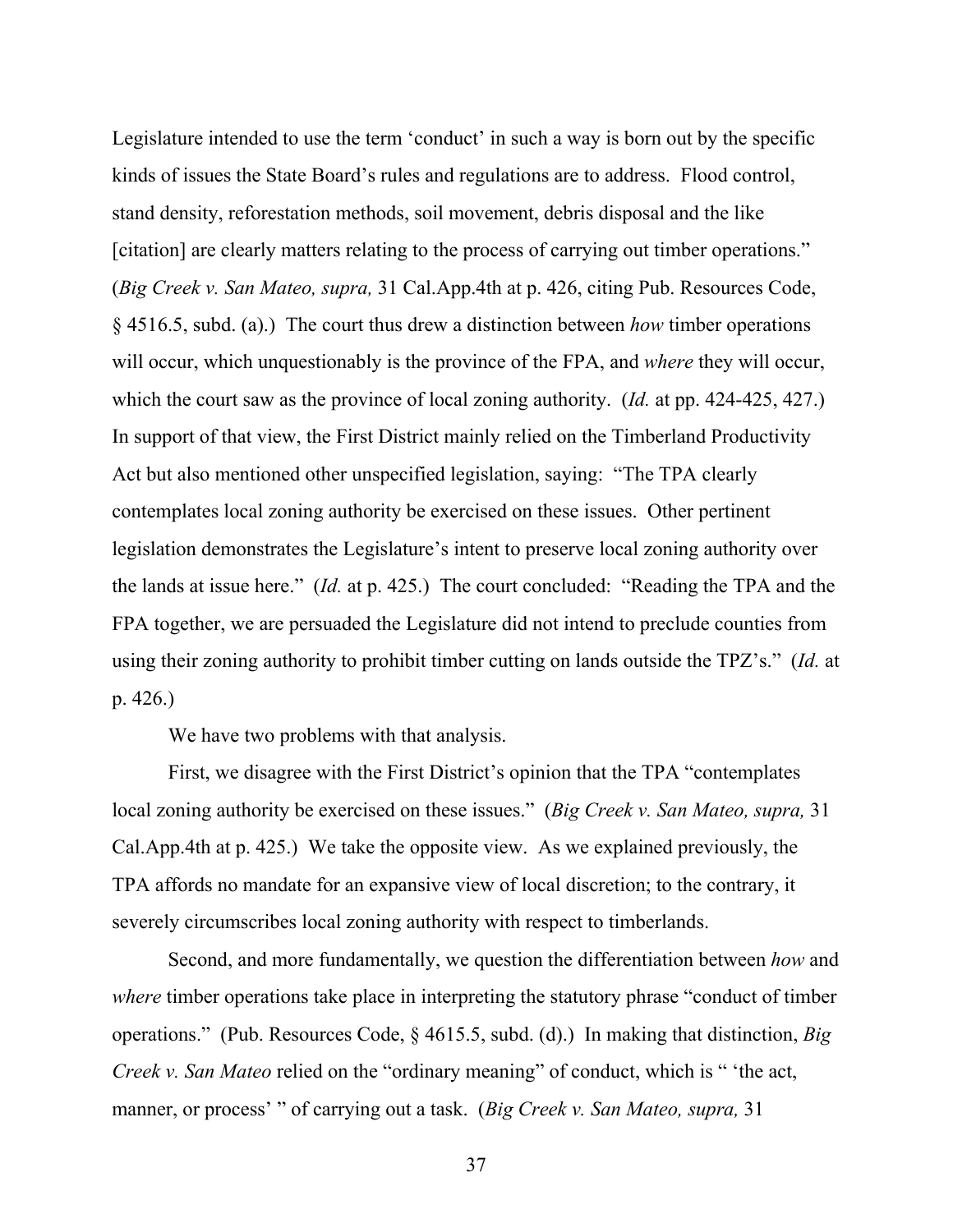Legislature intended to use the term 'conduct' in such a way is born out by the specific kinds of issues the State Board's rules and regulations are to address. Flood control, stand density, reforestation methods, soil movement, debris disposal and the like [citation] are clearly matters relating to the process of carrying out timber operations." (*Big Creek v. San Mateo, supra,* 31 Cal.App.4th at p. 426, citing Pub. Resources Code, § 4516.5, subd. (a).) The court thus drew a distinction between *how* timber operations will occur, which unquestionably is the province of the FPA, and *where* they will occur, which the court saw as the province of local zoning authority. (*Id.* at pp. 424-425, 427.) In support of that view, the First District mainly relied on the Timberland Productivity Act but also mentioned other unspecified legislation, saying: "The TPA clearly contemplates local zoning authority be exercised on these issues. Other pertinent legislation demonstrates the Legislature's intent to preserve local zoning authority over the lands at issue here." (*Id.* at p. 425.) The court concluded: "Reading the TPA and the FPA together, we are persuaded the Legislature did not intend to preclude counties from using their zoning authority to prohibit timber cutting on lands outside the TPZ's." (*Id.* at p. 426.)

We have two problems with that analysis.

First, we disagree with the First District's opinion that the TPA "contemplates local zoning authority be exercised on these issues." (*Big Creek v. San Mateo, supra,* 31 Cal.App.4th at p. 425.) We take the opposite view. As we explained previously, the TPA affords no mandate for an expansive view of local discretion; to the contrary, it severely circumscribes local zoning authority with respect to timberlands.

Second, and more fundamentally, we question the differentiation between *how* and *where* timber operations take place in interpreting the statutory phrase "conduct of timber" operations." (Pub. Resources Code, § 4615.5, subd. (d).) In making that distinction, *Big Creek v. San Mateo* relied on the "ordinary meaning" of conduct, which is " 'the act, manner, or process' " of carrying out a task. (*Big Creek v. San Mateo, supra,* 31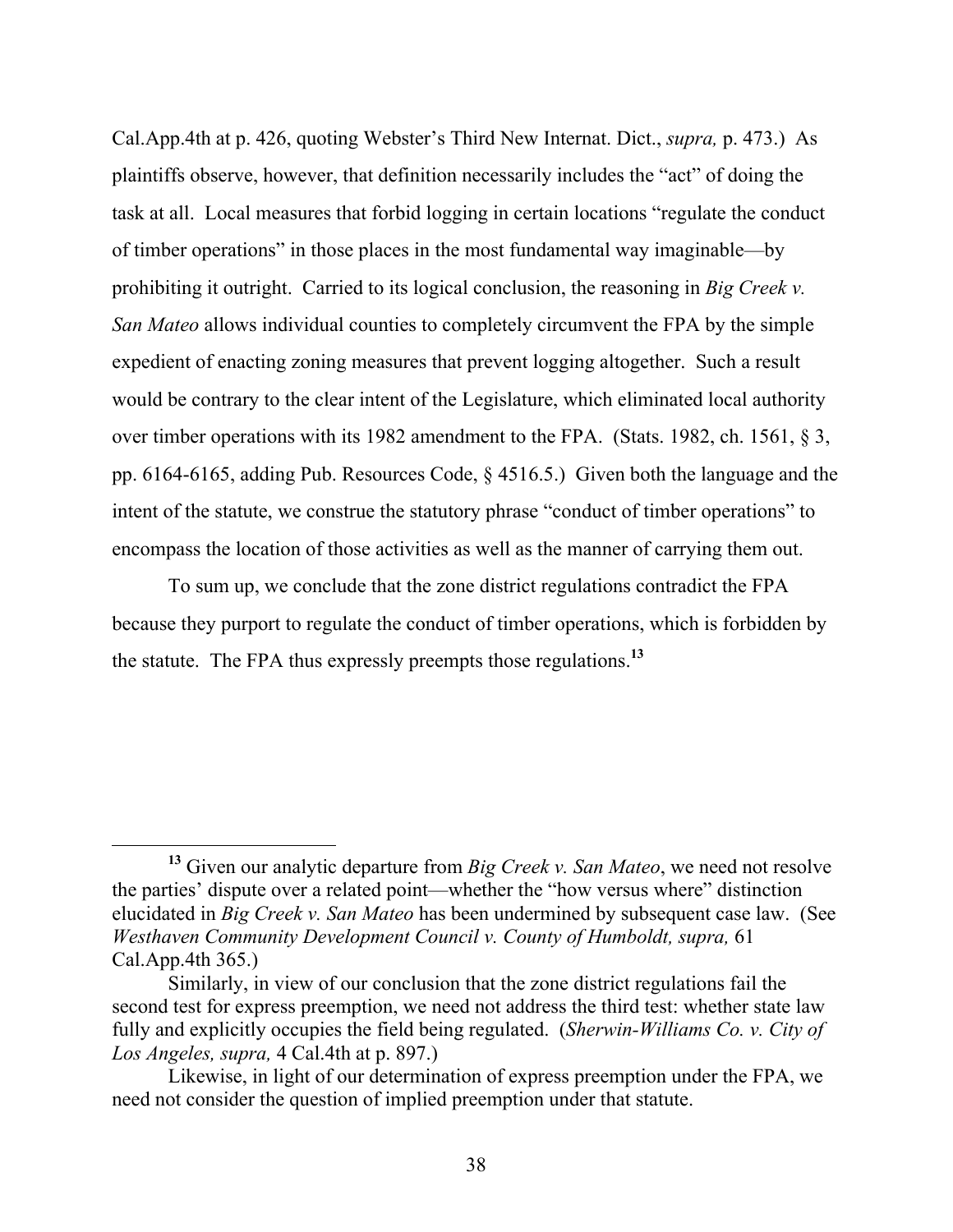Cal.App.4th at p. 426, quoting Webster's Third New Internat. Dict., *supra,* p. 473.) As plaintiffs observe, however, that definition necessarily includes the "act" of doing the task at all. Local measures that forbid logging in certain locations "regulate the conduct of timber operations" in those places in the most fundamental way imaginable—by prohibiting it outright. Carried to its logical conclusion, the reasoning in *Big Creek v. San Mateo* allows individual counties to completely circumvent the FPA by the simple expedient of enacting zoning measures that prevent logging altogether. Such a result would be contrary to the clear intent of the Legislature, which eliminated local authority over timber operations with its 1982 amendment to the FPA. (Stats. 1982, ch. 1561, § 3, pp. 6164-6165, adding Pub. Resources Code, § 4516.5.) Given both the language and the intent of the statute, we construe the statutory phrase "conduct of timber operations" to encompass the location of those activities as well as the manner of carrying them out.

To sum up, we conclude that the zone district regulations contradict the FPA because they purport to regulate the conduct of timber operations, which is forbidden by the statute. The FPA thus expressly preempts those regulations.**<sup>13</sup>**

**<sup>13</sup>** Given our analytic departure from *Big Creek v. San Mateo*, we need not resolve the parties' dispute over a related point—whether the "how versus where" distinction elucidated in *Big Creek v. San Mateo* has been undermined by subsequent case law. (See *Westhaven Community Development Council v. County of Humboldt, supra,* 61 Cal.App.4th 365.)

Similarly, in view of our conclusion that the zone district regulations fail the second test for express preemption, we need not address the third test: whether state law fully and explicitly occupies the field being regulated. (*Sherwin-Williams Co. v. City of Los Angeles, supra,* 4 Cal.4th at p. 897.)

Likewise, in light of our determination of express preemption under the FPA, we need not consider the question of implied preemption under that statute.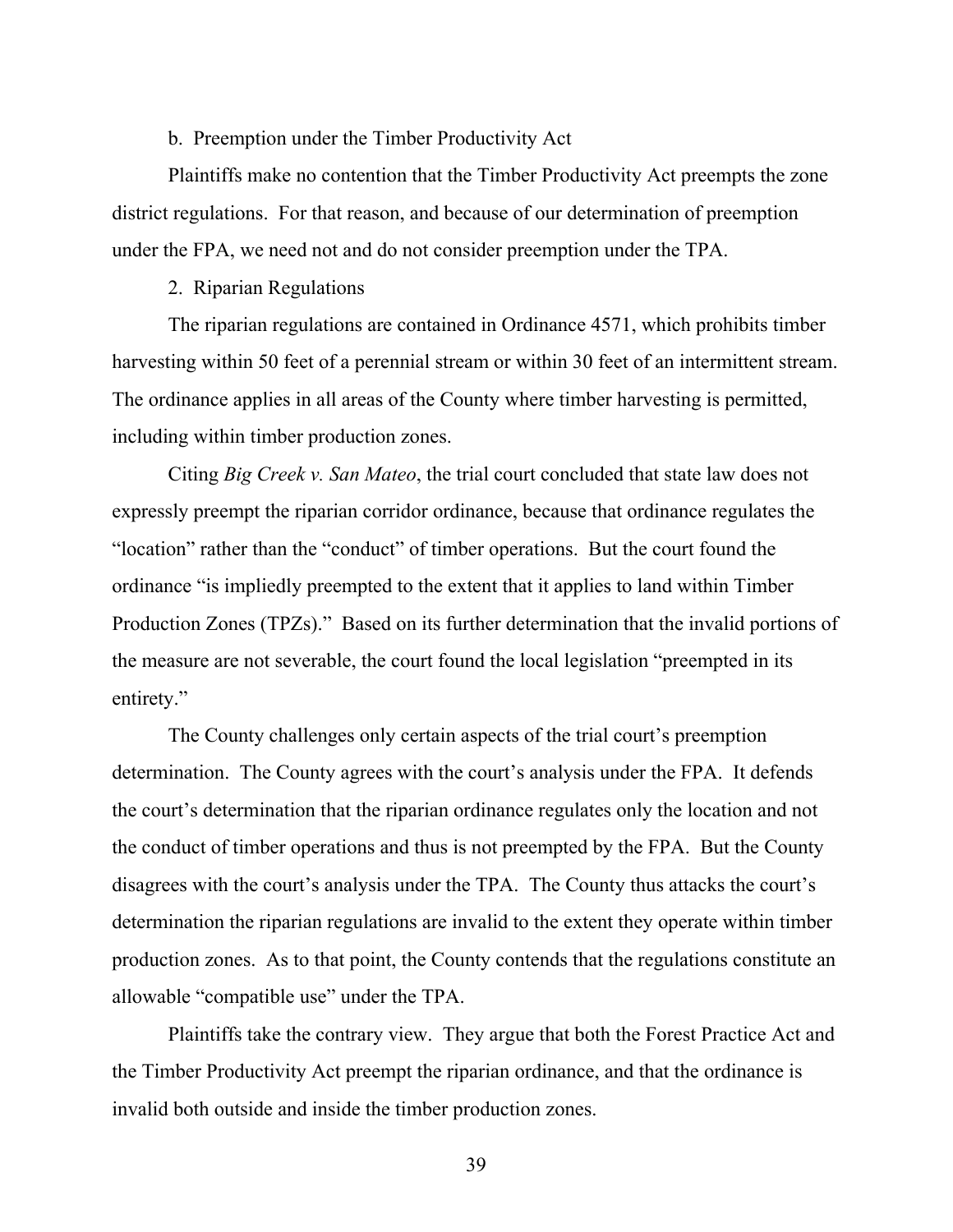# b. Preemption under the Timber Productivity Act

Plaintiffs make no contention that the Timber Productivity Act preempts the zone district regulations. For that reason, and because of our determination of preemption under the FPA, we need not and do not consider preemption under the TPA.

2. Riparian Regulations

The riparian regulations are contained in Ordinance 4571, which prohibits timber harvesting within 50 feet of a perennial stream or within 30 feet of an intermittent stream. The ordinance applies in all areas of the County where timber harvesting is permitted, including within timber production zones.

Citing *Big Creek v. San Mateo*, the trial court concluded that state law does not expressly preempt the riparian corridor ordinance, because that ordinance regulates the "location" rather than the "conduct" of timber operations. But the court found the ordinance "is impliedly preempted to the extent that it applies to land within Timber Production Zones (TPZs)." Based on its further determination that the invalid portions of the measure are not severable, the court found the local legislation "preempted in its entirety."

The County challenges only certain aspects of the trial court's preemption determination. The County agrees with the court's analysis under the FPA. It defends the court's determination that the riparian ordinance regulates only the location and not the conduct of timber operations and thus is not preempted by the FPA. But the County disagrees with the court's analysis under the TPA. The County thus attacks the court's determination the riparian regulations are invalid to the extent they operate within timber production zones. As to that point, the County contends that the regulations constitute an allowable "compatible use" under the TPA.

Plaintiffs take the contrary view. They argue that both the Forest Practice Act and the Timber Productivity Act preempt the riparian ordinance, and that the ordinance is invalid both outside and inside the timber production zones.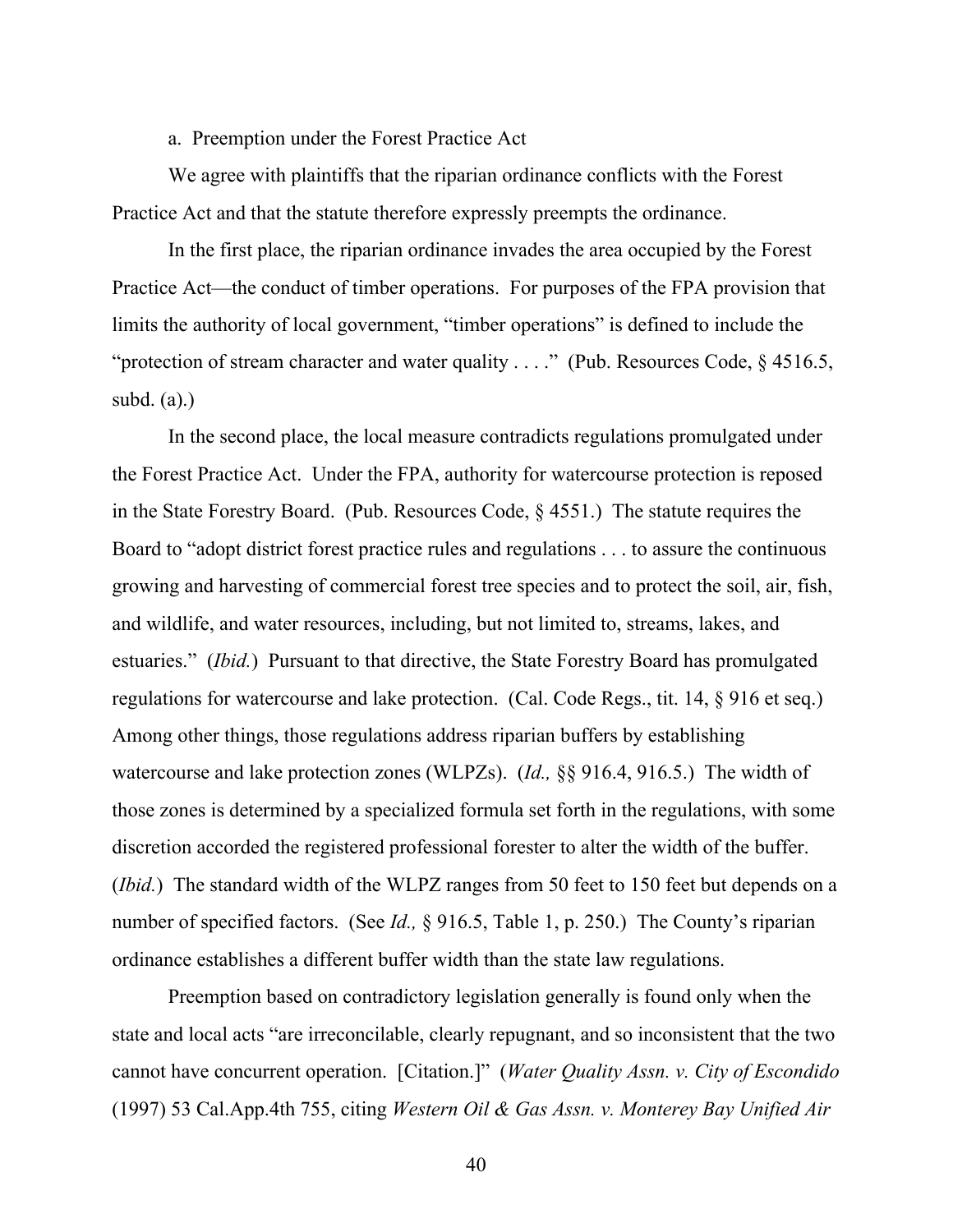a. Preemption under the Forest Practice Act

We agree with plaintiffs that the riparian ordinance conflicts with the Forest Practice Act and that the statute therefore expressly preempts the ordinance.

In the first place, the riparian ordinance invades the area occupied by the Forest Practice Act—the conduct of timber operations. For purposes of the FPA provision that limits the authority of local government, "timber operations" is defined to include the "protection of stream character and water quality . . . ." (Pub. Resources Code, § 4516.5, subd.  $(a)$ .)

In the second place, the local measure contradicts regulations promulgated under the Forest Practice Act. Under the FPA, authority for watercourse protection is reposed in the State Forestry Board. (Pub. Resources Code, § 4551.) The statute requires the Board to "adopt district forest practice rules and regulations . . . to assure the continuous growing and harvesting of commercial forest tree species and to protect the soil, air, fish, and wildlife, and water resources, including, but not limited to, streams, lakes, and estuaries." (*Ibid.*) Pursuant to that directive, the State Forestry Board has promulgated regulations for watercourse and lake protection. (Cal. Code Regs., tit. 14, § 916 et seq.) Among other things, those regulations address riparian buffers by establishing watercourse and lake protection zones (WLPZs). (*Id.,* §§ 916.4, 916.5.) The width of those zones is determined by a specialized formula set forth in the regulations, with some discretion accorded the registered professional forester to alter the width of the buffer. (*Ibid.*) The standard width of the WLPZ ranges from 50 feet to 150 feet but depends on a number of specified factors. (See *Id.,* § 916.5, Table 1, p. 250.) The County's riparian ordinance establishes a different buffer width than the state law regulations.

Preemption based on contradictory legislation generally is found only when the state and local acts "are irreconcilable, clearly repugnant, and so inconsistent that the two cannot have concurrent operation. [Citation.]" (*Water Quality Assn. v. City of Escondido* (1997) 53 Cal.App.4th 755, citing *Western Oil & Gas Assn. v. Monterey Bay Unified Air*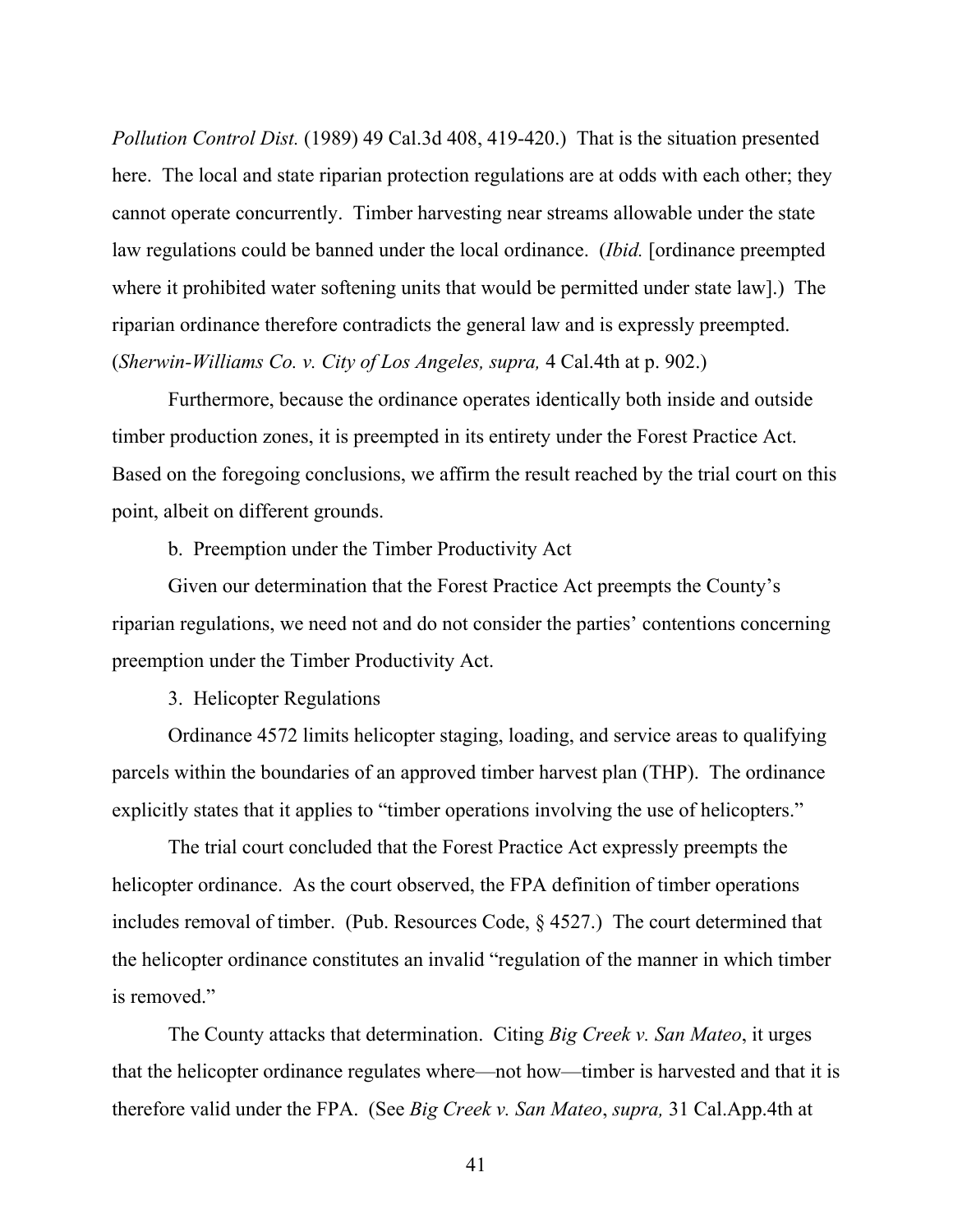*Pollution Control Dist.* (1989) 49 Cal.3d 408, 419-420.) That is the situation presented here. The local and state riparian protection regulations are at odds with each other; they cannot operate concurrently. Timber harvesting near streams allowable under the state law regulations could be banned under the local ordinance. (*Ibid.* [ordinance preempted where it prohibited water softening units that would be permitted under state law].) The riparian ordinance therefore contradicts the general law and is expressly preempted. (*Sherwin-Williams Co. v. City of Los Angeles, supra,* 4 Cal.4th at p. 902.)

Furthermore, because the ordinance operates identically both inside and outside timber production zones, it is preempted in its entirety under the Forest Practice Act. Based on the foregoing conclusions, we affirm the result reached by the trial court on this point, albeit on different grounds.

b. Preemption under the Timber Productivity Act

Given our determination that the Forest Practice Act preempts the County's riparian regulations, we need not and do not consider the parties' contentions concerning preemption under the Timber Productivity Act.

3. Helicopter Regulations

Ordinance 4572 limits helicopter staging, loading, and service areas to qualifying parcels within the boundaries of an approved timber harvest plan (THP). The ordinance explicitly states that it applies to "timber operations involving the use of helicopters."

The trial court concluded that the Forest Practice Act expressly preempts the helicopter ordinance. As the court observed, the FPA definition of timber operations includes removal of timber. (Pub. Resources Code, § 4527.) The court determined that the helicopter ordinance constitutes an invalid "regulation of the manner in which timber is removed."

The County attacks that determination. Citing *Big Creek v. San Mateo*, it urges that the helicopter ordinance regulates where—not how—timber is harvested and that it is therefore valid under the FPA. (See *Big Creek v. San Mateo*, *supra,* 31 Cal.App.4th at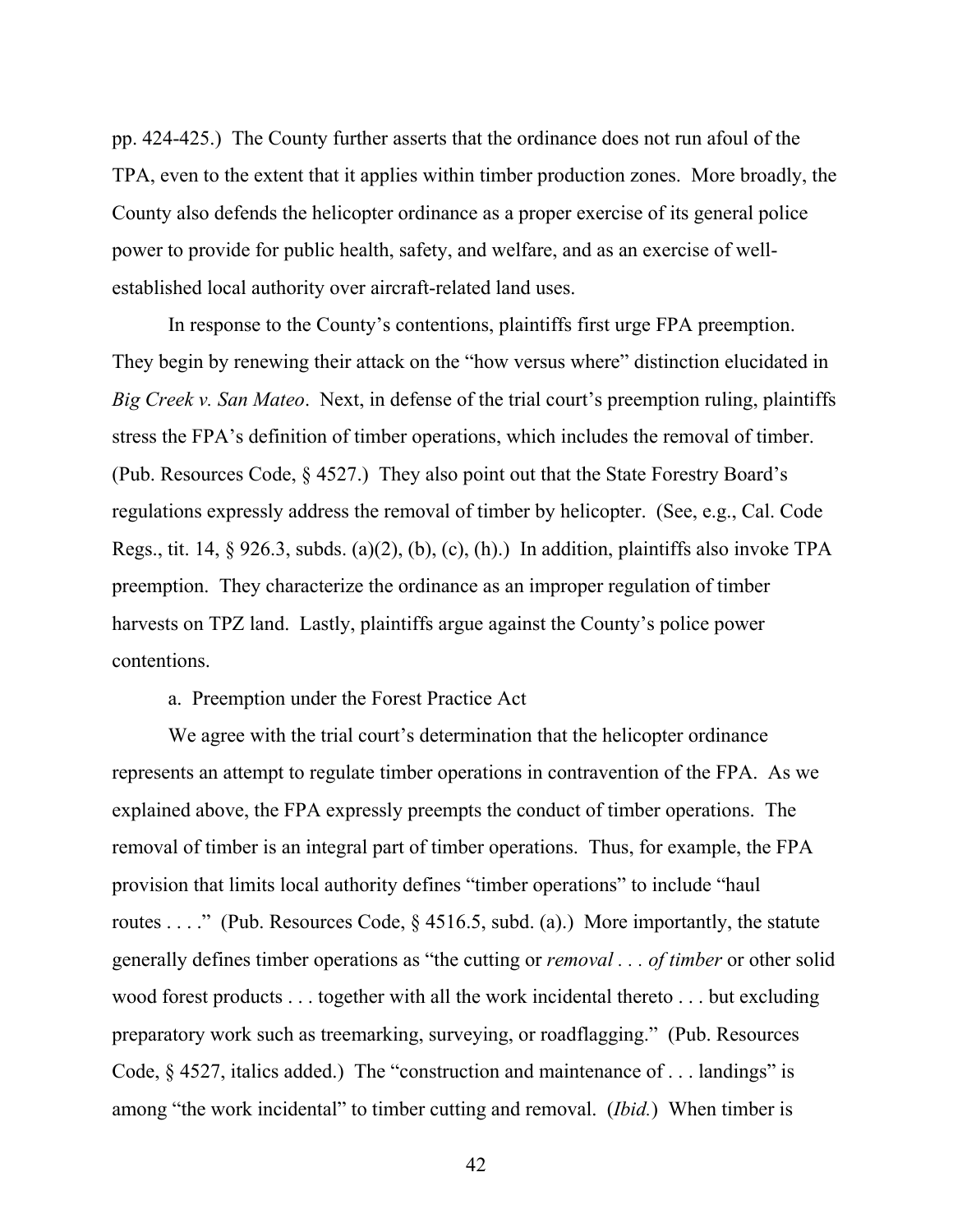pp. 424-425.) The County further asserts that the ordinance does not run afoul of the TPA, even to the extent that it applies within timber production zones. More broadly, the County also defends the helicopter ordinance as a proper exercise of its general police power to provide for public health, safety, and welfare, and as an exercise of wellestablished local authority over aircraft-related land uses.

In response to the County's contentions, plaintiffs first urge FPA preemption. They begin by renewing their attack on the "how versus where" distinction elucidated in *Big Creek v. San Mateo*. Next, in defense of the trial court's preemption ruling, plaintiffs stress the FPA's definition of timber operations, which includes the removal of timber. (Pub. Resources Code, § 4527.) They also point out that the State Forestry Board's regulations expressly address the removal of timber by helicopter. (See, e.g., Cal. Code Regs., tit. 14, § 926.3, subds. (a)(2), (b), (c), (h).) In addition, plaintiffs also invoke TPA preemption. They characterize the ordinance as an improper regulation of timber harvests on TPZ land. Lastly, plaintiffs argue against the County's police power contentions.

a. Preemption under the Forest Practice Act

We agree with the trial court's determination that the helicopter ordinance represents an attempt to regulate timber operations in contravention of the FPA. As we explained above, the FPA expressly preempts the conduct of timber operations. The removal of timber is an integral part of timber operations. Thus, for example, the FPA provision that limits local authority defines "timber operations" to include "haul routes . . . ." (Pub. Resources Code, § 4516.5, subd. (a).) More importantly, the statute generally defines timber operations as "the cutting or *removal . . . of timber* or other solid wood forest products . . . together with all the work incidental thereto . . . but excluding preparatory work such as treemarking, surveying, or roadflagging." (Pub. Resources Code, § 4527, italics added.) The "construction and maintenance of . . . landings" is among "the work incidental" to timber cutting and removal. (*Ibid.*) When timber is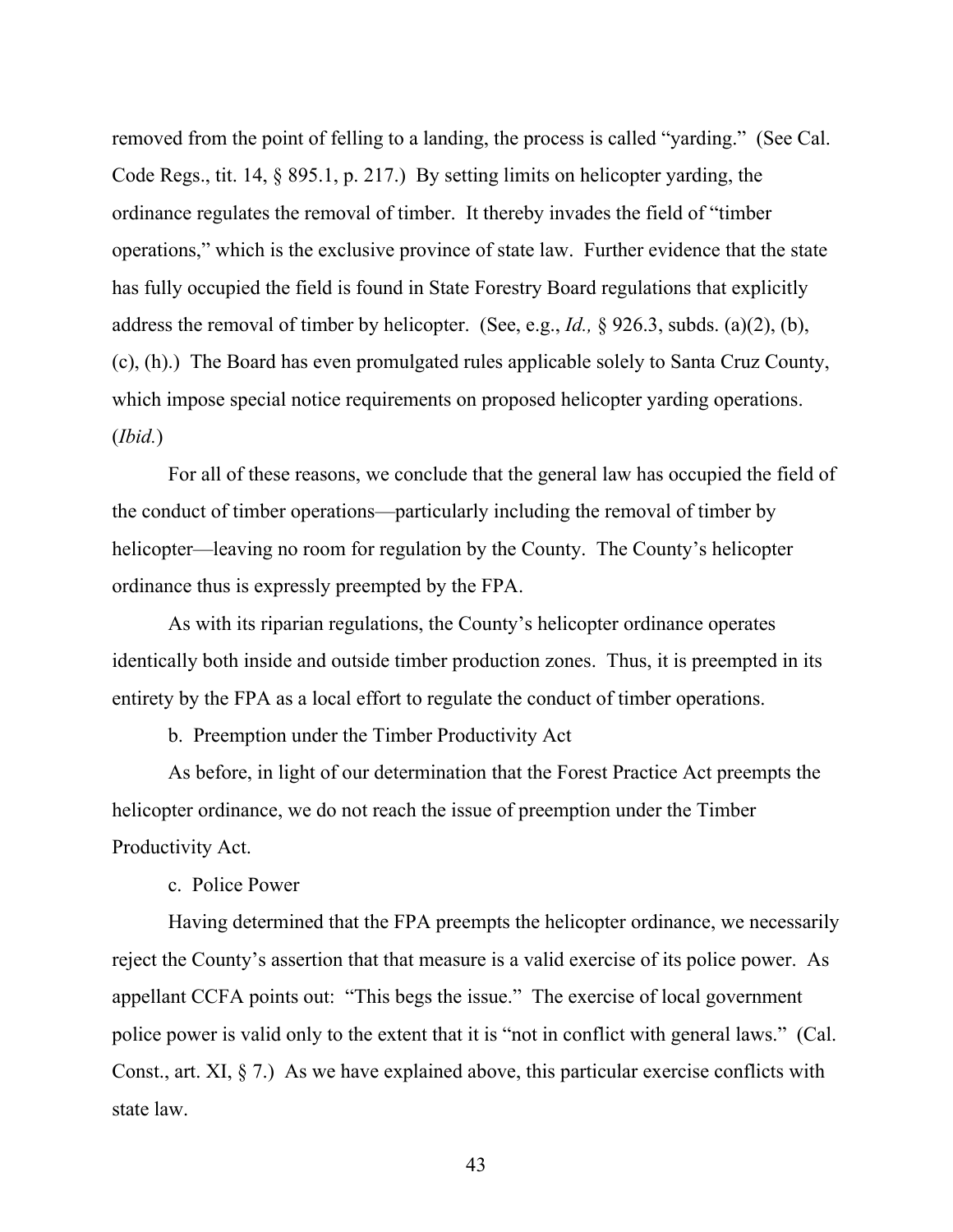removed from the point of felling to a landing, the process is called "yarding." (See Cal. Code Regs., tit. 14, § 895.1, p. 217.) By setting limits on helicopter yarding, the ordinance regulates the removal of timber. It thereby invades the field of "timber operations," which is the exclusive province of state law. Further evidence that the state has fully occupied the field is found in State Forestry Board regulations that explicitly address the removal of timber by helicopter. (See, e.g., *Id.,* § 926.3, subds. (a)(2), (b), (c), (h).) The Board has even promulgated rules applicable solely to Santa Cruz County, which impose special notice requirements on proposed helicopter yarding operations. (*Ibid.*)

For all of these reasons, we conclude that the general law has occupied the field of the conduct of timber operations—particularly including the removal of timber by helicopter—leaving no room for regulation by the County. The County's helicopter ordinance thus is expressly preempted by the FPA.

As with its riparian regulations, the County's helicopter ordinance operates identically both inside and outside timber production zones. Thus, it is preempted in its entirety by the FPA as a local effort to regulate the conduct of timber operations.

b. Preemption under the Timber Productivity Act

As before, in light of our determination that the Forest Practice Act preempts the helicopter ordinance, we do not reach the issue of preemption under the Timber Productivity Act.

c. Police Power

Having determined that the FPA preempts the helicopter ordinance, we necessarily reject the County's assertion that that measure is a valid exercise of its police power. As appellant CCFA points out: "This begs the issue." The exercise of local government police power is valid only to the extent that it is "not in conflict with general laws." (Cal. Const., art. XI, § 7.) As we have explained above, this particular exercise conflicts with state law.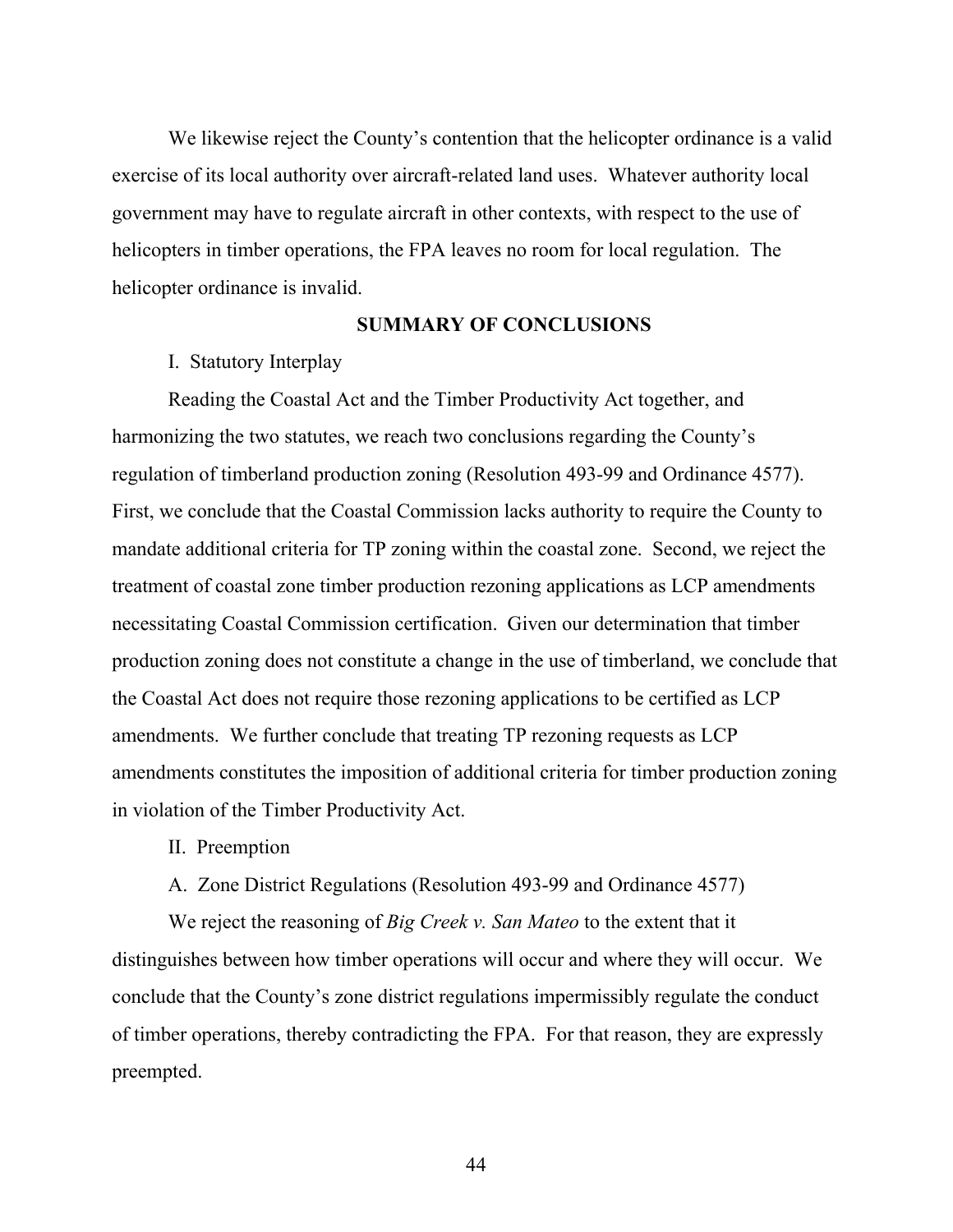We likewise reject the County's contention that the helicopter ordinance is a valid exercise of its local authority over aircraft-related land uses. Whatever authority local government may have to regulate aircraft in other contexts, with respect to the use of helicopters in timber operations, the FPA leaves no room for local regulation. The helicopter ordinance is invalid.

#### **SUMMARY OF CONCLUSIONS**

#### I. Statutory Interplay

Reading the Coastal Act and the Timber Productivity Act together, and harmonizing the two statutes, we reach two conclusions regarding the County's regulation of timberland production zoning (Resolution 493-99 and Ordinance 4577). First, we conclude that the Coastal Commission lacks authority to require the County to mandate additional criteria for TP zoning within the coastal zone. Second, we reject the treatment of coastal zone timber production rezoning applications as LCP amendments necessitating Coastal Commission certification. Given our determination that timber production zoning does not constitute a change in the use of timberland, we conclude that the Coastal Act does not require those rezoning applications to be certified as LCP amendments. We further conclude that treating TP rezoning requests as LCP amendments constitutes the imposition of additional criteria for timber production zoning in violation of the Timber Productivity Act.

II. Preemption

A. Zone District Regulations (Resolution 493-99 and Ordinance 4577)

We reject the reasoning of *Big Creek v. San Mateo* to the extent that it distinguishes between how timber operations will occur and where they will occur. We conclude that the County's zone district regulations impermissibly regulate the conduct of timber operations, thereby contradicting the FPA. For that reason, they are expressly preempted.

44 and 2012 and 2014 and 2014 and 2014 and 2014 and 2014 and 2014 and 2014 and 2014 and 2014 and 2014 and 201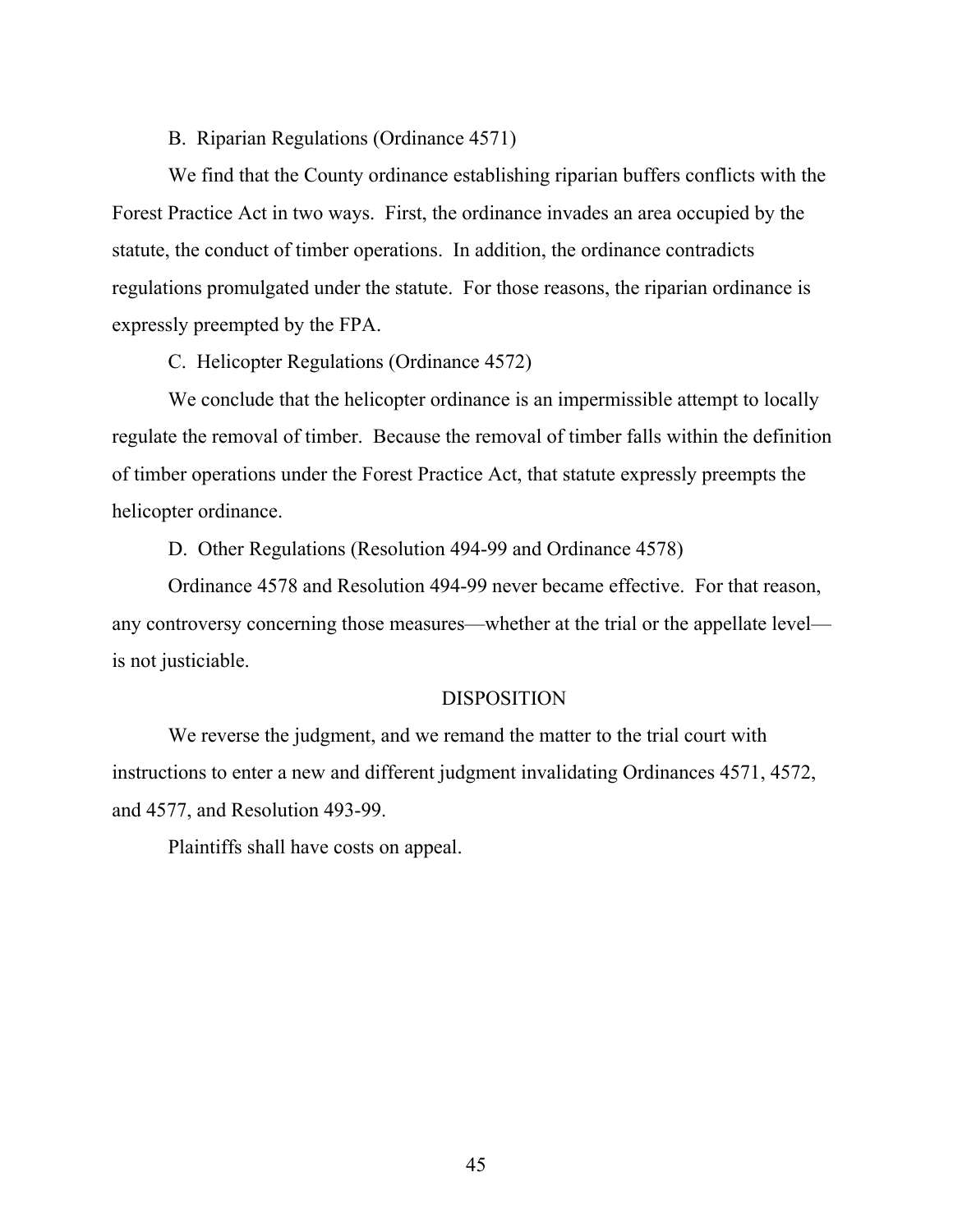#### B. Riparian Regulations (Ordinance 4571)

We find that the County ordinance establishing riparian buffers conflicts with the Forest Practice Act in two ways. First, the ordinance invades an area occupied by the statute, the conduct of timber operations. In addition, the ordinance contradicts regulations promulgated under the statute. For those reasons, the riparian ordinance is expressly preempted by the FPA.

C. Helicopter Regulations (Ordinance 4572)

We conclude that the helicopter ordinance is an impermissible attempt to locally regulate the removal of timber. Because the removal of timber falls within the definition of timber operations under the Forest Practice Act, that statute expressly preempts the helicopter ordinance.

D. Other Regulations (Resolution 494-99 and Ordinance 4578)

Ordinance 4578 and Resolution 494-99 never became effective. For that reason, any controversy concerning those measures—whether at the trial or the appellate level is not justiciable.

# DISPOSITION

 We reverse the judgment, and we remand the matter to the trial court with instructions to enter a new and different judgment invalidating Ordinances 4571, 4572, and 4577, and Resolution 493-99.

Plaintiffs shall have costs on appeal.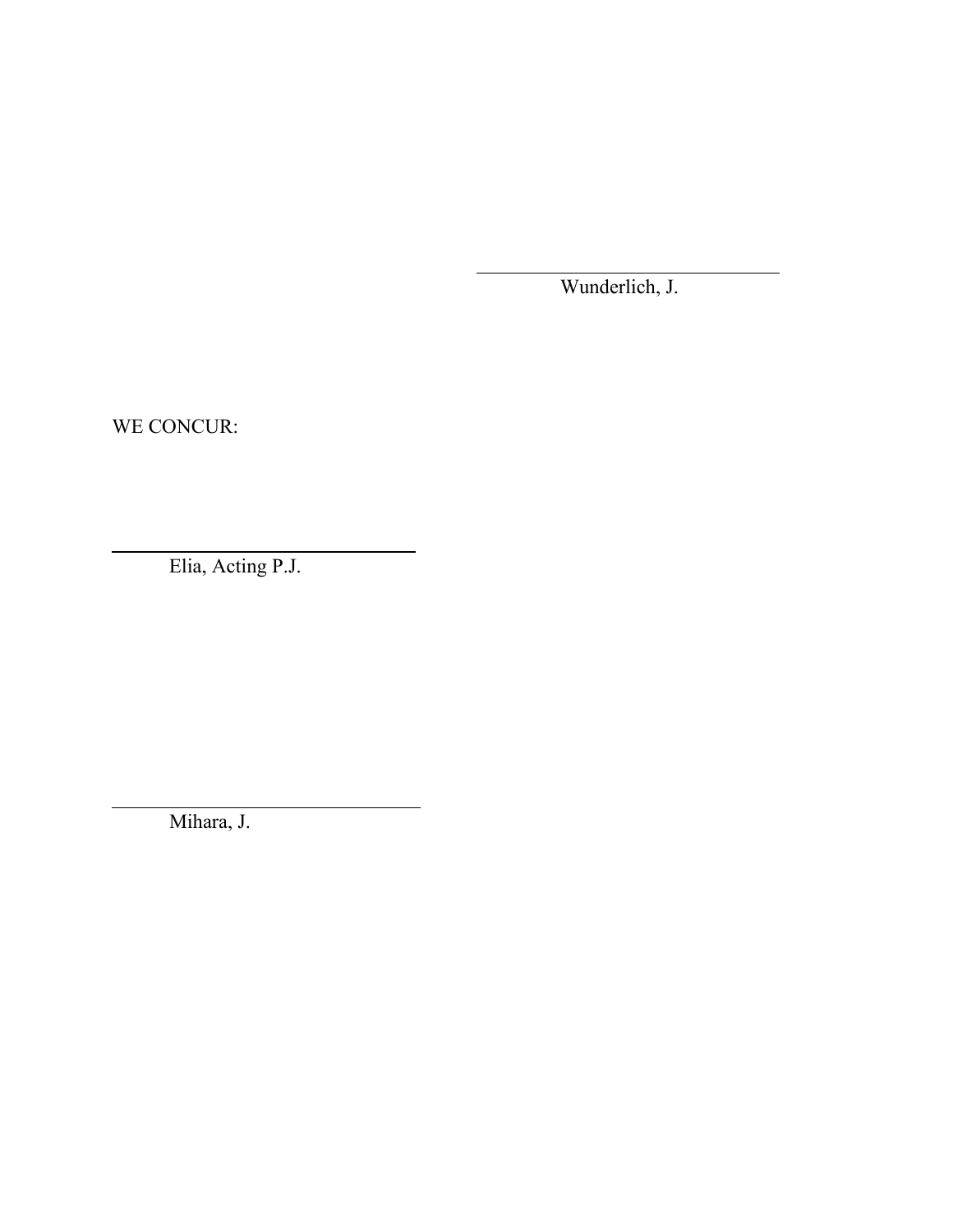Wunderlich, J.

WE CONCUR:

 $\overline{a}$ 

 $\overline{\phantom{a}}$ 

Elia, Acting P.J.

Mihara, J.